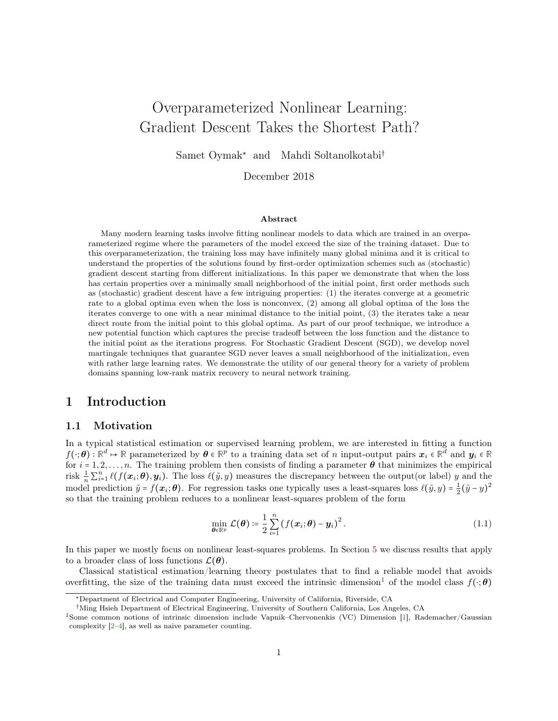# <span id="page-0-1"></span>Overparameterized Nonlinear Learning: Gradient Descent Takes the Shortest Path?

Samet Oymak<sup>∗</sup> and Mahdi Soltanolkotabi†

December 2018

#### Abstract

Many modern learning tasks involve fitting nonlinear models to data which are trained in an overparameterized regime where the parameters of the model exceed the size of the training dataset. Due to this overparameterization, the training loss may have infinitely many global minima and it is critical to understand the properties of the solutions found by first-order optimization schemes such as (stochastic) gradient descent starting from different initializations. In this paper we demonstrate that when the loss has certain properties over a minimally small neighborhood of the initial point, first order methods such as (stochastic) gradient descent have a few intriguing properties: (1) the iterates converge at a geometric rate to a global optima even when the loss is nonconvex, (2) among all global optima of the loss the iterates converge to one with a near minimal distance to the initial point, (3) the iterates take a near direct route from the initial point to this global optima. As part of our proof technique, we introduce a new potential function which captures the precise tradeoff between the loss function and the distance to the initial point as the iterations progress. For Stochastic Gradient Descent (SGD), we develop novel martingale techniques that guarantee SGD never leaves a small neighborhood of the initialization, even with rather large learning rates. We demonstrate the utility of our general theory for a variety of problem domains spanning low-rank matrix recovery to neural network training.

# 1 Introduction

# 1.1 Motivation

In a typical statistical estimation or supervised learning problem, we are interested in fitting a function  $f(\cdot;\boldsymbol{\theta}) : \mathbb{R}^d \mapsto \mathbb{R}$  parameterized by  $\boldsymbol{\theta} \in \mathbb{R}^p$  to a training data set of n input-output pairs  $x_i \in \mathbb{R}^d$  and  $y_i \in \mathbb{R}$ for  $i = 1, 2, \ldots, n$ . The training problem then consists of finding a parameter  $\theta$  that minimizes the empirical risk  $\frac{1}{n} \sum_{i=1}^n \ell(f(\boldsymbol{x}_i;\boldsymbol{\theta}), \boldsymbol{y}_i)$ . The loss  $\ell(\tilde{y}, y)$  measures the discrepancy between the output(or label) y and the model prediction  $\tilde{y} = f(x_i; \theta)$ . For regression tasks one typically uses a least-squares loss  $\ell(\tilde{y}, y) = \frac{1}{2}(\tilde{y} - y)^2$ so that the training problem reduces to a nonlinear least-squares problem of the form

<span id="page-0-0"></span>
$$
\min_{\boldsymbol{\theta}\in\mathbb{R}^p} \mathcal{L}(\boldsymbol{\theta}) \coloneqq \frac{1}{2} \sum_{i=1}^n \left( f(\boldsymbol{x}_i; \boldsymbol{\theta}) - \boldsymbol{y}_i \right)^2. \tag{1.1}
$$

In this paper we mostly focus on nonlinear least-squares problems. In Section [5](#page-10-0) we discuss results that apply to a broader class of loss functions  $\mathcal{L}(\theta)$ .

Classical statistical estimation/learning theory postulates that to find a reliable model that avoids overfitting, the size of the training data must exceed the intrinsic dimension<sup>1</sup> of the model class  $f(·; \theta)$ 

<sup>∗</sup>Department of Electrical and Computer Engineering, University of California, Riverside, CA

<sup>†</sup>Ming Hsieh Department of Electrical Engineering, University of Southern California, Los Angeles, CA

<sup>1</sup>Some common notions of intrinsic dimension include Vapnik–Chervonenkis (VC) Dimension [\[1\]](#page-36-0), Rademacher/Gaussian complexity  $[2-4]$  $[2-4]$ , as well as naive parameter counting.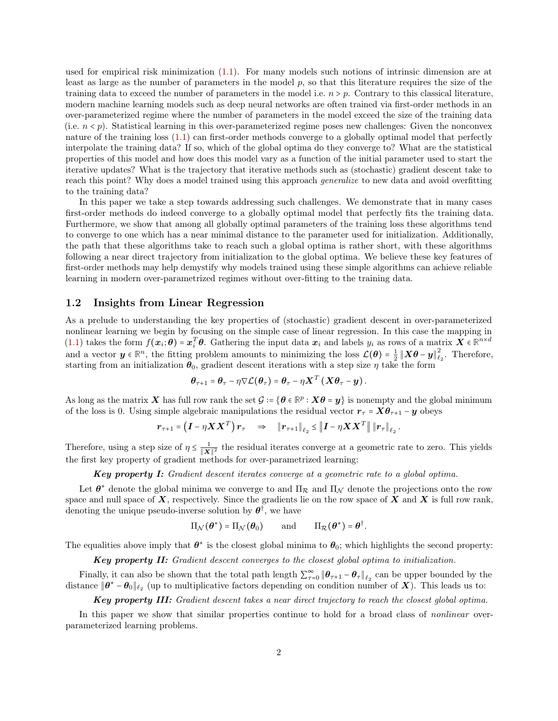used for empirical risk minimization [\(1.1\)](#page-0-0). For many models such notions of intrinsic dimension are at least as large as the number of parameters in the model p, so that this literature requires the size of the training data to exceed the number of parameters in the model i.e.  $n > p$ . Contrary to this classical literature, modern machine learning models such as deep neural networks are often trained via first-order methods in an over-parameterized regime where the number of parameters in the model exceed the size of the training data (i.e.  $n < p$ ). Statistical learning in this over-parameterized regime poses new challenges: Given the nonconvex nature of the training loss [\(1.1\)](#page-0-0) can first-order methods converge to a globally optimal model that perfectly interpolate the training data? If so, which of the global optima do they converge to? What are the statistical properties of this model and how does this model vary as a function of the initial parameter used to start the iterative updates? What is the trajectory that iterative methods such as (stochastic) gradient descent take to reach this point? Why does a model trained using this approach *generalize* to new data and avoid overfitting to the training data?

In this paper we take a step towards addressing such challenges. We demonstrate that in many cases first-order methods do indeed converge to a globally optimal model that perfectly fits the training data. Furthermore, we show that among all globally optimal parameters of the training loss these algorithms tend to converge to one which has a near minimal distance to the parameter used for initialization. Additionally, the path that these algorithms take to reach such a global optima is rather short, with these algorithms following a near direct trajectory from initialization to the global optima. We believe these key features of first-order methods may help demystify why models trained using these simple algorithms can achieve reliable learning in modern over-parametrized regimes without over-fitting to the training data.

### 1.2 Insights from Linear Regression

As a prelude to understanding the key properties of (stochastic) gradient descent in over-parameterized nonlinear learning we begin by focusing on the simple case of linear regression. In this case the mapping in [\(1.1\)](#page-0-0) takes the form  $f(x_i; \theta) = x_i^T \theta$ . Gathering the input data  $x_i$  and labels  $y_i$  as rows of a matrix  $X \in \mathbb{R}^{n \times d}$ and a vector  $y \in \mathbb{R}^n$ , the fitting problem amounts to minimizing the loss  $\mathcal{L}(\theta) = \frac{1}{2} ||X\theta - y||^2$  $\epsilon_2^2$ . Therefore, starting from an initialization  $\theta_0$ , gradient descent iterations with a step size  $\eta$  take the form

$$
\boldsymbol{\theta}_{\tau+1} = \boldsymbol{\theta}_{\tau} - \eta \nabla \mathcal{L}(\boldsymbol{\theta}_{\tau}) = \boldsymbol{\theta}_{\tau} - \eta \boldsymbol{X}^T (\boldsymbol{X} \boldsymbol{\theta}_{\tau} - \boldsymbol{y}).
$$

As long as the matrix X has full row rank the set  $\mathcal{G} = \{ \theta \in \mathbb{R}^p : X\theta = y \}$  is nonempty and the global minimum of the loss is 0. Using simple algebraic manipulations the residual vector  $r<sub>\tau</sub> = X\theta<sub>\tau+1</sub> - y$  obeys

$$
r_{\tau+1} = \left(\boldsymbol{I} - \eta \boldsymbol{X} \boldsymbol{X}^T\right) r_{\tau} \quad \Rightarrow \quad \left\|\boldsymbol{r}_{\tau+1}\right\|_{\ell_2} \leq \left\|\boldsymbol{I} - \eta \boldsymbol{X} \boldsymbol{X}^T\right\| \left\|\boldsymbol{r}_{\tau}\right\|_{\ell_2}.
$$

Therefore, using a step size of  $\eta \leq \frac{1}{\|\mathbf{X}\|}$  $\frac{1}{\|\mathbf{X}\|^2}$  the residual iterates converge at a geometric rate to zero. This yields the first key property of gradient methods for over-parametrized learning:

Key property I: Gradient descent iterates converge at a geometric rate to a global optima.

Let  $\theta^*$  denote the global minima we converge to and  $\Pi_{\mathcal{R}}$  and  $\Pi_{\mathcal{N}}$  denote the projections onto the row space and null space of  $X$ , respectively. Since the gradients lie on the row space of  $X$  and  $X$  is full row rank, denoting the unique pseudo-inverse solution by  $\theta^{\dagger}$ , we have

$$
\Pi_{\mathcal{N}}(\boldsymbol{\theta}^*) = \Pi_{\mathcal{N}}(\boldsymbol{\theta}_0) \quad \text{and} \quad \Pi_{\mathcal{R}}(\boldsymbol{\theta}^*) = \boldsymbol{\theta}^\dagger.
$$

The equalities above imply that  $\theta^*$  is the closest global minima to  $\theta_0$ ; which highlights the second property:

Key property II: Gradient descent converges to the closest global optima to initialization.

Finally, it can also be shown that the total path length  $\sum_{\tau=0}^{\infty} ||\boldsymbol{\theta}_{\tau+1} - \boldsymbol{\theta}_{\tau}||_{\ell_2}$  can be upper bounded by the distance  $\|\theta^* - \theta_0\|_{\ell_2}$  (up to multiplicative factors depending on condition number of  $X$ ). This leads us to:

Key property III: Gradient descent takes a near direct trajectory to reach the closest global optima.

In this paper we show that similar properties continue to hold for a broad class of *nonlinear* overparameterized learning problems.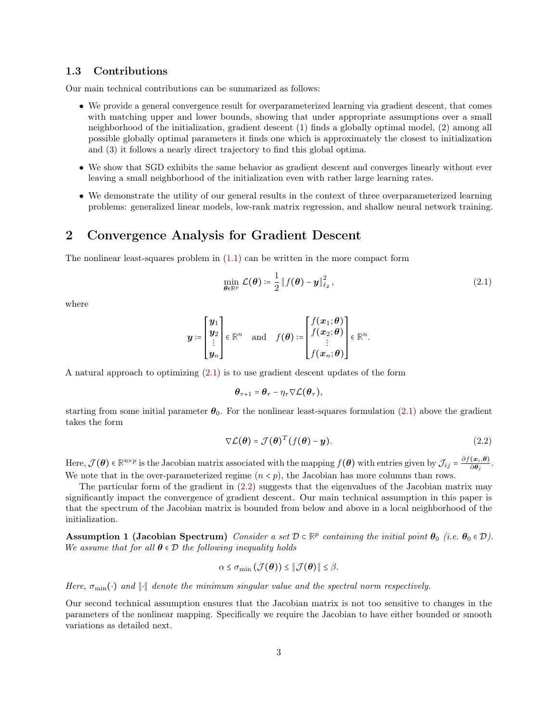### 1.3 Contributions

Our main technical contributions can be summarized as follows:

- We provide a general convergence result for overparameterized learning via gradient descent, that comes with matching upper and lower bounds, showing that under appropriate assumptions over a small neighborhood of the initialization, gradient descent (1) finds a globally optimal model, (2) among all possible globally optimal parameters it finds one which is approximately the closest to initialization and (3) it follows a nearly direct trajectory to find this global optima.
- We show that SGD exhibits the same behavior as gradient descent and converges linearly without ever leaving a small neighborhood of the initialization even with rather large learning rates.
- We demonstrate the utility of our general results in the context of three overparameterized learning problems: generalized linear models, low-rank matrix regression, and shallow neural network training.

# 2 Convergence Analysis for Gradient Descent

The nonlinear least-squares problem in [\(1.1\)](#page-0-0) can be written in the more compact form

<span id="page-2-0"></span>
$$
\min_{\boldsymbol{\theta} \in \mathbb{R}^p} \mathcal{L}(\boldsymbol{\theta}) \coloneqq \frac{1}{2} \| f(\boldsymbol{\theta}) - \boldsymbol{y} \|_{\ell_2}^2, \qquad (2.1)
$$

where

$$
\boldsymbol{y} \coloneqq \begin{bmatrix} \boldsymbol{y}_1 \\ \boldsymbol{y}_2 \\ \vdots \\ \boldsymbol{y}_n \end{bmatrix} \in \mathbb{R}^n \quad \text{and} \quad f(\boldsymbol{\theta}) \coloneqq \begin{bmatrix} f(\boldsymbol{x}_1; \boldsymbol{\theta}) \\ f(\boldsymbol{x}_2; \boldsymbol{\theta}) \\ \vdots \\ f(\boldsymbol{x}_n; \boldsymbol{\theta}) \end{bmatrix} \in \mathbb{R}^n.
$$

A natural approach to optimizing [\(2.1\)](#page-2-0) is to use gradient descent updates of the form

<span id="page-2-1"></span>
$$
\boldsymbol{\theta}_{\tau+1} = \boldsymbol{\theta}_{\tau} - \eta_{\tau} \nabla \mathcal{L}(\boldsymbol{\theta}_{\tau}),
$$

starting from some initial parameter  $\theta_0$ . For the nonlinear least-squares formulation [\(2.1\)](#page-2-0) above the gradient takes the form

$$
\nabla \mathcal{L}(\boldsymbol{\theta}) = \mathcal{J}(\boldsymbol{\theta})^T (f(\boldsymbol{\theta}) - \boldsymbol{y}).
$$
\n(2.2)

Here,  $\mathcal{J}(\theta) \in \mathbb{R}^{n \times p}$  is the Jacobian matrix associated with the mapping  $f(\theta)$  with entries given by  $\mathcal{J}_{ij} = \frac{\partial f(x_i, \theta)}{\partial \theta_j}$ . We note that in the over-parameterized regime  $(n < p)$ , the Jacobian has more columns than rows.

The particular form of the gradient in [\(2.2\)](#page-2-1) suggests that the eigenvalues of the Jacobian matrix may significantly impact the convergence of gradient descent. Our main technical assumption in this paper is that the spectrum of the Jacobian matrix is bounded from below and above in a local neighborhood of the initialization.

<span id="page-2-2"></span>Assumption 1 (Jacobian Spectrum) Consider a set  $\mathcal{D} \subset \mathbb{R}^p$  containing the initial point  $\theta_0$  (i.e.  $\theta_0 \in \mathcal{D}$ ). We assume that for all  $\theta \in \mathcal{D}$  the following inequality holds

<span id="page-2-3"></span>
$$
\alpha \leq \sigma_{\min}(\mathcal{J}(\boldsymbol{\theta})) \leq \|\mathcal{J}(\boldsymbol{\theta})\| \leq \beta.
$$

Here,  $\sigma_{\min}(\cdot)$  and  $\|\cdot\|$  denote the minimum singular value and the spectral norm respectively.

Our second technical assumption ensures that the Jacobian matrix is not too sensitive to changes in the parameters of the nonlinear mapping. Specifically we require the Jacobian to have either bounded or smooth variations as detailed next.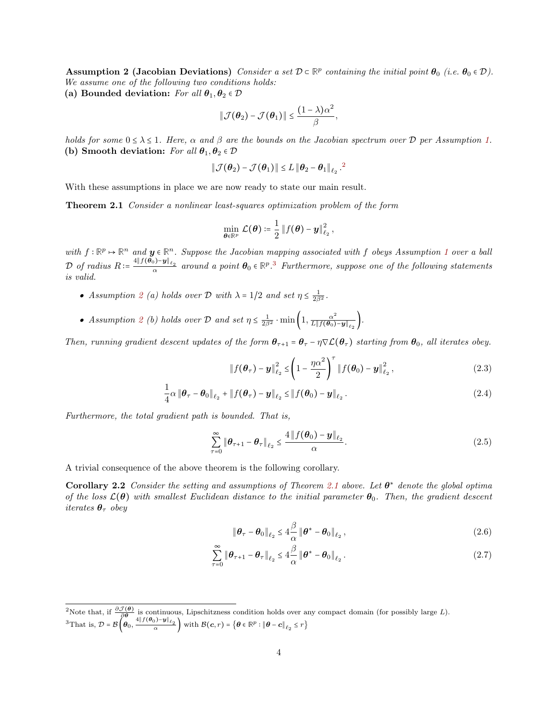Assumption 2 (Jacobian Deviations) Consider a set  $\mathcal{D} \subset \mathbb{R}^p$  containing the initial point  $\theta_0$  (i.e.  $\theta_0 \in \mathcal{D}$ ). We assume one of the following two conditions holds: (a) Bounded deviation: For all  $\theta_1, \theta_2 \in \mathcal{D}$ 

$$
\|\mathcal{J}(\boldsymbol{\theta}_2) - \mathcal{J}(\boldsymbol{\theta}_1)\| \leq \frac{(1 - \lambda)\alpha^2}{\beta}
$$

holds for some  $0 \leq \lambda \leq 1$ . Here,  $\alpha$  and  $\beta$  are the bounds on the Jacobian spectrum over  $\mathcal D$  per Assumption [1.](#page-2-2) (b) Smooth deviation: For all  $\theta_1, \theta_2 \in \mathcal{D}$ 

<span id="page-3-0"></span>,

$$
\|\mathcal{J}(\boldsymbol{\theta}_2)-\mathcal{J}(\boldsymbol{\theta}_1)\| \leq L \|\boldsymbol{\theta}_2-\boldsymbol{\theta}_1\|_{\ell_2}^2.
$$

With these assumptions in place we are now ready to state our main result.

Theorem 2.1 Consider a nonlinear least-squares optimization problem of the form

$$
\min_{\boldsymbol{\theta}\in\mathbb{R}^p}\,\mathcal{L}(\boldsymbol{\theta})\coloneqq\frac{1}{2}\left\Vert f(\boldsymbol{\theta})-\boldsymbol{y}\right\Vert_{\ell_2}^2,
$$

with  $f: \mathbb{R}^p \mapsto \mathbb{R}^n$  and  $y \in \mathbb{R}^n$ . Suppose the Jacobian mapping associated with f obeys Assumption [1](#page-2-2) over a ball  $\mathcal{D}$  of radius  $R \coloneqq \frac{4\|f(\boldsymbol{\theta}_0) - \boldsymbol{y}\|_{\ell_2}}{\alpha}$  around a point  $\boldsymbol{\theta}_0 \in \mathbb{R}^p$ .<sup>[3](#page-0-1)</sup> Furthermore, suppose one of the following statements is valid.

- Assumption [2](#page-2-3) (a) holds over  $\mathcal D$  with  $\lambda = 1/2$  and set  $\eta \leq \frac{1}{2\beta^2}$ .
- Assumption [2](#page-2-3) (b) holds over D and set  $\eta \leq \frac{1}{2\beta^2} \cdot \min\left(1, \frac{\alpha^2}{L \| f(\theta_0)\|} \right)$  $\frac{\alpha^2}{L\|f(\boldsymbol{\theta}_0)-\boldsymbol{y}\|_{\ell_2}}\bigg).$

Then, running gradient descent updates of the form  $\theta_{\tau+1} = \theta_{\tau} - \eta \nabla \mathcal{L}(\theta_{\tau})$  starting from  $\theta_0$ , all iterates obey.

<span id="page-3-3"></span><span id="page-3-1"></span>
$$
\|f(\theta_{\tau}) - y\|_{\ell_2}^2 \leq \left(1 - \frac{\eta \alpha^2}{2}\right)^{\tau} \|f(\theta_0) - y\|_{\ell_2}^2,
$$
\n(2.3)

$$
\frac{1}{4}\alpha \left\|\boldsymbol{\theta}_{\tau}-\boldsymbol{\theta}_{0}\right\|_{\ell_{2}}+\left\|f(\boldsymbol{\theta}_{\tau})-\boldsymbol{y}\right\|_{\ell_{2}} \leq \left\|f(\boldsymbol{\theta}_{0})-\boldsymbol{y}\right\|_{\ell_{2}}.
$$
\n(2.4)

Furthermore, the total gradient path is bounded. That is,

$$
\sum_{\tau=0}^{\infty} \|\boldsymbol{\theta}_{\tau+1} - \boldsymbol{\theta}_{\tau}\|_{\ell_2} \le \frac{4 \|f(\boldsymbol{\theta}_0) - \boldsymbol{y}\|_{\ell_2}}{\alpha}.
$$
\n(2.5)

A trivial consequence of the above theorem is the following corollary.

**Corollary 2.2** Consider the setting and assumptions of Theorem [2.1](#page-3-0) above. Let  $\theta^*$  denote the global optima of the loss  $\mathcal{L}(\theta)$  with smallest Euclidean distance to the initial parameter  $\theta_0$ . Then, the gradient descent iterates  $\theta_{\tau}$  obey

<span id="page-3-5"></span><span id="page-3-4"></span><span id="page-3-2"></span>
$$
\|\boldsymbol{\theta}_{\tau} - \boldsymbol{\theta}_0\|_{\ell_2} \le 4 \frac{\beta}{\alpha} \|\boldsymbol{\theta}^* - \boldsymbol{\theta}_0\|_{\ell_2},
$$
\n(2.6)

$$
\sum_{\tau=0}^{\infty} \|\boldsymbol{\theta}_{\tau+1} - \boldsymbol{\theta}_{\tau}\|_{\ell_2} \le 4 \frac{\beta}{\alpha} \|\boldsymbol{\theta}^* - \boldsymbol{\theta}_0\|_{\ell_2}.
$$
 (2.7)

<sup>&</sup>lt;sup>2</sup>Note that, if  $\frac{\partial \mathcal{J}(\theta)}{\partial \theta}$  is continuous, Lipschitzness condition holds over any compact domain (for possibly large L).  ${}^{3}$ That is,  $\mathcal{D} = \mathcal{B}\left(\boldsymbol{\theta}_{0},\frac{4\|f(\boldsymbol{\theta}_{0})-\boldsymbol{y}\|_{\ell_{2}}}{\alpha}\right)$  with  $\mathcal{B}(\boldsymbol{c},r) = \left\{\boldsymbol{\theta}\in\mathbb{R}^{p}:\|\boldsymbol{\theta}-\boldsymbol{c}\|_{\ell_{2}}\leq r\right\}$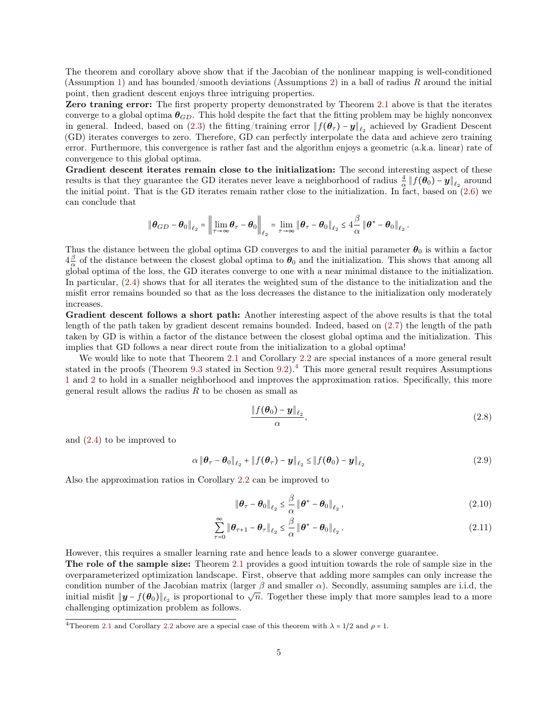The theorem and corollary above show that if the Jacobian of the nonlinear mapping is well-conditioned (Assumption [1\)](#page-2-2) and has bounded/smooth deviations (Assumptions [2\)](#page-2-3) in a ball of radius R around the initial point, then gradient descent enjoys three intriguing properties.

Zero traning error: The first property property demonstrated by Theorem [2.1](#page-3-0) above is that the iterates converge to a global optima  $\theta_{GD}$ . This hold despite the fact that the fitting problem may be highly nonconvex in general. Indeed, based on [\(2.3\)](#page-3-1) the fitting/training error  $|| f(\theta_\tau) - y ||_{\ell_2}$  achieved by Gradient Descent (GD) iterates converges to zero. Therefore, GD can perfectly interpolate the data and achieve zero training error. Furthermore, this convergence is rather fast and the algorithm enjoys a geometric (a.k.a. linear) rate of convergence to this global optima.

Gradient descent iterates remain close to the initialization: The second interesting aspect of these results is that they guarantee the GD iterates never leave a neighborhood of radius  $\frac{4}{\alpha} || f(\theta_0) - y ||_{\ell_2}$  around the initial point. That is the GD iterates remain rather close to the initialization. In fact, based on  $(2.6)$  we can conclude that

$$
\|\boldsymbol{\theta}_{GD} - \boldsymbol{\theta}_0\|_{\ell_2} = \left\|\lim_{\tau \to \infty} \boldsymbol{\theta}_{\tau} - \boldsymbol{\theta}_0\right\|_{\ell_2} = \lim_{\tau \to \infty} \|\boldsymbol{\theta}_{\tau} - \boldsymbol{\theta}_0\|_{\ell_2} \le 4 \frac{\beta}{\alpha} \|\boldsymbol{\theta}^* - \boldsymbol{\theta}_0\|_{\ell_2}.
$$

Thus the distance between the global optima GD converges to and the initial parameter  $\theta_0$  is within a factor  $4\frac{\beta}{\alpha}$  $\frac{\beta}{\alpha}$  of the distance between the closest global optima to  $\theta_0$  and the initialization. This shows that among all global optima of the loss, the GD iterates converge to one with a near minimal distance to the initialization. In particular, [\(2.4\)](#page-3-3) shows that for all iterates the weighted sum of the distance to the initialization and the misfit error remains bounded so that as the loss decreases the distance to the initialization only moderately increases.

Gradient descent follows a short path: Another interesting aspect of the above results is that the total length of the path taken by gradient descent remains bounded. Indeed, based on [\(2.7\)](#page-3-4) the length of the path taken by GD is within a factor of the distance between the closest global optima and the initialization. This implies that GD follows a near direct route from the initialization to a global optima!

We would like to note that Theorem [2.1](#page-3-0) and Corollary [2.2](#page-3-5) are special instances of a more general result stated in the proofs (Theorem [9.3](#page-15-0) stated in Section [9.2\)](#page-15-1).[4](#page-0-1) This more general result requires Assumptions [1](#page-2-2) and [2](#page-2-3) to hold in a smaller neighborhood and improves the approximation ratios. Specifically, this more general result allows the radius  $R$  to be chosen as small as

<span id="page-4-1"></span><span id="page-4-0"></span>
$$
\frac{\|f(\boldsymbol{\theta}_0) - \boldsymbol{y}\|_{\ell_2}}{\alpha},\tag{2.8}
$$

and [\(2.4\)](#page-3-3) to be improved to

$$
\alpha \left\| \boldsymbol{\theta}_{\tau} - \boldsymbol{\theta}_0 \right\|_{\ell_2} + \left\| f(\boldsymbol{\theta}_{\tau}) - \boldsymbol{y} \right\|_{\ell_2} \leq \left\| f(\boldsymbol{\theta}_0) - \boldsymbol{y} \right\|_{\ell_2}
$$
\n(2.9)

Also the approximation ratios in Corollary [2.2](#page-3-5) can be improved to

$$
\|\boldsymbol{\theta}_{\tau} - \boldsymbol{\theta}_0\|_{\ell_2} \leq \frac{\beta}{\alpha} \|\boldsymbol{\theta}^* - \boldsymbol{\theta}_0\|_{\ell_2},
$$
\n(2.10)

$$
\sum_{\tau=0}^{\infty} \|\boldsymbol{\theta}_{\tau+1} - \boldsymbol{\theta}_{\tau}\|_{\ell_2} \leq \frac{\beta}{\alpha} \|\boldsymbol{\theta}^* - \boldsymbol{\theta}_0\|_{\ell_2}.
$$
\n(2.11)

However, this requires a smaller learning rate and hence leads to a slower converge guarantee.

The role of the sample size: Theorem [2.1](#page-3-0) provides a good intuition towards the role of sample size in the overparameterized optimization landscape. First, observe that adding more samples can only increase the condition number of the Jacobian matrix (larger  $\beta$  and smaller  $\alpha$ ). Secondly, assuming samples are i.i.d, the initial misfit  $||\mathbf{y} - f(\theta_0)||_{\ell_2}$  is proportional to  $\sqrt{n}$ . Together these imply that more samples lead to a more challenging optimization problem as follows.

<sup>&</sup>lt;sup>4</sup>Theorem [2.1](#page-3-0) and Corollary [2.2](#page-3-5) above are a special case of this theorem with  $\lambda = 1/2$  and  $\rho = 1$ .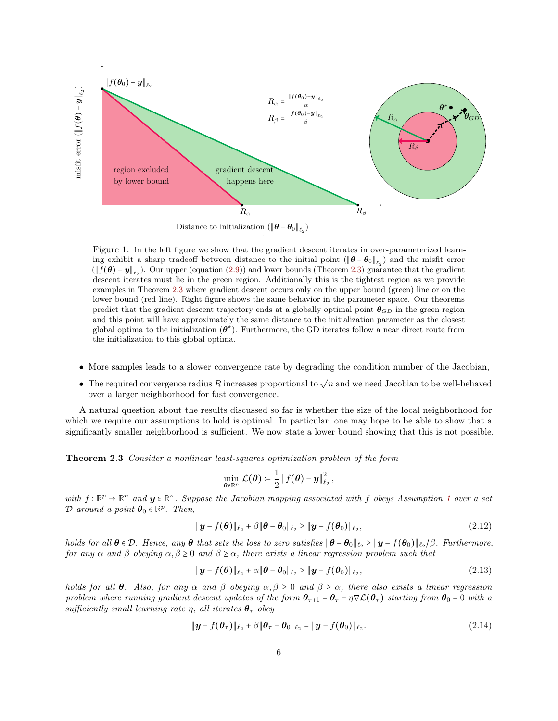<span id="page-5-2"></span>

Distance to initialization  $(\|\boldsymbol{\theta} - \boldsymbol{\theta}_0\|_{\ell_2})$ 

1

Figure 1: In the left figure we show that the gradient descent iterates in over-parameterized learning exhibit a sharp tradeoff between distance to the initial point  $(\|\theta - \theta_0\|_{\ell_2})$  and the misfit error  $(\|f(\theta) - y\|_{\ell_2})$ . Our upper (equation [\(2.9\)](#page-4-0)) and lower bounds (Theorem [2.3\)](#page-5-0) guarantee that the gradient descent iterates must lie in the green region. Additionally this is the tightest region as we provide examples in Theorem [2.3](#page-5-0) where gradient descent occurs only on the upper bound (green) line or on the lower bound (red line). Right figure shows the same behavior in the parameter space. Our theorems predict that the gradient descent trajectory ends at a globally optimal point  $\theta_{GD}$  in the green region and this point will have approximately the same distance to the initialization parameter as the closest global optima to the initialization  $(\theta^*)$ . Furthermore, the GD iterates follow a near direct route from the initialization to this global optima.

- More samples leads to a slower convergence rate by degrading the condition number of the Jacobian,
- The required convergence radius R increases proportional to  $\sqrt{n}$  and we need Jacobian to be well-behaved over a larger neighborhood for fast convergence.

A natural question about the results discussed so far is whether the size of the local neighborhood for which we require our assumptions to hold is optimal. In particular, one may hope to be able to show that a significantly smaller neighborhood is sufficient. We now state a lower bound showing that this is not possible.

<span id="page-5-0"></span>Theorem 2.3 Consider a nonlinear least-squares optimization problem of the form

<span id="page-5-3"></span><span id="page-5-1"></span>
$$
\min_{\boldsymbol{\theta}\in\mathbb{R}^p}\mathcal{L}(\boldsymbol{\theta})\coloneqq\frac{1}{2}\left\Vert f(\boldsymbol{\theta})-\boldsymbol{y}\right\Vert_{\ell_2}^2,
$$

with  $f: \mathbb{R}^p \to \mathbb{R}^n$  and  $y \in \mathbb{R}^n$ . Suppose the Jacobian mapping associated with f obeys Assumption [1](#page-2-2) over a set  $\mathcal{D}$  around a point  $\boldsymbol{\theta}_0 \in \mathbb{R}^p$ . Then,

$$
\|\boldsymbol{y} - f(\boldsymbol{\theta})\|_{\ell_2} + \beta \|\boldsymbol{\theta} - \boldsymbol{\theta}_0\|_{\ell_2} \ge \|\boldsymbol{y} - f(\boldsymbol{\theta}_0)\|_{\ell_2},
$$
\n(2.12)

holds for all  $\boldsymbol{\theta} \in \mathcal{D}$ . Hence, any  $\boldsymbol{\theta}$  that sets the loss to zero satisfies  $\|\boldsymbol{\theta} - \boldsymbol{\theta}_0\|_{\ell_2} \geq \|\boldsymbol{y} - f(\boldsymbol{\theta}_0)\|_{\ell_2}/\beta$ . Furthermore, for any  $\alpha$  and  $\beta$  obeying  $\alpha, \beta \ge 0$  and  $\beta \ge \alpha$ , there exists a linear regression problem such that

<span id="page-5-4"></span>
$$
\|\boldsymbol{y} - f(\boldsymbol{\theta})\|_{\ell_2} + \alpha \|\boldsymbol{\theta} - \boldsymbol{\theta}_0\|_{\ell_2} \ge \|\boldsymbol{y} - f(\boldsymbol{\theta}_0)\|_{\ell_2},
$$
\n(2.13)

holds for all  $\theta$ . Also, for any  $\alpha$  and  $\beta$  obeying  $\alpha, \beta \ge 0$  and  $\beta \ge \alpha$ , there also exists a linear regression problem where running gradient descent updates of the form  $\theta_{\tau+1} = \theta_{\tau} - \eta \nabla \mathcal{L}(\theta_{\tau})$  starting from  $\theta_0 = 0$  with a sufficiently small learning rate η, all iterates  $\theta_{\tau}$  obey

$$
\|\boldsymbol{y} - f(\boldsymbol{\theta}_{\tau})\|_{\ell_2} + \beta \|\boldsymbol{\theta}_{\tau} - \boldsymbol{\theta}_0\|_{\ell_2} = \|\boldsymbol{y} - f(\boldsymbol{\theta}_0)\|_{\ell_2}.
$$
 (2.14)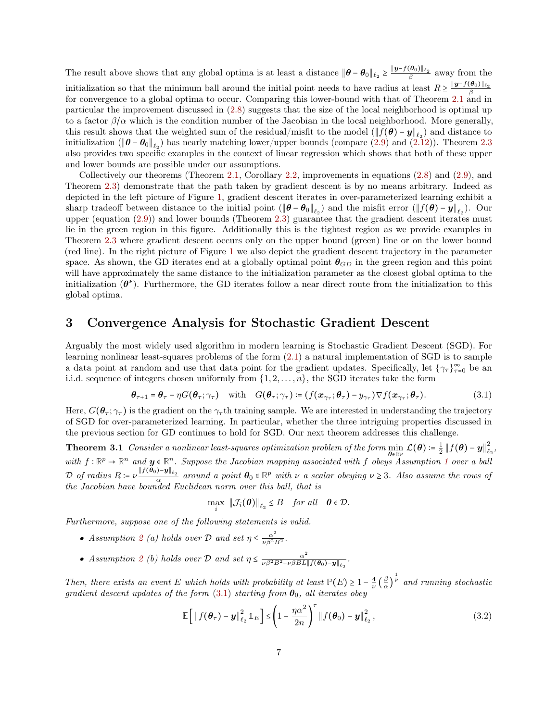The result above shows that any global optima is at least a distance  $\|\theta - \theta_0\|_{\ell_2} \geq \frac{\|\mathbf{y} - f(\theta_0)\|_{\ell_2}}{\beta}$  away from the initialization so that the minimum ball around the initial point needs to have radius at least  $R \geq \frac{\|\mathbf{y} - f(\theta_0)\|_{\ell_2}}{\beta}$ for convergence to a global optima to occur. Comparing this lower-bound with that of Theorem [2.1](#page-3-0) and in particular the improvement discussed in [\(2.8\)](#page-4-1) suggests that the size of the local neighborhood is optimal up to a factor  $\beta/\alpha$  which is the condition number of the Jacobian in the local neighborhood. More generally, this result shows that the weighted sum of the residual/misfit to the model  $(\|f(\theta) - y\|_{\ell_2})$  and distance to initialization ( $\|\boldsymbol{\theta} - \boldsymbol{\theta}_0\|_{\ell_2}$ ) has nearly matching lower/upper bounds (compare [\(2.9\)](#page-4-0) and [\(2.12\)](#page-5-1)). Theorem [2.3](#page-5-0) also provides two specific examples in the context of linear regression which shows that both of these upper and lower bounds are possible under our assumptions.

Collectively our theorems (Theorem [2.1,](#page-3-0) Corollary [2.2,](#page-3-5) improvements in equations [\(2.8\)](#page-4-1) and [\(2.9\)](#page-4-0), and Theorem [2.3\)](#page-5-0) demonstrate that the path taken by gradient descent is by no means arbitrary. Indeed as depicted in the left picture of Figure [1,](#page-5-2) gradient descent iterates in over-parameterized learning exhibit a sharp tradeoff between distance to the initial point  $(\|\boldsymbol{\theta} - \boldsymbol{\theta}_0\|_{\ell_2})$  and the misfit error  $(\|f(\boldsymbol{\theta}) - \boldsymbol{y}\|_{\ell_2})$ . Our upper (equation [\(2.9\)](#page-4-0)) and lower bounds (Theorem [2.3\)](#page-5-0) guarantee that the gradient descent iterates must lie in the green region in this figure. Additionally this is the tightest region as we provide examples in Theorem [2.3](#page-5-0) where gradient descent occurs only on the upper bound (green) line or on the lower bound (red line). In the right picture of Figure [1](#page-5-2) we also depict the gradient descent trajectory in the parameter space. As shown, the GD iterates end at a globally optimal point  $\theta_{GD}$  in the green region and this point will have approximately the same distance to the initialization parameter as the closest global optima to the initialization  $(\theta^*)$ . Furthermore, the GD iterates follow a near direct route from the initialization to this global optima.

# 3 Convergence Analysis for Stochastic Gradient Descent

Arguably the most widely used algorithm in modern learning is Stochastic Gradient Descent (SGD). For learning nonlinear least-squares problems of the form [\(2.1\)](#page-2-0) a natural implementation of SGD is to sample a data point at random and use that data point for the gradient updates. Specifically, let  $\{\gamma_\tau\}_{\tau=0}^\infty$  be an i.i.d. sequence of integers chosen uniformly from  $\{1, 2, \ldots, n\}$ , the SGD iterates take the form

$$
\boldsymbol{\theta}_{\tau+1} = \boldsymbol{\theta}_{\tau} - \eta G(\boldsymbol{\theta}_{\tau}; \gamma_{\tau}) \quad \text{with} \quad G(\boldsymbol{\theta}_{\tau}; \gamma_{\tau}) \coloneqq (f(\boldsymbol{x}_{\gamma_{\tau}}; \boldsymbol{\theta}_{\tau}) - y_{\gamma_{\tau}}) \nabla f(\boldsymbol{x}_{\gamma_{\tau}}; \boldsymbol{\theta}_{\tau}). \tag{3.1}
$$

Here,  $G(\theta_\tau; \gamma_\tau)$  is the gradient on the  $\gamma_\tau$ th training sample. We are interested in understanding the trajectory of SGD for over-parameterized learning. In particular, whether the three intriguing properties discussed in the previous section for GD continues to hold for SGD. Our next theorem addresses this challenge.

**Theorem 3.1** Consider a nonlinear least-squares optimization problem of the form min  $\min_{\boldsymbol{\theta}\in\mathbb{R}^p} \; \mathcal{L}(\boldsymbol{\theta}) \coloneqq \frac{1}{2}\left\|f(\boldsymbol{\theta})-\boldsymbol{y}\right\|_{\ell}^2$  $_{\ell_2}^{\prime},$ with  $f: \mathbb{R}^p \to \mathbb{R}^n$  and  $y \in \mathbb{R}^n$ . Suppose the Jacobian mapping associated with f obeys Assumption [1](#page-2-2) over a ball  $\mathcal{D}$  of radius  $R := \nu \frac{\|f(\theta_0) - y\|_{\ell_2}}{\alpha}$  around a point  $\theta_0 \in \mathbb{R}^p$  with  $\nu$  a scalar obeying  $\nu \geq 3$ . Also assume the rows of the Jacobian have bounded Euclidean norm over this ball, that is

<span id="page-6-1"></span><span id="page-6-0"></span>
$$
\max_i \|\mathcal{J}_i(\boldsymbol{\theta})\|_{\ell_2} \leq B \quad \text{for all} \quad \boldsymbol{\theta} \in \mathcal{D}.
$$

Furthermore, suppose one of the following statements is valid.

- Assumption [2](#page-2-3) (a) holds over  $\mathcal D$  and set  $\eta \leq \frac{\alpha^2}{\nu \beta^2 B^2}$ .
- Assumption [2](#page-2-3) (b) holds over D and set  $\eta \leq \frac{\alpha^2}{\nu \beta^2 B^2 + \nu \beta BL}$  $\frac{\alpha^2}{\nu \beta^2 B^2 + \nu \beta B L \|f(\boldsymbol{\theta}_0) - \boldsymbol{y}\|_{\ell_2}}$  .

Then, there exists an event E which holds with probability at least  $\mathbb{P}(E) \geq 1 - \frac{4}{\nu} \left( \frac{\beta}{\alpha} \right)$  $\frac{1}{\alpha}$  $\frac{1}{p}$  and running stochastic gradient descent updates of the form [\(3.1\)](#page-6-0) starting from  $\theta_0$ , all iterates obey

$$
\mathbb{E}\left[\left\|f(\boldsymbol{\theta}_{\tau})-\boldsymbol{y}\right\|_{\ell_2}^2\mathbb{1}_E\right] \leq \left(1-\frac{\eta\alpha^2}{2n}\right)^{\tau}\left\|f(\boldsymbol{\theta}_0)-\boldsymbol{y}\right\|_{\ell_2}^2, \tag{3.2}
$$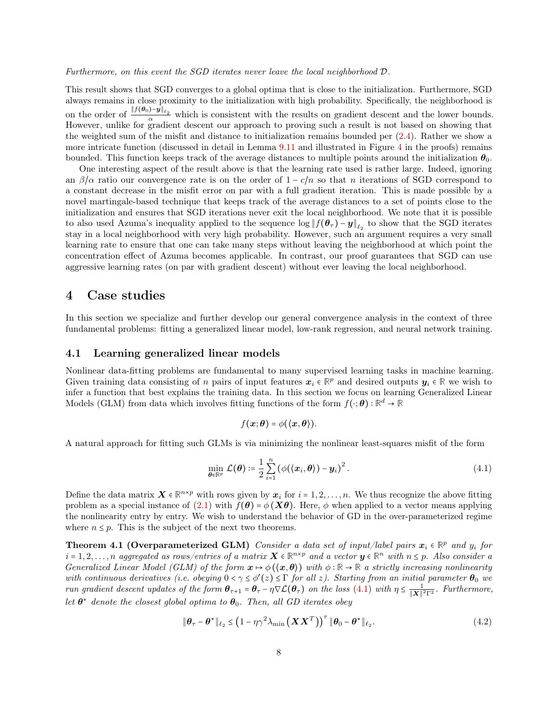Furthermore, on this event the SGD iterates never leave the local neighborhood D.

This result shows that SGD converges to a global optima that is close to the initialization. Furthermore, SGD always remains in close proximity to the initialization with high probability. Specifically, the neighborhood is on the order of  $\frac{||f(\theta_0)-y||_{\ell_2}}{\alpha}$  which is consistent with the results on gradient descent and the lower bounds. However, unlike for gradient descent our approach to proving such a result is not based on showing that the weighted sum of the misfit and distance to initialization remains bounded per [\(2.4\)](#page-3-3). Rather we show a more intricate function (discussed in detail in Lemma [9.11](#page-28-0) and illustrated in Figure [4](#page-23-0) in the proofs) remains bounded. This function keeps track of the average distances to multiple points around the initialization  $\theta_0$ .

One interesting aspect of the result above is that the learning rate used is rather large. Indeed, ignoring an  $\beta/\alpha$  ratio our convergence rate is on the order of  $1 - c/n$  so that n iterations of SGD correspond to a constant decrease in the misfit error on par with a full gradient iteration. This is made possible by a novel martingale-based technique that keeps track of the average distances to a set of points close to the initialization and ensures that SGD iterations never exit the local neighborhood. We note that it is possible to also used Azuma's inequality applied to the sequence  $\log || f(\theta_\tau) - y||_{\ell_2}$  to show that the SGD iterates stay in a local neighborhood with very high probability. However, such an argument requires a very small learning rate to ensure that one can take many steps without leaving the neighborhood at which point the concentration effect of Azuma becomes applicable. In contrast, our proof guarantees that SGD can use aggressive learning rates (on par with gradient descent) without ever leaving the local neighborhood.

# 4 Case studies

In this section we specialize and further develop our general convergence analysis in the context of three fundamental problems: fitting a generalized linear model, low-rank regression, and neural network training.

#### 4.1 Learning generalized linear models

Nonlinear data-fitting problems are fundamental to many supervised learning tasks in machine learning. Given training data consisting of n pairs of input features  $x_i \in \mathbb{R}^p$  and desired outputs  $y_i \in \mathbb{R}$  we wish to infer a function that best explains the training data. In this section we focus on learning Generalized Linear Models (GLM) from data which involves fitting functions of the form  $f(\cdot; \theta) : \mathbb{R}^d \to \mathbb{R}$ 

<span id="page-7-0"></span>
$$
f(\boldsymbol{x};\boldsymbol{\theta})=\phi(\langle \boldsymbol{x},\boldsymbol{\theta}\rangle).
$$

A natural approach for fitting such GLMs is via minimizing the nonlinear least-squares misfit of the form

<span id="page-7-2"></span>
$$
\min_{\boldsymbol{\theta}\in\mathbb{R}^p} \mathcal{L}(\boldsymbol{\theta}) \coloneqq \frac{1}{2} \sum_{i=1}^n (\phi(\langle \boldsymbol{x}_i, \boldsymbol{\theta} \rangle) - \boldsymbol{y}_i)^2. \tag{4.1}
$$

Define the data matrix  $\mathbf{X} \in \mathbb{R}^{n \times p}$  with rows given by  $\mathbf{x}_i$  for  $i = 1, 2, ..., n$ . We thus recognize the above fitting problem as a special instance of [\(2.1\)](#page-2-0) with  $f(\theta) = \phi(\mathbf{X}\theta)$ . Here,  $\phi$  when applied to a vector means applying the nonlinearity entry by entry. We wish to understand the behavior of GD in the over-parameterized regime where  $n \leq p$ . This is the subject of the next two theorems.

**Theorem 4.1 (Overparameterized GLM)** Consider a data set of input/label pairs  $x_i \in \mathbb{R}^p$  and  $y_i$  for  $i = 1, 2, \ldots, n$  aggregated as rows/entries of a matrix  $\mathbf{X} \in \mathbb{R}^{n \times p}$  and a vector  $\mathbf{y} \in \mathbb{R}^n$  with  $n \leq p$ . Also consider a Generalized Linear Model (GLM) of the form  $x \mapsto \phi(\langle x, \theta \rangle)$  with  $\phi : \mathbb{R} \to \mathbb{R}$  a strictly increasing nonlinearity with continuous derivatives (i.e. obeying  $0 < \gamma \le \phi'(z) \le \Gamma$  for all z). Starting from an initial parameter  $\theta_0$  we run gradient descent updates of the form  $\theta_{\tau+1}$  =  $\theta_{\tau}$  –  $\eta \nabla \mathcal{L}(\theta_{\tau})$  on the loss [\(4.1\)](#page-7-0) with  $\eta \leq \frac{1}{\|\mathbf{X}\|^2}$  $\frac{1}{\|\mathbf{X}\|^2 \Gamma^2}$ . Furthermore, let  $\theta^*$  denote the closest global optima to  $\theta_0$ . Then, all GD iterates obey

<span id="page-7-1"></span>
$$
\|\boldsymbol{\theta}_{\tau} - \boldsymbol{\theta}^{\star}\|_{\ell_2} \leq \left(1 - \eta \gamma^2 \lambda_{\min} \left(\boldsymbol{X} \boldsymbol{X}^T\right)\right)^{\tau} \|\boldsymbol{\theta}_0 - \boldsymbol{\theta}^{\star}\|_{\ell_2}.
$$
 (4.2)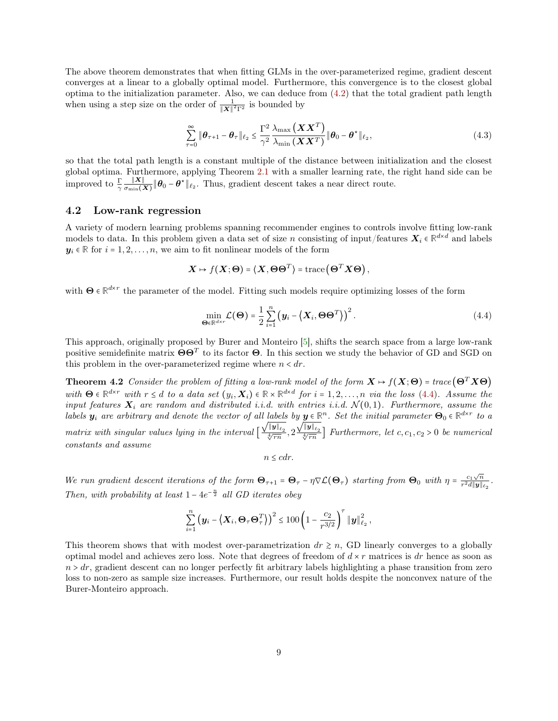The above theorem demonstrates that when fitting GLMs in the over-parameterized regime, gradient descent converges at a linear to a globally optimal model. Furthermore, this convergence is to the closest global optima to the initialization parameter. Also, we can deduce from [\(4.2\)](#page-7-1) that the total gradient path length when using a step size on the order of  $\frac{1}{\|\mathbf{X}\|^2 \mathbf{F}^2}$  is bounded by

<span id="page-8-3"></span>
$$
\sum_{\tau=0}^{\infty} \|\boldsymbol{\theta}_{\tau+1} - \boldsymbol{\theta}_{\tau}\|_{\ell_2} \le \frac{\Gamma^2}{\gamma^2} \frac{\lambda_{\max}(\boldsymbol{X}\boldsymbol{X}^T)}{\lambda_{\min}(\boldsymbol{X}\boldsymbol{X}^T)} \|\boldsymbol{\theta}_0 - \boldsymbol{\theta}^{\star}\|_{\ell_2},
$$
\n(4.3)

so that the total path length is a constant multiple of the distance between initialization and the closest global optima. Furthermore, applying Theorem [2.1](#page-3-0) with a smaller learning rate, the right hand side can be improved to  $\frac{\Gamma}{\gamma} \frac{\|\mathbf{X}\|}{\sigma_{\min}(\lambda)}$  $\frac{\|\mathbf{A}\|}{\sigma_{\min}(\mathbf{X})}\|\boldsymbol{\theta}_0 - \boldsymbol{\theta}^{\star}\|_{\ell_2}$ . Thus, gradient descent takes a near direct route.

#### <span id="page-8-2"></span>4.2 Low-rank regression

A variety of modern learning problems spanning recommender engines to controls involve fitting low-rank models to data. In this problem given a data set of size n consisting of input/features  $X_i \in \mathbb{R}^{d \times d}$  and labels  $y_i \in \mathbb{R}$  for  $i = 1, 2, ..., n$ , we aim to fit nonlinear models of the form

$$
\mathbf{X} \mapsto f(\mathbf{X}; \mathbf{\Theta}) = \langle \mathbf{X}, \mathbf{\Theta} \mathbf{\Theta}^T \rangle = \text{trace}(\mathbf{\Theta}^T \mathbf{X} \mathbf{\Theta}),
$$

with  $\Theta \in \mathbb{R}^{d \times r}$  the parameter of the model. Fitting such models require optimizing losses of the form

$$
\min_{\mathbf{\Theta} \in \mathbb{R}^{d \times r}} \mathcal{L}(\mathbf{\Theta}) = \frac{1}{2} \sum_{i=1}^{n} \left( \mathbf{y}_i - \left\langle \mathbf{X}_i, \mathbf{\Theta} \mathbf{\Theta}^T \right\rangle \right)^2.
$$
\n(4.4)

This approach, originally proposed by Burer and Monteiro [\[5\]](#page-36-3), shifts the search space from a large low-rank positive semidefinite matrix  $\Theta\Theta^T$  to its factor  $\Theta$ . In this section we study the behavior of GD and SGD on this problem in the over-parameterized regime where  $n < dr$ .

**Theorem 4.2** Consider the problem of fitting a low-rank model of the form  $X \mapsto f(X; \Theta) = \text{trace}(\Theta^T X \Theta)$ with  $\Theta \in \mathbb{R}^{d \times r}$  with  $r \leq d$  to a data set  $(y_i, X_i) \in \mathbb{R} \times \mathbb{R}^{d \times d}$  for  $i = 1, 2, ..., n$  via the loss [\(4.4\)](#page-8-0). Assume the input features  $X_i$  are random and distributed i.i.d. with entries i.i.d.  $\mathcal{N}(0,1)$ . Furthermore, assume the labels  $y_i$  are arbitrary and denote the vector of all labels by  $y \in \mathbb{R}^n$ . Set the initial parameter  $\Theta_0 \in \mathbb{R}^{d \times r}$  to a matrix with singular values lying in the interval  $\lfloor$  $\frac{\sqrt{\|{\boldsymbol y}\|_{\ell_2}}}{\sqrt[4]{rn}}, 2$  $\frac{\sqrt{\|\mathbf{y}\|_{\ell_2}}}{\sqrt[4]{rn}}$  Furthermore, let c, c<sub>1</sub>, c<sub>2</sub> > 0 be numerical constants and assume

<span id="page-8-1"></span><span id="page-8-0"></span>
$$
n \leq cdr.
$$

We run gradient descent iterations of the form  $\mathbf{\Theta}_{\tau+1} = \mathbf{\Theta}_{\tau} - \eta \nabla \mathcal{L}(\mathbf{\Theta}_{\tau})$  starting from  $\mathbf{\Theta}_0$  with  $\eta = \frac{c_1 \sqrt{n}}{r^2 d \|\mathbf{y}\|_1}$  $\frac{c_1\sqrt{n}}{r^2d\|\boldsymbol{y}\|_{\ell_2}}.$ Then, with probability at least  $1 - 4e^{-\frac{n}{2}}$  all GD iterates obey

$$
\sum_{i=1}^n \left( \boldsymbol{y}_i - \left\langle \boldsymbol{X}_i, \boldsymbol{\Theta}_\tau \boldsymbol{\Theta}_\tau^T \right\rangle \right)^2 \leq 100 \left( 1 - \frac{c_2}{r^{3/2}} \right)^{\tau} \|\boldsymbol{y}\|_{\ell_2}^2 ,
$$

This theorem shows that with modest over-parametrization  $dr \geq n$ , GD linearly converges to a globally optimal model and achieves zero loss. Note that degrees of freedom of  $dx r$  matrices is dr hence as soon as  $n > dr$ , gradient descent can no longer perfectly fit arbitrary labels highlighting a phase transition from zero loss to non-zero as sample size increases. Furthermore, our result holds despite the nonconvex nature of the Burer-Monteiro approach.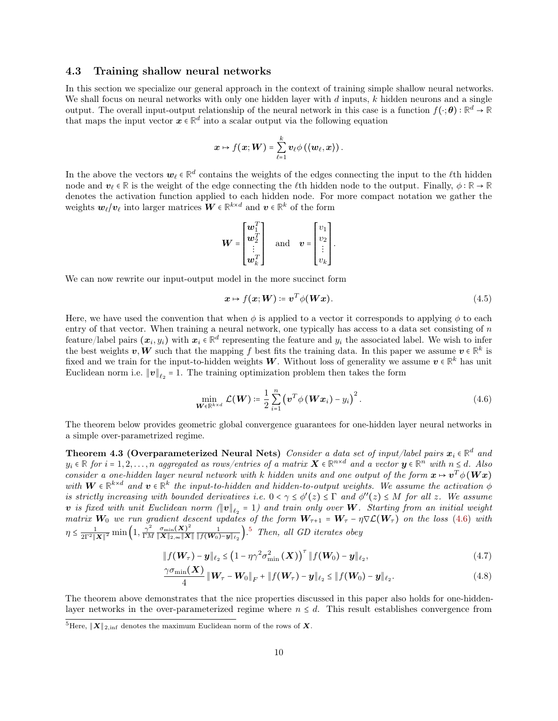#### 4.3 Training shallow neural networks

In this section we specialize our general approach in the context of training simple shallow neural networks. We shall focus on neural networks with only one hidden layer with  $d$  inputs,  $k$  hidden neurons and a single output. The overall input-output relationship of the neural network in this case is a function  $f(\cdot; \theta) : \mathbb{R}^d \to \mathbb{R}$ that maps the input vector  $x \in \mathbb{R}^d$  into a scalar output via the following equation

$$
\mathbf{x}\mapsto f(\mathbf{x};\mathbf{W})=\sum_{\ell=1}^k\mathbf{v}_\ell\phi\left(\langle\mathbf{w}_\ell,\mathbf{x}\rangle\right).
$$

In the above the vectors  $w_\ell \in \mathbb{R}^d$  contains the weights of the edges connecting the input to the  $\ell$ <sup>th</sup> hidden node and  $v_\ell \in \mathbb{R}$  is the weight of the edge connecting the  $\ell$ th hidden node to the output. Finally,  $\phi : \mathbb{R} \to \mathbb{R}$ denotes the activation function applied to each hidden node. For more compact notation we gather the weights  $w_{\ell}/v_{\ell}$  into larger matrices  $W \in \mathbb{R}^{k \times d}$  and  $v \in \mathbb{R}^{k}$  of the form

$$
\boldsymbol{W} = \begin{bmatrix} \boldsymbol{w}_1^T \\ \boldsymbol{w}_2^T \\ \vdots \\ \boldsymbol{w}_k^T \end{bmatrix} \quad \text{and} \quad \boldsymbol{v} = \begin{bmatrix} v_1 \\ v_2 \\ \vdots \\ v_k \end{bmatrix}.
$$

We can now rewrite our input-output model in the more succinct form

<span id="page-9-0"></span>
$$
x \mapsto f(x;W) \coloneqq v^T \phi(Wx). \tag{4.5}
$$

Here, we have used the convention that when  $\phi$  is applied to a vector it corresponds to applying  $\phi$  to each entry of that vector. When training a neural network, one typically has access to a data set consisting of n feature/label pairs  $(x_i, y_i)$  with  $x_i \in \mathbb{R}^d$  representing the feature and  $y_i$  the associated label. We wish to infer the best weights **v**, **W** such that the mapping f best fits the training data. In this paper we assume  $v \in \mathbb{R}^k$  is fixed and we train for the input-to-hidden weights W. Without loss of generality we assume  $v \in \mathbb{R}^k$  has unit Euclidean norm i.e.  $||v||_{\ell_2} = 1$ . The training optimization problem then takes the form

<span id="page-9-1"></span>
$$
\min_{\mathbf{W}\in\mathbb{R}^{k\times d}}\mathcal{L}(\mathbf{W})\coloneqq\frac{1}{2}\sum_{i=1}^{n}\left(\mathbf{v}^{T}\phi\left(\mathbf{W}\mathbf{x}_{i}\right)-y_{i}\right)^{2}.\tag{4.6}
$$

The theorem below provides geometric global convergence guarantees for one-hidden layer neural networks in a simple over-parametrized regime.

Theorem 4.3 (Overparameterized Neural Nets) Consider a data set of input/label pairs  $x_i \in \mathbb{R}^d$  and  $y_i \in \mathbb{R}$  for  $i = 1, 2, ..., n$  aggregated as rows/entries of a matrix  $\mathbf{X} \in \mathbb{R}^{n \times d}$  and a vector  $\mathbf{y} \in \mathbb{R}^n$  with  $n \leq d$ . Also consider a one-hidden layer neural network with k hidden units and one output of the form  $x \mapsto v^T \phi(Wx)$ with  $W \in \mathbb{R}^{k \times d}$  and  $v \in \mathbb{R}^k$  the input-to-hidden and hidden-to-output weights. We assume the activation  $\phi$ is strictly increasing with bounded derivatives i.e.  $0 < \gamma \leq \phi'(z) \leq \Gamma$  and  $\phi''(z) \leq M$  for all z. We assume v is fixed with unit Euclidean norm  $(\|\mathbf{v}\|_{\ell_2} = 1)$  and train only over W. Starting from an initial weight matrix  $W_0$  we run gradient descent updates of the form  $W_{\tau+1} = W_{\tau} - \eta \nabla \mathcal{L}(W_{\tau})$  on the loss [\(4.6\)](#page-9-0) with  $\eta \leq \frac{1}{2\Gamma^2 ||\boldsymbol{X}||^2} \min\left(1, \frac{\gamma^2}{\Gamma M}\right)$  $\frac{\gamma^2}{\Gamma M} \frac{\sigma_{\min}(\boldsymbol{X})^2}{\|\boldsymbol{X}\|_{2,\infty} \|\boldsymbol{X}}$  $\frac{\sigma_{\min}(X)^2}{\|X\|_{2,\infty}\|X\|} \frac{1}{\|f(W_0)-y\|_{\ell_2}}$ .<sup>[5](#page-0-1)</sup> Then, all GD iterates obey

$$
|| f(\boldsymbol{W}_{\tau}) - \boldsymbol{y} ||_{\ell_2} \leq \left(1 - \eta \gamma^2 \sigma_{\min}^2 \left(\boldsymbol{X}\right)\right)^{\tau} || f(\boldsymbol{W}_0) - \boldsymbol{y} ||_{\ell_2},
$$
\n(4.7)

$$
\frac{\gamma \sigma_{\min}(\bm{X})}{4} \left\| \bm{W}_{\tau} - \bm{W}_{0} \right\|_{F} + \left\| f(\bm{W}_{\tau}) - \bm{y} \right\|_{\ell_{2}} \leq \left\| f(\bm{W}_{0}) - \bm{y} \right\|_{\ell_{2}}.
$$
\n(4.8)

The theorem above demonstrates that the nice properties discussed in this paper also holds for one-hiddenlayer networks in the over-parameterized regime where  $n \leq d$ . This result establishes convergence from

<sup>&</sup>lt;sup>5</sup>Here,  $||\boldsymbol{X}||_{2, \text{inf}}$  denotes the maximum Euclidean norm of the rows of  $\boldsymbol{X}$ .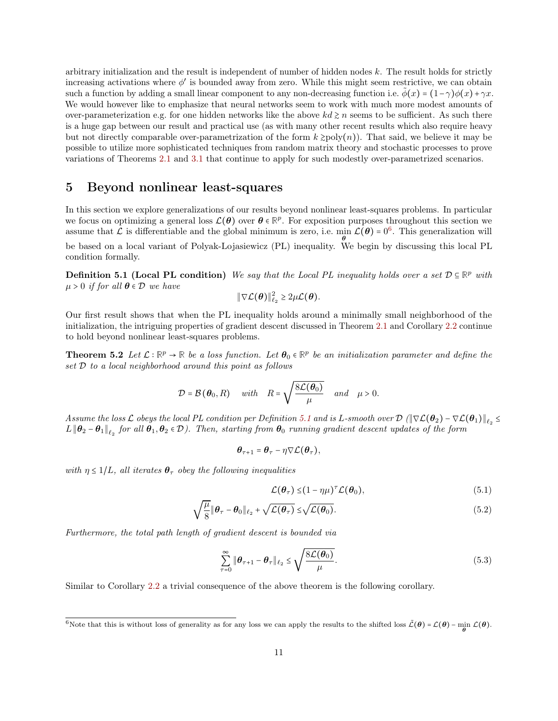arbitrary initialization and the result is independent of number of hidden nodes  $k$ . The result holds for strictly increasing activations where  $\phi'$  is bounded away from zero. While this might seem restrictive, we can obtain such a function by adding a small linear component to any non-decreasing function i.e.  $\phi(x) = (1-\gamma)\phi(x) + \gamma x$ . We would however like to emphasize that neural networks seem to work with much more modest amounts of over-parameterization e.g. for one hidden networks like the above  $kd \geq n$  seems to be sufficient. As such there is a huge gap between our result and practical use (as with many other recent results which also require heavy but not directly comparable over-parametrization of the form  $k \geq \text{poly}(n)$ ). That said, we believe it may be possible to utilize more sophisticated techniques from random matrix theory and stochastic processes to prove variations of Theorems [2.1](#page-3-0) and [3.1](#page-6-1) that continue to apply for such modestly over-parametrized scenarios.

# <span id="page-10-0"></span>5 Beyond nonlinear least-squares

In this section we explore generalizations of our results beyond nonlinear least-squares problems. In particular we focus on optimizing a general loss  $\mathcal{L}(\theta)$  over  $\theta \in \mathbb{R}^p$ . For exposition purposes throughout this section we assume that  $\mathcal L$  is differentiable and the global minimum is zero, i.e.  $\min_{\theta} \mathcal L(\theta) = 0^6$  $\min_{\theta} \mathcal L(\theta) = 0^6$ . This generalization will

<span id="page-10-1"></span>be based on a local variant of Polyak-Lojasiewicz (PL) inequality. We begin by discussing this local PL condition formally.

**Definition 5.1 (Local PL condition)** We say that the Local PL inequality holds over a set  $D \subseteq \mathbb{R}^p$  with  $\mu > 0$  if for all  $\boldsymbol{\theta} \in \mathcal{D}$  we have

<span id="page-10-2"></span>
$$
\|\nabla \mathcal{L}(\boldsymbol{\theta})\|_{\ell_2}^2 \geq 2\mu \mathcal{L}(\boldsymbol{\theta}).
$$

Our first result shows that when the PL inequality holds around a minimally small neighborhood of the initialization, the intriguing properties of gradient descent discussed in Theorem [2.1](#page-3-0) and Corollary [2.2](#page-3-5) continue to hold beyond nonlinear least-squares problems.

**Theorem 5.2** Let  $\mathcal{L}: \mathbb{R}^p \to \mathbb{R}$  be a loss function. Let  $\theta_0 \in \mathbb{R}^p$  be an initialization parameter and define the set D to a local neighborhood around this point as follows

$$
\mathcal{D}=\mathcal{B}\left(\boldsymbol{\theta}_{0},R\right) \quad with \quad R=\sqrt{\frac{8\mathcal{L}(\boldsymbol{\theta}_{0})}{\mu}} \quad and \quad \mu>0.
$$

 $Assume the loss \mathcal{L} obeys the local PL condition per Definition 5.1 and is L-smooth over  $\mathcal{D}(\|\nabla \mathcal{L}(\theta_2) - \nabla \mathcal{L}(\theta_1)\|_{\ell_2} \leq$  $Assume the loss \mathcal{L} obeys the local PL condition per Definition 5.1 and is L-smooth over  $\mathcal{D}(\|\nabla \mathcal{L}(\theta_2) - \nabla \mathcal{L}(\theta_1)\|_{\ell_2} \leq$  $Assume the loss \mathcal{L} obeys the local PL condition per Definition 5.1 and is L-smooth over  $\mathcal{D}(\|\nabla \mathcal{L}(\theta_2) - \nabla \mathcal{L}(\theta_1)\|_{\ell_2} \leq$$$$  $L\|\bm{\theta}_2-\bm{\theta}_1\|_{\ell_2}$  for all  $\bm{\theta}_1,\bm{\theta}_2\in\mathcal{D}$ ). Then, starting from  $\bm{\theta}_0$  running gradient descent updates of the form

$$
\boldsymbol{\theta}_{\tau+1} = \boldsymbol{\theta}_{\tau} - \eta \nabla \mathcal{L}(\boldsymbol{\theta}_{\tau}),
$$

with  $\eta \leq 1/L$ , all iterates  $\theta_{\tau}$  obey the following inequalities

<span id="page-10-5"></span><span id="page-10-4"></span><span id="page-10-3"></span>
$$
\mathcal{L}(\boldsymbol{\theta}_{\tau}) \leq (1 - \eta \mu)^{\tau} \mathcal{L}(\boldsymbol{\theta}_{0}), \qquad (5.1)
$$

$$
\sqrt{\frac{\mu}{8}} \|\boldsymbol{\theta}_{\tau} - \boldsymbol{\theta}_{0}\|_{\ell_{2}} + \sqrt{\mathcal{L}(\boldsymbol{\theta}_{\tau})} \leq \sqrt{\mathcal{L}(\boldsymbol{\theta}_{0})}.
$$
\n(5.2)

Furthermore, the total path length of gradient descent is bounded via

$$
\sum_{\tau=0}^{\infty} \|\boldsymbol{\theta}_{\tau+1} - \boldsymbol{\theta}_{\tau}\|_{\ell_2} \le \sqrt{\frac{8\mathcal{L}(\boldsymbol{\theta}_0)}{\mu}}.
$$
\n(5.3)

Similar to Corollary [2.2](#page-3-5) a trivial consequence of the above theorem is the following corollary.

<sup>6</sup>Note that this is without loss of generality as for any loss we can apply the results to the shifted loss  $\tilde{\mathcal{L}}(\theta) = \mathcal{L}(\theta) - \min_{\theta} \mathcal{L}(\theta)$ .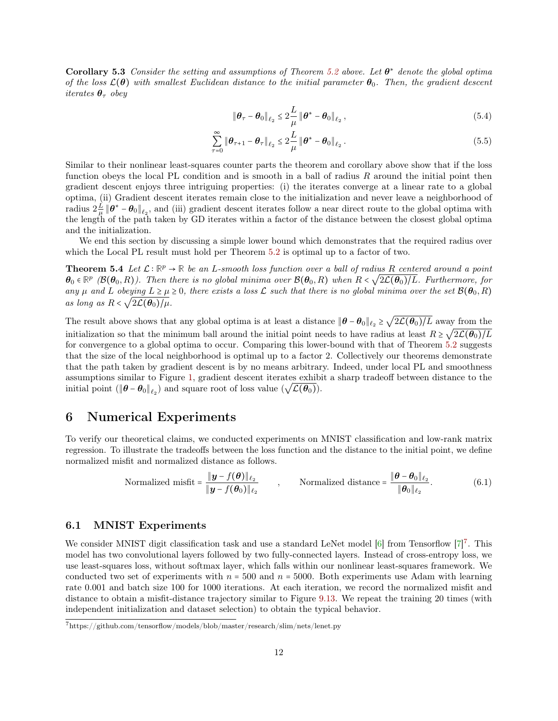**Corollary 5.3** Consider the setting and assumptions of Theorem [5.2](#page-10-2) above. Let  $\theta^*$  denote the global optima of the loss  $\mathcal{L}(\theta)$  with smallest Euclidean distance to the initial parameter  $\theta_0$ . Then, the gradient descent iterates  $\theta_{\tau}$  obey

<span id="page-11-0"></span>
$$
\|\boldsymbol{\theta}_{\tau}-\boldsymbol{\theta}_{0}\|_{\ell_{2}} \leq 2\frac{L}{\mu}\|\boldsymbol{\theta}^{*}-\boldsymbol{\theta}_{0}\|_{\ell_{2}},
$$
\n(5.4)

$$
\sum_{\tau=0}^{\infty} \|\boldsymbol{\theta}_{\tau+1} - \boldsymbol{\theta}_{\tau}\|_{\ell_2} \leq 2\frac{L}{\mu} \|\boldsymbol{\theta}^* - \boldsymbol{\theta}_0\|_{\ell_2}.
$$
\n(5.5)

Similar to their nonlinear least-squares counter parts the theorem and corollary above show that if the loss function obeys the local PL condition and is smooth in a ball of radius R around the initial point then gradient descent enjoys three intriguing properties: (i) the iterates converge at a linear rate to a global optima, (ii) Gradient descent iterates remain close to the initialization and never leave a neighborhood of radius  $2\frac{L}{\mu} \|\boldsymbol{\theta}^* - \boldsymbol{\theta}_0\|_{\ell_2}$ , and (iii) gradient descent iterates follow a near direct route to the global optima with the length of the path taken by GD iterates within a factor of the distance between the closest global optima and the initialization.

We end this section by discussing a simple lower bound which demonstrates that the required radius over which the Local PL result must hold per Theorem [5.2](#page-10-2) is optimal up to a factor of two.

**Theorem 5.4** Let  $\mathcal{L}: \mathbb{R}^p \to \mathbb{R}$  be an L-smooth loss function over a ball of radius R centered around a point  $\theta_0 \in \mathbb{R}^p$  ( $\mathcal{B}(\theta_0, R)$ ). Then there is no global minima over  $\mathcal{B}(\theta_0, R)$  when  $R < \sqrt{2L(\theta_0)/L}$ . Furthermore, for any  $\mu$  and  $L$  obeying  $L \ge \mu \ge 0$ , there exists a loss  $\mathcal L$  such that there is no global minima over the set  $\mathcal B(\theta_0, R)$ as long as  $R < \sqrt{2\mathcal{L}(\theta_0)/\mu}$ .

The result above shows that any global optima is at least a distance  $\|\theta - \theta_0\|_{\ell_2} \geq \sqrt{2\mathcal{L}(\theta_0)/L}$  away from the initialization so that the minimum ball around the initial point needs to have radius at least  $R \geq \sqrt{2\mathcal{L}(\theta_0)/L}$ for convergence to a global optima to occur. Comparing this lower-bound with that of Theorem [5.2](#page-10-2) suggests that the size of the local neighborhood is optimal up to a factor 2. Collectively our theorems demonstrate that the path taken by gradient descent is by no means arbitrary. Indeed, under local PL and smoothness assumptions similar to Figure [1,](#page-5-2) gradient descent iterates exhibit a sharp tradeoff between distance to the initial point ( $\|\theta - \theta_0\|_{\ell_2}$ ) and square root of loss value  $(\sqrt{\mathcal{L}(\theta_0)})$ .

# 6 Numerical Experiments

To verify our theoretical claims, we conducted experiments on MNIST classification and low-rank matrix regression. To illustrate the tradeoffs between the loss function and the distance to the initial point, we define normalized misfit and normalized distance as follows.

$$
\text{Normalized misfit} = \frac{\|\boldsymbol{y} - f(\boldsymbol{\theta})\|_{\ell_2}}{\|\boldsymbol{y} - f(\boldsymbol{\theta}_0)\|_{\ell_2}} \qquad , \qquad \text{Normalized distance} = \frac{\|\boldsymbol{\theta} - \boldsymbol{\theta}_0\|_{\ell_2}}{\|\boldsymbol{\theta}_0\|_{\ell_2}}. \tag{6.1}
$$

### 6.1 MNIST Experiments

We consider MNIST digit classification task and use a standard LeNet model  $[6]$  from Tensorflow  $[7]^7$  $[7]^7$  $[7]^7$ . This model has two convolutional layers followed by two fully-connected layers. Instead of cross-entropy loss, we use least-squares loss, without softmax layer, which falls within our nonlinear least-squares framework. We conducted two set of experiments with  $n = 500$  and  $n = 5000$ . Both experiments use Adam with learning rate 0.001 and batch size 100 for 1000 iterations. At each iteration, we record the normalized misfit and distance to obtain a misfit-distance trajectory similar to Figure [9.13.](#page-17-0) We repeat the training 20 times (with independent initialization and dataset selection) to obtain the typical behavior.

<sup>7</sup>https://github.com/tensorflow/models/blob/master/research/slim/nets/lenet.py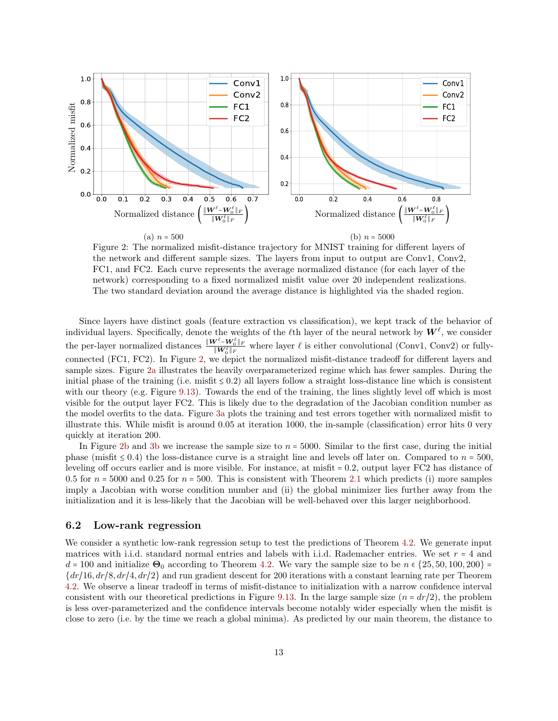<span id="page-12-0"></span>

Figure 2: The normalized misfit-distance trajectory for MNIST training for different layers of the network and different sample sizes. The layers from input to output are Conv1, Conv2, FC1, and FC2. Each curve represents the average normalized distance (for each layer of the network) corresponding to a fixed normalized misfit value over 20 independent realizations. The two standard deviation around the average distance is highlighted via the shaded region.

Since layers have distinct goals (feature extraction vs classification), we kept track of the behavior of individual layers. Specifically, denote the weights of the  $\ell$ th layer of the neural network by  $W^\ell$ , we consider the per-layer normalized distances  $\frac{\|W^{\ell}-W_0^{\ell}\|_F}{\|W_0^{\ell}\|_F}$  where layer  $\ell$  is either convolutional (Conv1, Conv2) or fullyconnected (FC1, FC2). In Figure [2,](#page-12-0) we depict the normalized misfit-distance tradeoff for different layers and sample sizes. Figure [2a](#page-12-0) illustrates the heavily overparameterized regime which has fewer samples. During the initial phase of the training (i.e. misfit  $\leq 0.2$ ) all layers follow a straight loss-distance line which is consistent with our theory (e.g. Figure [9.13\)](#page-17-0). Towards the end of the training, the lines slightly level off which is most visible for the output layer FC2. This is likely due to the degradation of the Jacobian condition number as the model overfits to the data. Figure [3a](#page-13-0) plots the training and test errors together with normalized misfit to illustrate this. While misfit is around 0.05 at iteration 1000, the in-sample (classification) error hits 0 very quickly at iteration 200.

In Figure [2b](#page-12-0) and [3b](#page-13-0) we increase the sample size to  $n = 5000$ . Similar to the first case, during the initial phase (misfit  $\leq 0.4$ ) the loss-distance curve is a straight line and levels off later on. Compared to  $n = 500$ , leveling off occurs earlier and is more visible. For instance, at misfit = 0.2, output layer FC2 has distance of 0.5 for  $n = 5000$  and 0.25 for  $n = 500$ . This is consistent with Theorem [2.1](#page-3-0) which predicts (i) more samples imply a Jacobian with worse condition number and (ii) the global minimizer lies further away from the initialization and it is less-likely that the Jacobian will be well-behaved over this larger neighborhood.

#### 6.2 Low-rank regression

We consider a synthetic low-rank regression setup to test the predictions of Theorem [4.2.](#page-8-1) We generate input matrices with i.i.d. standard normal entries and labels with i.i.d. Rademacher entries. We set  $r = 4$  and  $d = 100$  and initialize  $\Theta_0$  according to Theorem [4.2.](#page-8-1) We vary the sample size to be  $n \in \{25, 50, 100, 200\}$  ${dr/16, dr/8, dr/4, dr/2}$  and run gradient descent for 200 iterations with a constant learning rate per Theorem [4.2.](#page-8-1) We observe a linear tradeoff in terms of misfit-distance to initialization with a narrow confidence interval consistent with our theoretical predictions in Figure [9.13.](#page-17-0) In the large sample size  $(n = dr/2)$ , the problem is less over-parameterized and the confidence intervals become notably wider especially when the misfit is close to zero (i.e. by the time we reach a global minima). As predicted by our main theorem, the distance to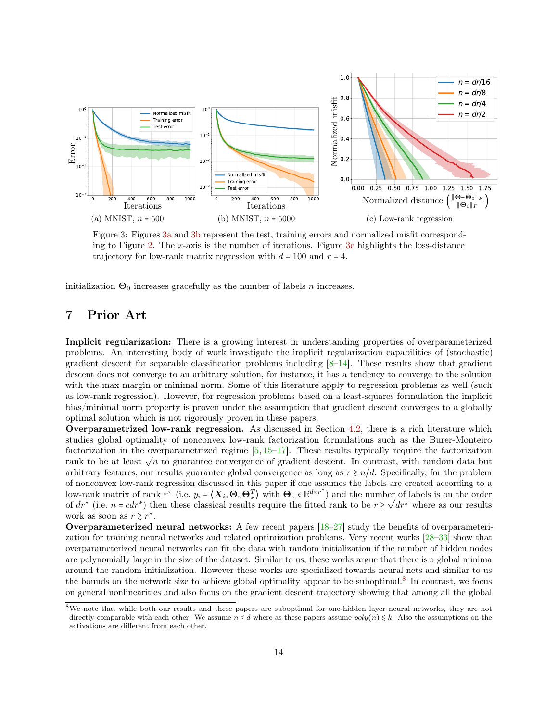<span id="page-13-0"></span>

Figure 3: Figures [3a](#page-13-0) and [3b](#page-13-0) represent the test, training errors and normalized misfit corresponding to Figure [2.](#page-12-0) The x-axis is the number of iterations. Figure [3c](#page-13-0) highlights the loss-distance trajectory for low-rank matrix regression with  $d = 100$  and  $r = 4$ .

initialization  $\Theta_0$  increases gracefully as the number of labels n increases.

# 7 Prior Art

Implicit regularization: There is a growing interest in understanding properties of overparameterized problems. An interesting body of work investigate the implicit regularization capabilities of (stochastic) gradient descent for separable classification problems including  $[8-14]$  $[8-14]$ . These results show that gradient descent does not converge to an arbitrary solution, for instance, it has a tendency to converge to the solution with the max margin or minimal norm. Some of this literature apply to regression problems as well (such as low-rank regression). However, for regression problems based on a least-squares formulation the implicit bias/minimal norm property is proven under the assumption that gradient descent converges to a globally optimal solution which is not rigorously proven in these papers.

Overparametrized low-rank regression. As discussed in Section [4.2,](#page-8-2) there is a rich literature which studies global optimality of nonconvex low-rank factorization formulations such as the Burer-Monteiro factorization in the overparametrized regime  $[5, 15-17]$  $[5, 15-17]$  $[5, 15-17]$ . These results typically require the factorization rank to be at least  $\sqrt{n}$  to guarantee convergence of gradient descent. In contrast, with random data but arbitrary features, our results guarantee global convergence as long as  $r \geq n/d$ . Specifically, for the problem of nonconvex low-rank regression discussed in this paper if one assumes the labels are created according to a low-rank matrix of rank  $r^*$  (i.e.  $y_i = \langle \mathbf{X}_i, \mathbf{\Theta}_* \mathbf{\Theta}_*^T \rangle$  with  $\mathbf{\Theta}_* \in \mathbb{R}^{d \times r^*}$ ) and the number of labels is on the order of  $dr^*$  (i.e.  $n = cdr^*$ ) then these classical results require the fitted rank to be  $r \ge \sqrt{dr^*}$  where as our results work as soon as  $r \geq r^*$ .

Overparameterized neural networks: A few recent papers  $[18-27]$  $[18-27]$  study the benefits of overparameterization for training neural networks and related optimization problems. Very recent works [\[28–](#page-37-1)[33\]](#page-37-2) show that overparameterized neural networks can fit the data with random initialization if the number of hidden nodes are polynomially large in the size of the dataset. Similar to us, these works argue that there is a global minima around the random initialization. However these works are specialized towards neural nets and similar to us the bounds on the network size to achieve global optimality appear to be suboptimal.<sup>[8](#page-0-1)</sup> In contrast, we focus on general nonlinearities and also focus on the gradient descent trajectory showing that among all the global

<sup>8</sup>We note that while both our results and these papers are suboptimal for one-hidden layer neural networks, they are not directly comparable with each other. We assume  $n \le d$  where as these papers assume  $poly(n) \le k$ . Also the assumptions on the activations are different from each other.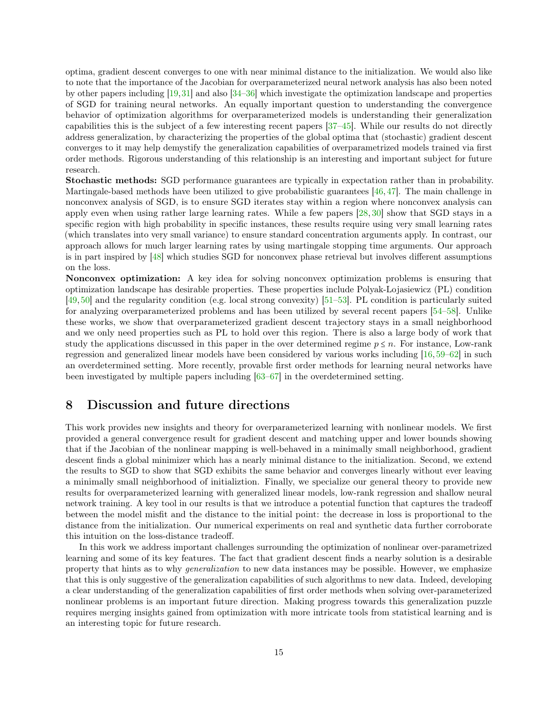optima, gradient descent converges to one with near minimal distance to the initialization. We would also like to note that the importance of the Jacobian for overparameterized neural network analysis has also been noted by other papers including [\[19,](#page-36-11)[31\]](#page-37-3) and also [\[34](#page-37-4)[–36\]](#page-37-5) which investigate the optimization landscape and properties of SGD for training neural networks. An equally important question to understanding the convergence behavior of optimization algorithms for overparameterized models is understanding their generalization capabilities this is the subject of a few interesting recent papers [\[37](#page-37-6)[–45\]](#page-38-0). While our results do not directly address generalization, by characterizing the properties of the global optima that (stochastic) gradient descent converges to it may help demystify the generalization capabilities of overparametrized models trained via first order methods. Rigorous understanding of this relationship is an interesting and important subject for future research.

Stochastic methods: SGD performance guarantees are typically in expectation rather than in probability. Martingale-based methods have been utilized to give probabilistic guarantees [\[46,](#page-38-1) [47\]](#page-38-2). The main challenge in nonconvex analysis of SGD, is to ensure SGD iterates stay within a region where nonconvex analysis can apply even when using rather large learning rates. While a few papers [\[28,](#page-37-1) [30\]](#page-37-7) show that SGD stays in a specific region with high probability in specific instances, these results require using very small learning rates (which translates into very small variance) to ensure standard concentration arguments apply. In contrast, our approach allows for much larger learning rates by using martingale stopping time arguments. Our approach is in part inspired by [\[48\]](#page-38-3) which studies SGD for nonconvex phase retrieval but involves different assumptions on the loss.

Nonconvex optimization: A key idea for solving nonconvex optimization problems is ensuring that optimization landscape has desirable properties. These properties include Polyak-Lojasiewicz (PL) condition [\[49,](#page-38-4) [50\]](#page-38-5) and the regularity condition (e.g. local strong convexity) [\[51–](#page-38-6)[53\]](#page-38-7). PL condition is particularly suited for analyzing overparameterized problems and has been utilized by several recent papers [\[54](#page-38-8)[–58\]](#page-38-9). Unlike these works, we show that overparameterized gradient descent trajectory stays in a small neighborhood and we only need properties such as PL to hold over this region. There is also a large body of work that study the applications discussed in this paper in the over determined regime  $p \leq n$ . For instance, Low-rank regression and generalized linear models have been considered by various works including [\[16,](#page-36-12) [59–](#page-38-10)[62\]](#page-38-11) in such an overdetermined setting. More recently, provable first order methods for learning neural networks have been investigated by multiple papers including [\[63](#page-38-12)[–67\]](#page-38-13) in the overdetermined setting.

# 8 Discussion and future directions

This work provides new insights and theory for overparameterized learning with nonlinear models. We first provided a general convergence result for gradient descent and matching upper and lower bounds showing that if the Jacobian of the nonlinear mapping is well-behaved in a minimally small neighborhood, gradient descent finds a global minimizer which has a nearly minimal distance to the initialization. Second, we extend the results to SGD to show that SGD exhibits the same behavior and converges linearly without ever leaving a minimally small neighborhood of initializtion. Finally, we specialize our general theory to provide new results for overparameterized learning with generalized linear models, low-rank regression and shallow neural network training. A key tool in our results is that we introduce a potential function that captures the tradeoff between the model misfit and the distance to the initial point: the decrease in loss is proportional to the distance from the initialization. Our numerical experiments on real and synthetic data further corroborate this intuition on the loss-distance tradeoff.

In this work we address important challenges surrounding the optimization of nonlinear over-parametrized learning and some of its key features. The fact that gradient descent finds a nearby solution is a desirable property that hints as to why generalization to new data instances may be possible. However, we emphasize that this is only suggestive of the generalization capabilities of such algorithms to new data. Indeed, developing a clear understanding of the generalization capabilities of first order methods when solving over-parameterized nonlinear problems is an important future direction. Making progress towards this generalization puzzle requires merging insights gained from optimization with more intricate tools from statistical learning and is an interesting topic for future research.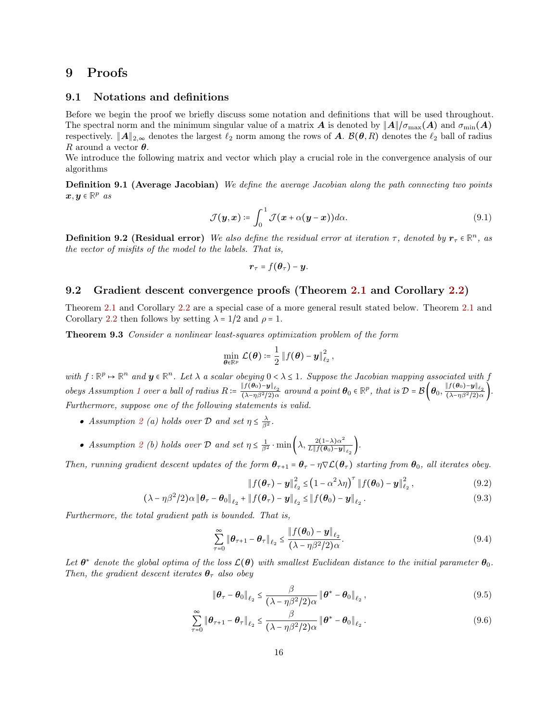# 9 Proofs

### 9.1 Notations and definitions

Before we begin the proof we briefly discuss some notation and definitions that will be used throughout. The spectral norm and the minimum singular value of a matrix **A** is denoted by  $||A||/\sigma_{\text{max}}(A)$  and  $\sigma_{\text{min}}(A)$ respectively.  $||A||_{2,\infty}$  denotes the largest  $\ell_2$  norm among the rows of A.  $\mathcal{B}(\theta, R)$  denotes the  $\ell_2$  ball of radius R around a vector  $\theta$ .

We introduce the following matrix and vector which play a crucial role in the convergence analysis of our algorithms

Definition 9.1 (Average Jacobian) We define the average Jacobian along the path connecting two points  $\boldsymbol{x}, \boldsymbol{y} \in \mathbb{R}^p$  as

$$
\mathcal{J}(\boldsymbol{y},\boldsymbol{x}) \coloneqq \int_0^1 \mathcal{J}(\boldsymbol{x} + \alpha(\boldsymbol{y} - \boldsymbol{x})) d\alpha.
$$
 (9.1)

**Definition 9.2 (Residual error)** We also define the residual error at iteration  $\tau$ , denoted by  $r_{\tau} \in \mathbb{R}^n$ , as the vector of misfits of the model to the labels. That is,

<span id="page-15-0"></span>
$$
\boldsymbol{r}_{\tau}=f(\boldsymbol{\theta}_{\tau})-\boldsymbol{y}.
$$

#### <span id="page-15-1"></span>9.2 Gradient descent convergence proofs (Theorem [2.1](#page-3-0) and Corollary [2.2\)](#page-3-5)

Theorem [2.1](#page-3-0) and Corollary [2.2](#page-3-5) are a special case of a more general result stated below. Theorem [2.1](#page-3-0) and Corollary [2.2](#page-3-5) then follows by setting  $\lambda = 1/2$  and  $\rho = 1$ .

Theorem 9.3 Consider a nonlinear least-squares optimization problem of the form

$$
\min_{\boldsymbol{\theta}\in\mathbb{R}^p} \mathcal{L}(\boldsymbol{\theta}) \coloneqq \frac{1}{2} \left\| f(\boldsymbol{\theta}) - \boldsymbol{y} \right\|_{\ell_2}^2,
$$

with  $f : \mathbb{R}^p \to \mathbb{R}^n$  and  $y \in \mathbb{R}^n$ . Let  $\lambda$  a scalar obeying  $0 < \lambda \leq 1$ . Suppose the Jacobian mapping associated with f obeys Assumption [1](#page-2-2) over a ball of radius  $R \coloneqq \frac{\|f(\theta_0) - \mathbf{y}\|_{\ell_2}}{(\lambda - \eta \beta^2 / 2) \alpha}$  $||f(\theta_0)-y||_{\ell_2}$  around a point  $\theta_0 \in \mathbb{R}^p$ , that is  $\mathcal{D} = \mathcal{B}\left(\theta_0, \frac{||f(\theta_0)-y||_{\ell_2}}{(\lambda-\eta\beta^2/2)\alpha}\right)$  $\frac{\sin(\sqrt{3} - \pi)^2}{(\lambda - \eta)^2/2}$ . Furthermore, suppose one of the following statements is valid.

- Assumption [2](#page-2-3) (a) holds over D and set  $\eta \leq \frac{\lambda}{\beta^2}$ .
- Assumption [2](#page-2-3) (b) holds over D and set  $\eta \leq \frac{1}{\beta^2} \cdot \min\left(\lambda, \frac{2(1-\lambda)\alpha^2}{L \| f(\theta_0) y \|} \right)$  $\frac{2(1-\lambda)\alpha}{L\|f(\boldsymbol{\theta}_0)-\boldsymbol{y}\|_{\ell_2}}\bigg).$

Then, running gradient descent updates of the form  $\theta_{\tau+1} = \theta_{\tau} - \eta \nabla \mathcal{L}(\theta_{\tau})$  starting from  $\theta_0$ , all iterates obey.

<span id="page-15-5"></span><span id="page-15-4"></span><span id="page-15-3"></span><span id="page-15-2"></span>
$$
\|f(\boldsymbol{\theta}_{\tau}) - \boldsymbol{y}\|_{\ell_2}^2 \leq \left(1 - \alpha^2 \lambda \eta\right)^{\tau} \|f(\boldsymbol{\theta}_0) - \boldsymbol{y}\|_{\ell_2}^2, \tag{9.2}
$$

$$
(\lambda - \eta \beta^2 / 2) \alpha \|\boldsymbol{\theta}_{\tau} - \boldsymbol{\theta}_0\|_{\ell_2} + \|f(\boldsymbol{\theta}_{\tau}) - \boldsymbol{y}\|_{\ell_2} \leq \|f(\boldsymbol{\theta}_0) - \boldsymbol{y}\|_{\ell_2}.
$$
\n(9.3)

Furthermore, the total gradient path is bounded. That is,

$$
\sum_{\tau=0}^{\infty} \|\boldsymbol{\theta}_{\tau+1} - \boldsymbol{\theta}_{\tau}\|_{\ell_2} \le \frac{\|f(\boldsymbol{\theta}_0) - \boldsymbol{y}\|_{\ell_2}}{(\lambda - \eta \beta^2 / 2)\alpha}.
$$
\n(9.4)

Let  $\theta^*$  denote the global optima of the loss  $\mathcal{L}(\theta)$  with smallest Euclidean distance to the initial parameter  $\theta_0$ . Then, the gradient descent iterates  $\theta_{\tau}$  also obey

<span id="page-15-6"></span>
$$
\|\boldsymbol{\theta}_{\tau}-\boldsymbol{\theta}_{0}\|_{\ell_{2}} \leq \frac{\beta}{(\lambda-\eta\beta^{2}/2)\alpha} \|\boldsymbol{\theta}^{*}-\boldsymbol{\theta}_{0}\|_{\ell_{2}},
$$
\n(9.5)

$$
\sum_{\tau=0}^{\infty} \|\boldsymbol{\theta}_{\tau+1} - \boldsymbol{\theta}_{\tau}\|_{\ell_2} \leq \frac{\beta}{(\lambda - \eta \beta^2 / 2) \alpha} \|\boldsymbol{\theta}^* - \boldsymbol{\theta}_0\|_{\ell_2}.
$$
\n(9.6)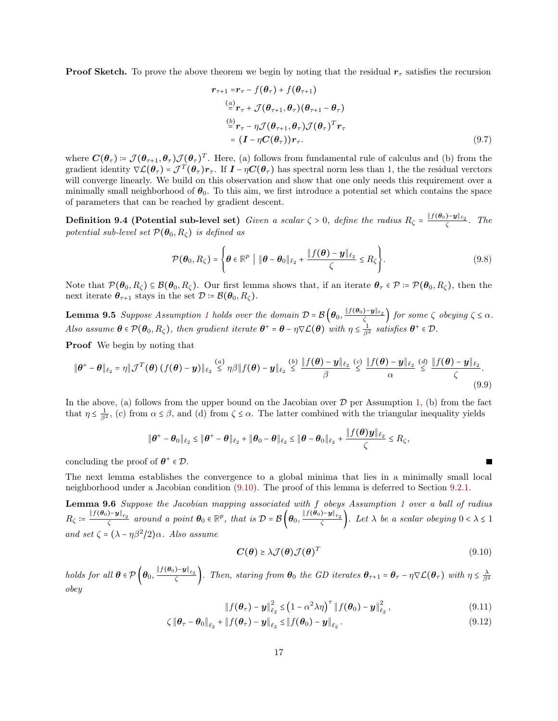**Proof Sketch.** To prove the above theorem we begin by noting that the residual  $r<sub>\tau</sub>$  satisfies the recursion

<span id="page-16-5"></span>
$$
\mathbf{r}_{\tau+1} = \mathbf{r}_{\tau} - f(\boldsymbol{\theta}_{\tau}) + f(\boldsymbol{\theta}_{\tau+1})
$$
\n
$$
\stackrel{(a)}{=} \mathbf{r}_{\tau} + \mathcal{J}(\boldsymbol{\theta}_{\tau+1}, \boldsymbol{\theta}_{\tau})(\boldsymbol{\theta}_{\tau+1} - \boldsymbol{\theta}_{\tau})
$$
\n
$$
\stackrel{(b)}{=} \mathbf{r}_{\tau} - \eta \mathcal{J}(\boldsymbol{\theta}_{\tau+1}, \boldsymbol{\theta}_{\tau}) \mathcal{J}(\boldsymbol{\theta}_{\tau})^T \mathbf{r}_{\tau}
$$
\n
$$
= (\mathbf{I} - \eta \mathbf{C}(\boldsymbol{\theta}_{\tau})) \mathbf{r}_{\tau}.
$$
\n(9.7)

where  $\mathbf{C}(\theta_{\tau}) = \mathcal{J}(\theta_{\tau+1}, \theta_{\tau}) \mathcal{J}(\theta_{\tau})^T$ . Here, (a) follows from fundamental rule of calculus and (b) from the gradient identity  $\nabla \mathcal{L}(\theta_{\tau}) = \mathcal{J}^T(\theta_{\tau}) \mathbf{r}_{\tau}$ . If  $\mathbf{I} - \eta \mathbf{C}(\theta_{\tau})$  has spectral norm less than 1, the the residual verctors will converge linearly. We build on this observation and show that one only needs this requirement over a minimally small neighborhood of  $\theta_0$ . To this aim, we first introduce a potential set which contains the space of parameters that can be reached by gradient descent.

**Definition 9.4 (Potential sub-level set)** Given a scalar  $\zeta > 0$ , define the radius  $R_{\zeta} = \frac{\|f(\theta_0) - y\|_{\ell_2}}{\zeta}$ . The potential sub-level set  $\mathcal{P}(\theta_0, R_\zeta)$  is defined as

<span id="page-16-4"></span>
$$
\mathcal{P}(\boldsymbol{\theta}_0, R_{\zeta}) = \left\{ \boldsymbol{\theta} \in \mathbb{R}^p \mid \|\boldsymbol{\theta} - \boldsymbol{\theta}_0\|_{\ell_2} + \frac{\|f(\boldsymbol{\theta}) - \boldsymbol{y}\|_{\ell_2}}{\zeta} \le R_{\zeta} \right\}.
$$
\n(9.8)

Note that  $\mathcal{P}(\theta_0, R_\zeta) \subseteq \mathcal{B}(\theta_0, R_\zeta)$ . Our first lemma shows that, if an iterate  $\theta_\tau \in \mathcal{P} := \mathcal{P}(\theta_0, R_\zeta)$ , then the next iterate  $\theta_{\tau+1}$  stays in the set  $\mathcal{D} = \mathcal{B}(\theta_0, R_\zeta)$ .

**Lemma 9.5** Suppose Assumption [1](#page-2-2) holds over the domain  $\mathcal{D} = \mathcal{B}\left(\boldsymbol{\theta}_0, \frac{\|\boldsymbol{f}(\boldsymbol{\theta}_0) - \boldsymbol{y}\|_{\ell_2}}{\zeta}\right)$  for some  $\zeta$  obeying  $\zeta \leq \alpha$ . Also assume  $\theta \in \mathcal{P}(\theta_0, R_\zeta)$ , then gradient iterate  $\theta^+ = \theta - \eta \nabla \mathcal{L}(\theta)$  with  $\eta \leq \frac{1}{\beta^2}$  satisfies  $\theta^+ \in \mathcal{D}$ .

Proof We begin by noting that

$$
\|\boldsymbol{\theta}^+ - \boldsymbol{\theta}\|_{\ell_2} = \eta \|\mathcal{J}^T(\boldsymbol{\theta}) \left(f(\boldsymbol{\theta}) - \boldsymbol{y}\right)\|_{\ell_2} \overset{(a)}{\leq} \eta \beta \|f(\boldsymbol{\theta}) - \boldsymbol{y}\|_{\ell_2} \overset{(b)}{\leq} \frac{\|f(\boldsymbol{\theta}) - \boldsymbol{y}\|_{\ell_2}}{\beta} \overset{(c)}{\leq} \frac{\|f(\boldsymbol{\theta}) - \boldsymbol{y}\|_{\ell_2}}{\alpha} \overset{(d)}{\leq} \frac{\|f(\boldsymbol{\theta}) - \boldsymbol{y}\|_{\ell_2}}{\zeta}.
$$
\n(9.9)

In the above, (a) follows from the upper bound on the Jacobian over  $D$  per Assumption [1,](#page-2-2) (b) from the fact that  $\eta \leq \frac{1}{\beta^2}$ , (c) from  $\alpha \leq \beta$ , and (d) from  $\zeta \leq \alpha$ . The latter combined with the triangular inequality yields

$$
\|\theta^+ - \theta_0\|_{\ell_2} \le \|\theta^+ - \theta\|_{\ell_2} + \|\theta_0 - \theta\|_{\ell_2} \le \|\theta - \theta_0\|_{\ell_2} + \frac{\|f(\theta)y\|_{\ell_2}}{\zeta} \le R_{\zeta},
$$

concluding the proof of  $\theta^+ \in \mathcal{D}$ .

The next lemma establishes the convergence to a global minima that lies in a minimally small local neighborhood under a Jacobian condition [\(9.10\)](#page-16-0). The proof of this lemma is deferred to Section [9.2.1.](#page-17-1)

Lemma 9.6 Suppose the Jacobian mapping associated with f obeys Assumption [1](#page-2-2) over a ball of radius  $R_{\zeta} \coloneqq \frac{\|f(\boldsymbol{\theta}_0) - \boldsymbol{y}\|_{\ell_2}}{\zeta}$  around a point  $\boldsymbol{\theta}_0 \in \mathbb{R}^p$ , that is  $\mathcal{D} = \mathcal{B}\left(\boldsymbol{\theta}_0, \frac{\|f(\boldsymbol{\theta}_0) - \boldsymbol{y}\|_{\ell_2}}{\zeta}\right)$ . Let  $\lambda$  be a scalar obeying  $0 < \lambda \leq 1$ and set  $\zeta = (\lambda - \eta \beta^2 / 2) \alpha$ . Also assume

<span id="page-16-3"></span><span id="page-16-2"></span><span id="page-16-1"></span><span id="page-16-0"></span>
$$
C(\theta) \ge \lambda \mathcal{J}(\theta) \mathcal{J}(\theta)^T
$$
\n(9.10)

holds for all  $\boldsymbol{\theta} \in \mathcal{P} \left( \boldsymbol{\theta}_0, \frac{\| f(\boldsymbol{\theta}_0) - \boldsymbol{y} \|_{\ell_2}}{\zeta} \right)$ . Then, staring from  $\boldsymbol{\theta}_0$  the GD iterates  $\boldsymbol{\theta}_{\tau+1} = \boldsymbol{\theta}_{\tau} - \eta \nabla \mathcal{L}(\boldsymbol{\theta}_{\tau})$  with  $\eta \leq \frac{\lambda}{\beta^2}$ obey

$$
\|f(\boldsymbol{\theta}_{\tau}) - \boldsymbol{y}\|_{\ell_2}^2 \leq (1 - \alpha^2 \lambda \eta)^{\tau} \|f(\boldsymbol{\theta}_0) - \boldsymbol{y}\|_{\ell_2}^2, \qquad (9.11)
$$

$$
\zeta \|\boldsymbol{\theta}_{\tau}-\boldsymbol{\theta}_0\|_{\ell_2} + \|f(\boldsymbol{\theta}_{\tau})-\boldsymbol{y}\|_{\ell_2} \leq \|f(\boldsymbol{\theta}_0)-\boldsymbol{y}\|_{\ell_2}.
$$
\n(9.12)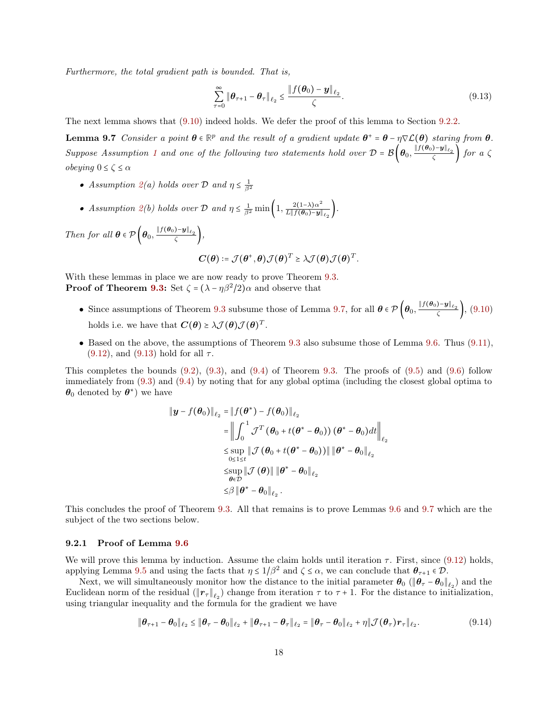Furthermore, the total gradient path is bounded. That is,

<span id="page-17-2"></span><span id="page-17-0"></span>
$$
\sum_{\tau=0}^{\infty} \|\boldsymbol{\theta}_{\tau+1} - \boldsymbol{\theta}_{\tau}\|_{\ell_2} \le \frac{\|f(\boldsymbol{\theta}_0) - \boldsymbol{y}\|_{\ell_2}}{\zeta}.
$$
\n(9.13)

The next lemma shows that [\(9.10\)](#page-16-0) indeed holds. We defer the proof of this lemma to Section [9.2.2.](#page-19-0)

**Lemma 9.7** Consider a point  $\theta \in \mathbb{R}^p$  and the result of a gradient update  $\theta^+ = \theta - \eta \nabla \mathcal{L}(\theta)$  staring from  $\theta$ . Suppose Assumption [1](#page-2-2) and one of the following two statements hold over  $\mathcal{D} = \mathcal{B}\left(\theta_0, \frac{\|f(\theta_0) - \mathbf{y}\|_{\ell_2}}{\zeta}\right)$  for a  $\zeta$ *obeying*  $0 \le \zeta \le \alpha$ 

- Assumption [2\(](#page-2-3)a) holds over  $D$  and  $\eta \leq \frac{1}{\beta^2}$
- Assumption [2\(](#page-2-3)b) holds over D and  $\eta \leq \frac{1}{\beta^2} \min\left(1, \frac{2(1-\lambda)\alpha^2}{L \| f(\theta_0) y\|}\right)$  $\frac{2(1-\lambda)\alpha}{L\|f(\boldsymbol{\theta}_0)-\boldsymbol{y}\|_{\ell_2}}\bigg).$

Then for all  $\theta \in \mathcal{P}\left(\theta_0, \frac{\|f(\theta_0)-y\|_{\ell_2}}{\zeta}\right)$ ,

$$
\boldsymbol{C}(\boldsymbol{\theta})\coloneqq \mathcal{J}(\boldsymbol{\theta}^+, \boldsymbol{\theta})\mathcal{J}(\boldsymbol{\theta})^T \succeq \lambda \mathcal{J}(\boldsymbol{\theta})\mathcal{J}(\boldsymbol{\theta})^T.
$$

With these lemmas in place we are now ready to prove Theorem [9.3.](#page-15-0) **Proof of Theorem [9.3:](#page-15-0)** Set  $\zeta = (\lambda - \eta \beta^2 / 2)\alpha$  and observe that

- Since assumptions of Theorem [9.3](#page-15-0) subsume those of Lemma [9.7,](#page-17-2) for all  $\theta \in \mathcal{P}\left(\theta_0, \frac{\|f(\theta_0) y\|_{\ell_2}}{\zeta}\right)$ , [\(9.10\)](#page-16-0) holds i.e. we have that  $\mathbf{C}(\boldsymbol{\theta}) \geq \lambda \mathcal{J}(\boldsymbol{\theta}) \mathcal{J}(\boldsymbol{\theta})^T$ .
- Based on the above, the assumptions of Theorem [9.3](#page-15-0) also subsume those of Lemma [9.6.](#page-16-1) Thus [\(9.11\)](#page-16-2),  $(9.12)$ , and  $(9.13)$  hold for all  $\tau$ .

This completes the bounds  $(9.2)$ ,  $(9.3)$ , and  $(9.4)$  of Theorem [9.3.](#page-15-0) The proofs of  $(9.5)$  and  $(9.6)$  follow immediately from [\(9.3\)](#page-15-3) and [\(9.4\)](#page-15-4) by noting that for any global optima (including the closest global optima to  $\theta_0$  denoted by  $\theta^*$ ) we have

$$
\|\boldsymbol{y} - f(\boldsymbol{\theta}_{0})\|_{\ell_{2}} = \|f(\boldsymbol{\theta}^{*}) - f(\boldsymbol{\theta}_{0})\|_{\ell_{2}}
$$
\n
$$
= \left\|\int_{0}^{1} \mathcal{J}^{T}(\boldsymbol{\theta}_{0} + t(\boldsymbol{\theta}^{*} - \boldsymbol{\theta}_{0}))(\boldsymbol{\theta}^{*} - \boldsymbol{\theta}_{0})dt\right\|_{\ell_{2}}
$$
\n
$$
\leq \sup_{0 \leq 1 \leq t} \|\mathcal{J}(\boldsymbol{\theta}_{0} + t(\boldsymbol{\theta}^{*} - \boldsymbol{\theta}_{0}))\| \|\boldsymbol{\theta}^{*} - \boldsymbol{\theta}_{0}\|_{\ell_{2}}
$$
\n
$$
\leq \sup_{\boldsymbol{\theta} \in \mathcal{D}} \|\mathcal{J}(\boldsymbol{\theta})\| \|\boldsymbol{\theta}^{*} - \boldsymbol{\theta}_{0}\|_{\ell_{2}}
$$
\n
$$
\leq \beta \|\boldsymbol{\theta}^{*} - \boldsymbol{\theta}_{0}\|_{\ell_{2}}.
$$

This concludes the proof of Theorem [9.3.](#page-15-0) All that remains is to prove Lemmas [9.6](#page-16-1) and [9.7](#page-17-2) which are the subject of the two sections below.

#### <span id="page-17-1"></span>9.2.1 Proof of Lemma [9.6](#page-16-1)

We will prove this lemma by induction. Assume the claim holds until iteration  $\tau$ . First, since [\(9.12\)](#page-16-3) holds, applying Lemma [9.5](#page-16-4) and using the facts that  $\eta \leq 1/\beta^2$  and  $\zeta \leq \alpha$ , we can conclude that  $\theta_{\tau+1} \in \mathcal{D}$ .

Next, we will simultaneously monitor how the distance to the initial parameter  $\theta_0$  ( $\|\theta_\tau - \theta_0\|_{\ell_2}$ ) and the Euclidean norm of the residual  $(\|\mathbf{r}_{\tau}\|_{\ell_2})$  change from iteration  $\tau$  to  $\tau + 1$ . For the distance to initialization, using triangular inequality and the formula for the gradient we have

<span id="page-17-3"></span>
$$
\|\boldsymbol{\theta}_{\tau+1} - \boldsymbol{\theta}_0\|_{\ell_2} \le \|\boldsymbol{\theta}_{\tau} - \boldsymbol{\theta}_0\|_{\ell_2} + \|\boldsymbol{\theta}_{\tau+1} - \boldsymbol{\theta}_{\tau}\|_{\ell_2} = \|\boldsymbol{\theta}_{\tau} - \boldsymbol{\theta}_0\|_{\ell_2} + \eta \|\mathcal{J}(\boldsymbol{\theta}_{\tau})\boldsymbol{r}_{\tau}\|_{\ell_2}.
$$
 (9.14)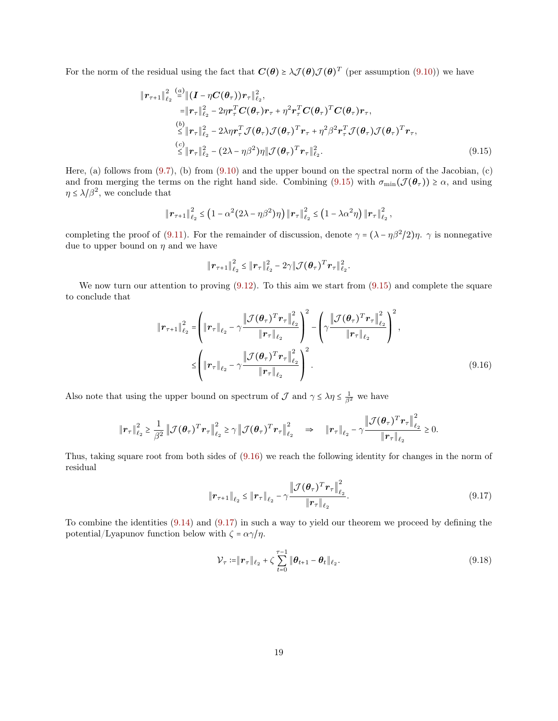For the norm of the residual using the fact that  $C(\theta) \geq \lambda \mathcal{J}(\theta) \mathcal{J}(\theta)^T$  (per assumption [\(9.10\)](#page-16-0)) we have

$$
\|\boldsymbol{r}_{\tau+1}\|_{\ell_2}^2 \stackrel{(a)}{=} \|\boldsymbol{(}I - \eta \boldsymbol{C}(\boldsymbol{\theta}_{\tau})\boldsymbol{)}\boldsymbol{r}_{\tau}\|_{\ell_2}^2, \n= \|\boldsymbol{r}_{\tau}\|_{\ell_2}^2 - 2\eta \boldsymbol{r}_{\tau}^T \boldsymbol{C}(\boldsymbol{\theta}_{\tau})\boldsymbol{r}_{\tau} + \eta^2 \boldsymbol{r}_{\tau}^T \boldsymbol{C}(\boldsymbol{\theta}_{\tau})^T \boldsymbol{C}(\boldsymbol{\theta}_{\tau})\boldsymbol{r}_{\tau}, \n\stackrel{(b)}{\leq} \|\boldsymbol{r}_{\tau}\|_{\ell_2}^2 - 2\lambda \eta \boldsymbol{r}_{\tau}^T \mathcal{J}(\boldsymbol{\theta}_{\tau}) \mathcal{J}(\boldsymbol{\theta}_{\tau})^T \boldsymbol{r}_{\tau} + \eta^2 \beta^2 \boldsymbol{r}_{\tau}^T \mathcal{J}(\boldsymbol{\theta}_{\tau}) \mathcal{J}(\boldsymbol{\theta}_{\tau})^T \boldsymbol{r}_{\tau}, \n\stackrel{(c)}{\leq} \|\boldsymbol{r}_{\tau}\|_{\ell_2}^2 - (2\lambda - \eta \beta^2)\eta \|\mathcal{J}(\boldsymbol{\theta}_{\tau})^T \boldsymbol{r}_{\tau}\|_{\ell_2}^2.
$$
\n(9.15)

Here, (a) follows from [\(9.7\)](#page-16-5), (b) from [\(9.10\)](#page-16-0) and the upper bound on the spectral norm of the Jacobian, (c) and from merging the terms on the right hand side. Combining [\(9.15\)](#page-18-0) with  $\sigma_{\min}(\mathcal{J}(\theta_{\tau})) \geq \alpha$ , and using  $\eta \leq \lambda/\beta^2$ , we conclude that

$$
\|\bm{r}_{\tau+1}\|_{\ell_2}^2 \leq (1-\alpha^2(2\lambda-\eta\beta^2)\eta) \|\bm{r}_{\tau}\|_{\ell_2}^2 \leq (1-\lambda\alpha^2\eta) \|\bm{r}_{\tau}\|_{\ell_2}^2,
$$

completing the proof of [\(9.11\)](#page-16-2). For the remainder of discussion, denote  $\gamma = (\lambda - \eta \beta^2/2)\eta$ .  $\gamma$  is nonnegative due to upper bound on  $\eta$  and we have

<span id="page-18-1"></span><span id="page-18-0"></span>
$$
\|\bm{r}_{\tau+1}\|_{\ell_2}^2 \leq \|\bm{r}_{\tau}\|_{\ell_2}^2 - 2\gamma \|\mathcal{J}(\bm{\theta}_{\tau})^T\bm{r}_{\tau}\|_{\ell_2}^2.
$$

We now turn our attention to proving  $(9.12)$ . To this aim we start from  $(9.15)$  and complete the square to conclude that

$$
\|\boldsymbol{r}_{\tau+1}\|_{\ell_2}^2 = \left(\|\boldsymbol{r}_{\tau}\|_{\ell_2} - \gamma \frac{\|\mathcal{J}(\boldsymbol{\theta}_{\tau})^T \boldsymbol{r}_{\tau}\|_{\ell_2}^2}{\|\boldsymbol{r}_{\tau}\|_{\ell_2}}\right)^2 - \left(\gamma \frac{\|\mathcal{J}(\boldsymbol{\theta}_{\tau})^T \boldsymbol{r}_{\tau}\|_{\ell_2}^2}{\|\boldsymbol{r}_{\tau}\|_{\ell_2}}\right)^2,
$$
  

$$
\leq \left(\|\boldsymbol{r}_{\tau}\|_{\ell_2} - \gamma \frac{\|\mathcal{J}(\boldsymbol{\theta}_{\tau})^T \boldsymbol{r}_{\tau}\|_{\ell_2}^2}{\|\boldsymbol{r}_{\tau}\|_{\ell_2}}\right)^2.
$$
 (9.16)

Also note that using the upper bound on spectrum of  $\mathcal J$  and  $\gamma \leq \lambda \eta \leq \frac{1}{\beta^2}$  we have

$$
\|\boldsymbol{r}_{\tau}\|_{\ell_2}^2 \geq \frac{1}{\beta^2} \left\|\mathcal{J}(\boldsymbol{\theta}_{\tau})^T \boldsymbol{r}_{\tau}\right\|_{\ell_2}^2 \geq \gamma \left\|\mathcal{J}(\boldsymbol{\theta}_{\tau})^T \boldsymbol{r}_{\tau}\right\|_{\ell_2}^2 \quad \Rightarrow \quad \|\boldsymbol{r}_{\tau}\|_{\ell_2} - \gamma \frac{\left\|\mathcal{J}(\boldsymbol{\theta}_{\tau})^T \boldsymbol{r}_{\tau}\right\|_{\ell_2}^2}{\|\boldsymbol{r}_{\tau}\|_{\ell_2}} \geq 0.
$$

Thus, taking square root from both sides of [\(9.16\)](#page-18-1) we reach the following identity for changes in the norm of residual

$$
\|\boldsymbol{r}_{\tau+1}\|_{\ell_2} \leq \|\boldsymbol{r}_{\tau}\|_{\ell_2} - \gamma \frac{\|\mathcal{J}(\boldsymbol{\theta}_{\tau})^T \boldsymbol{r}_{\tau}\|_{\ell_2}^2}{\|\boldsymbol{r}_{\tau}\|_{\ell_2}}.
$$
\n(9.17)

To combine the identities [\(9.14\)](#page-17-3) and [\(9.17\)](#page-18-2) in such a way to yield our theorem we proceed by defining the potential/Lyapunov function below with  $\zeta = \alpha \gamma / \eta$ .

<span id="page-18-2"></span>
$$
\mathcal{V}_{\tau} := ||\boldsymbol{r}_{\tau}||_{\ell_2} + \zeta \sum_{t=0}^{\tau-1} ||\boldsymbol{\theta}_{t+1} - \boldsymbol{\theta}_t||_{\ell_2}.
$$
\n(9.18)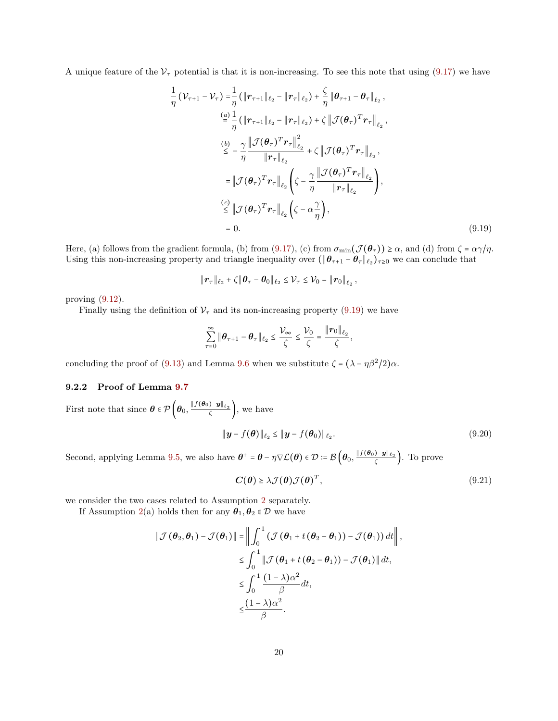A unique feature of the  $V_{\tau}$  potential is that it is non-increasing. To see this note that using [\(9.17\)](#page-18-2) we have

$$
\frac{1}{\eta} \left( \mathcal{V}_{\tau+1} - \mathcal{V}_{\tau} \right) = \frac{1}{\eta} \left( \|\mathbf{r}_{\tau+1}\|_{\ell_2} - \|\mathbf{r}_{\tau}\|_{\ell_2} \right) + \frac{\zeta}{\eta} \|\boldsymbol{\theta}_{\tau+1} - \boldsymbol{\theta}_{\tau}\|_{\ell_2},
$$
\n
$$
\stackrel{(a)}{=} \frac{1}{\eta} \left( \|\mathbf{r}_{\tau+1}\|_{\ell_2} - \|\mathbf{r}_{\tau}\|_{\ell_2} \right) + \zeta \left\| \mathcal{J}(\boldsymbol{\theta}_{\tau})^T \mathbf{r}_{\tau} \right\|_{\ell_2},
$$
\n
$$
\stackrel{(b)}{\leq} - \frac{\gamma}{\eta} \frac{\left\| \mathcal{J}(\boldsymbol{\theta}_{\tau})^T \mathbf{r}_{\tau} \right\|_{\ell_2}^2}{\|\mathbf{r}_{\tau}\|_{\ell_2}} + \zeta \left\| \mathcal{J}(\boldsymbol{\theta}_{\tau})^T \mathbf{r}_{\tau} \right\|_{\ell_2},
$$
\n
$$
= \left\| \mathcal{J}(\boldsymbol{\theta}_{\tau})^T \mathbf{r}_{\tau} \right\|_{\ell_2} \left( \zeta - \frac{\gamma}{\eta} \frac{\left\| \mathcal{J}(\boldsymbol{\theta}_{\tau})^T \mathbf{r}_{\tau} \right\|_{\ell_2}}{\|\mathbf{r}_{\tau}\|_{\ell_2}} \right),
$$
\n
$$
\stackrel{(c)}{\leq} \left\| \mathcal{J}(\boldsymbol{\theta}_{\tau})^T \mathbf{r}_{\tau} \right\|_{\ell_2} \left( \zeta - \alpha \frac{\gamma}{\eta} \right),
$$
\n
$$
= 0.
$$
\n(9.19)

Here, (a) follows from the gradient formula, (b) from [\(9.17\)](#page-18-2), (c) from  $\sigma_{\min}(\mathcal{J}(\theta_{\tau})) \geq \alpha$ , and (d) from  $\zeta = \alpha \gamma / \eta$ . Using this non-increasing property and triangle inequality over  $(\|\theta_{\tau+1} - \theta_{\tau}\|_{\ell_2})_{\tau \geq 0}$  we can conclude that

<span id="page-19-1"></span>
$$
\|\boldsymbol{r}_{\tau}\|_{\ell_2}+\zeta\|\boldsymbol{\theta}_{\tau}-\boldsymbol{\theta}_0\|_{\ell_2}\leq \mathcal{V}_{\tau}\leq \mathcal{V}_{0}=\|\boldsymbol{r}_{0}\|_{\ell_2},
$$

proving [\(9.12\)](#page-16-3).

Finally using the definition of  $V_{\tau}$  and its non-increasing property [\(9.19\)](#page-19-1) we have

$$
\sum_{\tau=0}^{\infty} \|\boldsymbol{\theta}_{\tau+1} - \boldsymbol{\theta}_{\tau}\|_{\ell_2} \leq \frac{\mathcal{V}_{\infty}}{\zeta} \leq \frac{\mathcal{V}_{0}}{\zeta} = \frac{\|\boldsymbol{r}_{0}\|_{\ell_2}}{\zeta},
$$

<span id="page-19-0"></span>concluding the proof of [\(9.13\)](#page-17-0) and Lemma [9.6](#page-16-1) when we substitute  $\zeta = (\lambda - \eta \beta^2 / 2)\alpha$ .

#### 9.2.2 Proof of Lemma [9.7](#page-17-2)

First note that since  $\boldsymbol{\theta} \in \mathcal{P} \left( \boldsymbol{\theta}_0, \frac{\| f(\boldsymbol{\theta}_0) - \boldsymbol{y} \|_{\ell_2}}{\zeta} \right)$ , we have

$$
\|\boldsymbol{y} - f(\boldsymbol{\theta})\|_{\ell_2} \le \|\boldsymbol{y} - f(\boldsymbol{\theta}_0)\|_{\ell_2}.
$$
\n(9.20)

Second, applying Lemma [9.5,](#page-16-4) we also have  $\theta^+ = \theta - \eta \nabla \mathcal{L}(\theta) \in \mathcal{D} \coloneqq \mathcal{B}\left(\theta_0, \frac{\|f(\theta_0) - \mathbf{y}\|_{\ell_2}}{\zeta}\right)$ . To prove

<span id="page-19-3"></span><span id="page-19-2"></span>
$$
C(\theta) \ge \lambda \mathcal{J}(\theta) \mathcal{J}(\theta)^T, \tag{9.21}
$$

we consider the two cases related to Assumption [2](#page-2-3) separately.

If Assumption [2\(](#page-2-3)a) holds then for any  $\theta_1, \theta_2 \in \mathcal{D}$  we have

$$
\|\mathcal{J}(\theta_2, \theta_1) - \mathcal{J}(\theta_1)\| = \left\|\int_0^1 (\mathcal{J}(\theta_1 + t(\theta_2 - \theta_1)) - \mathcal{J}(\theta_1)) dt\right\|,
$$
  
\n
$$
\leq \int_0^1 \|\mathcal{J}(\theta_1 + t(\theta_2 - \theta_1)) - \mathcal{J}(\theta_1)\| dt,
$$
  
\n
$$
\leq \int_0^1 \frac{(1 - \lambda)\alpha^2}{\beta} dt,
$$
  
\n
$$
\leq \frac{(1 - \lambda)\alpha^2}{\beta}.
$$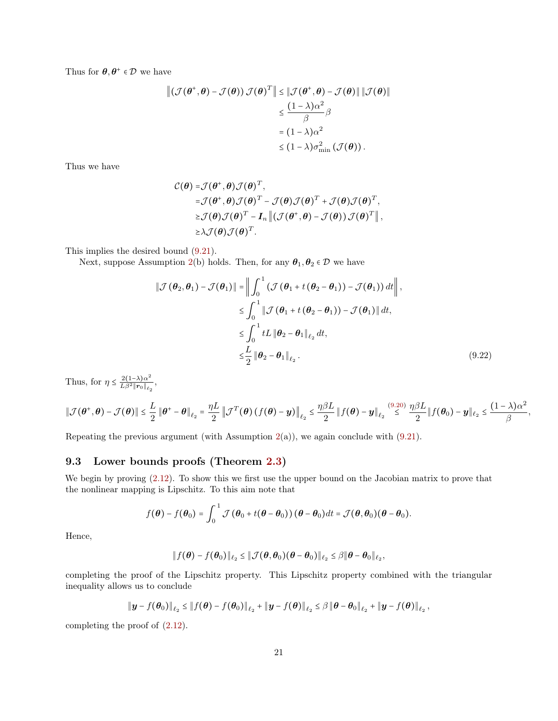Thus for  $\boldsymbol{\theta}, \boldsymbol{\theta}^{\text{+}} \in \mathcal{D}$  we have

$$
\begin{aligned} \left\| \left( \mathcal{J}(\boldsymbol{\theta}^+, \boldsymbol{\theta}) - \mathcal{J}(\boldsymbol{\theta}) \right) \mathcal{J}(\boldsymbol{\theta})^T \right\| &\leq \left\| \mathcal{J}(\boldsymbol{\theta}^+, \boldsymbol{\theta}) - \mathcal{J}(\boldsymbol{\theta}) \right\| \left\| \mathcal{J}(\boldsymbol{\theta}) \right\| \\ &\leq \frac{(1 - \lambda)\alpha^2}{\beta} \beta \\ &= (1 - \lambda)\alpha^2 \\ &\leq (1 - \lambda)\sigma_{\min}^2 \left( \mathcal{J}(\boldsymbol{\theta}) \right). \end{aligned}
$$

Thus we have

$$
\mathcal{C}(\theta) = \mathcal{J}(\theta^+, \theta) \mathcal{J}(\theta)^T,
$$
  
\n
$$
= \mathcal{J}(\theta^+, \theta) \mathcal{J}(\theta)^T - \mathcal{J}(\theta) \mathcal{J}(\theta)^T + \mathcal{J}(\theta) \mathcal{J}(\theta)^T,
$$
  
\n
$$
\geq \mathcal{J}(\theta) \mathcal{J}(\theta)^T - \mathbf{I}_n \| (\mathcal{J}(\theta^+, \theta) - \mathcal{J}(\theta)) \mathcal{J}(\theta)^T \|,
$$
  
\n
$$
\geq \lambda \mathcal{J}(\theta) \mathcal{J}(\theta)^T.
$$

This implies the desired bound [\(9.21\)](#page-19-2).

Next, suppose Assumption [2\(](#page-2-3)b) holds. Then, for any  $\theta_1, \theta_2 \in \mathcal{D}$  we have

<span id="page-20-0"></span>
$$
\|\mathcal{J}(\theta_2, \theta_1) - \mathcal{J}(\theta_1)\| = \left\|\int_0^1 (\mathcal{J}(\theta_1 + t(\theta_2 - \theta_1)) - \mathcal{J}(\theta_1)) dt\right\|,
$$
  
\n
$$
\leq \int_0^1 \|\mathcal{J}(\theta_1 + t(\theta_2 - \theta_1)) - \mathcal{J}(\theta_1)\| dt,
$$
  
\n
$$
\leq \int_0^1 tL \|\theta_2 - \theta_1\|_{\ell_2} dt,
$$
  
\n
$$
\leq \frac{L}{2} \|\theta_2 - \theta_1\|_{\ell_2}.
$$
\n(9.22)

Thus, for  $\eta \leq \frac{2(1-\lambda)\alpha^2}{L\beta^2 \|r_0\|_{\ell}}$ .  $\frac{2(1-\lambda)\alpha}{L\beta^2\|\bm r_0\|_{\ell_2}},$ 

$$
\|\mathcal{J}(\boldsymbol{\theta}^+,\boldsymbol{\theta})-\mathcal{J}(\boldsymbol{\theta})\| \leq \frac{L}{2} \|\boldsymbol{\theta}^+-\boldsymbol{\theta}\|_{\ell_2} = \frac{\eta L}{2} \left\|\mathcal{J}^T(\boldsymbol{\theta})\left(f(\boldsymbol{\theta})-\boldsymbol{y}\right)\right\|_{\ell_2} \leq \frac{\eta \beta L}{2} \left\|f(\boldsymbol{\theta})-\boldsymbol{y}\right\|_{\ell_2} \stackrel{(9.20)}{\leq} \frac{\eta \beta L}{2} \left\|f(\boldsymbol{\theta}_0)-\boldsymbol{y}\right\|_{\ell_2} \leq \frac{(1-\lambda)\alpha^2}{\beta},
$$

Repeating the previous argument (with Assumption [2\(](#page-2-3)a)), we again conclude with [\(9.21\)](#page-19-2).

# 9.3 Lower bounds proofs (Theorem [2.3\)](#page-5-0)

We begin by proving  $(2.12)$ . To show this we first use the upper bound on the Jacobian matrix to prove that the nonlinear mapping is Lipschitz. To this aim note that

$$
f(\boldsymbol{\theta}) - f(\boldsymbol{\theta}_0) = \int_0^1 \mathcal{J}(\boldsymbol{\theta}_0 + t(\boldsymbol{\theta} - \boldsymbol{\theta}_0))(\boldsymbol{\theta} - \boldsymbol{\theta}_0) dt = \mathcal{J}(\boldsymbol{\theta}, \boldsymbol{\theta}_0)(\boldsymbol{\theta} - \boldsymbol{\theta}_0).
$$

Hence,

$$
\|f(\boldsymbol{\theta})-f(\boldsymbol{\theta}_0)\|_{\ell_2}\leq \|\mathcal{J}(\boldsymbol{\theta},\boldsymbol{\theta}_0)(\boldsymbol{\theta}-\boldsymbol{\theta}_0)\|_{\ell_2}\leq \beta\|\boldsymbol{\theta}-\boldsymbol{\theta}_0\|_{\ell_2},
$$

completing the proof of the Lipschitz property. This Lipschitz property combined with the triangular inequality allows us to conclude

$$
\|\bm{y}-f(\bm{\theta}_0)\|_{\ell_2} \leq \|f(\bm{\theta})-f(\bm{\theta}_0)\|_{\ell_2} + \|\bm{y}-f(\bm{\theta})\|_{\ell_2} \leq \beta \|\bm{\theta}-\bm{\theta}_0\|_{\ell_2} + \|\bm{y}-f(\bm{\theta})\|_{\ell_2},
$$

completing the proof of [\(2.12\)](#page-5-1).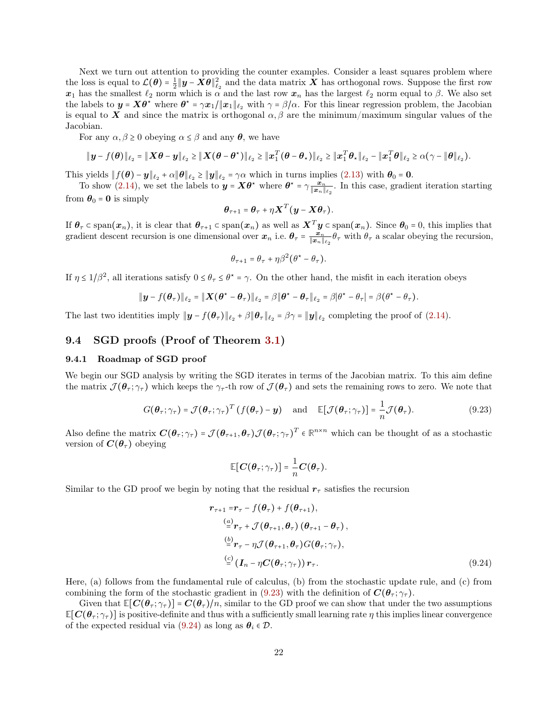Next we turn out attention to providing the counter examples. Consider a least squares problem where the loss is equal to  $\mathcal{L}(\theta) = \frac{1}{2} ||y - X\theta||_{\ell_2}^2$  and the data matrix X has orthogonal rows. Suppose the first row  $x_1$  has the smallest  $\ell_2$  norm which is  $\alpha$  and the last row  $x_n$  has the largest  $\ell_2$  norm equal to  $\beta$ . We also set the labels to  $y = X\theta^*$  where  $\theta^* = \gamma x_1/\|x_1\|_{\ell_2}$  with  $\gamma = \beta/\alpha$ . For this linear regression problem, the Jacobian is equal to X and since the matrix is orthogonal  $\alpha, \beta$  are the minimum/maximum singular values of the Jacobian.

For any  $\alpha, \beta \ge 0$  obeying  $\alpha \le \beta$  and any  $\theta$ , we have

$$
\|\boldsymbol{y}-f(\boldsymbol{\theta})\|_{\ell_2}=\|\boldsymbol{X}\boldsymbol{\theta}-\boldsymbol{y}\|_{\ell_2}\geq\|\boldsymbol{X}(\boldsymbol{\theta}-\boldsymbol{\theta}^*)\|_{\ell_2}\geq\|\boldsymbol{x}_1^T(\boldsymbol{\theta}-\boldsymbol{\theta}_*)\|_{\ell_2}\geq\|\boldsymbol{x}_1^T\boldsymbol{\theta}_*\|_{\ell_2}-\|\boldsymbol{x}_1^T\boldsymbol{\theta}\|_{\ell_2}\geq\alpha(\gamma-\|\boldsymbol{\theta}\|_{\ell_2}).
$$

This yields  $||f(\theta) - y||_{\ell_2} + \alpha ||\theta||_{\ell_2} \ge ||y||_{\ell_2} = \gamma \alpha$  which in turns implies [\(2.13\)](#page-5-3) with  $\theta_0 = 0$ .

To show [\(2.14\)](#page-5-4), we set the labels to  $y = X\theta^*$  where  $\theta^* = \gamma \frac{x_n}{\|x_n\|_{\ell_2}}$ . In this case, gradient iteration starting from  $\theta_0 = 0$  is simply

$$
\boldsymbol{\theta}_{\tau+1} = \boldsymbol{\theta}_{\tau} + \eta \boldsymbol{X}^T (\boldsymbol{y} - \boldsymbol{X} \boldsymbol{\theta}_{\tau}).
$$

If  $\theta_{\tau} \subset \text{span}(x_n)$ , it is clear that  $\theta_{\tau+1} \subset \text{span}(x_n)$  as well as  $X^T y \subset \text{span}(x_n)$ . Since  $\theta_0 = 0$ , this implies that gradient descent recursion is one dimensional over  $x_n$  i.e.  $\theta_\tau = \frac{x_n}{\|x_n\|_{\ell_2}} \theta_\tau$  with  $\theta_\tau$  a scalar obeying the recursion,

$$
\theta_{\tau+1} = \theta_{\tau} + \eta \beta^2 (\theta^* - \theta_{\tau}).
$$

If  $\eta \le 1/\beta^2$ , all iterations satisfy  $0 \le \theta_\tau \le \theta^* = \gamma$ . On the other hand, the misfit in each iteration obeys

$$
\|\boldsymbol{y}-f(\boldsymbol{\theta}_{\tau})\|_{\ell_2}=\|\boldsymbol{X}(\boldsymbol{\theta}^{\star}-\boldsymbol{\theta}_{\tau})\|_{\ell_2}=\beta\|\boldsymbol{\theta}^{\star}-\boldsymbol{\theta}_{\tau}\|_{\ell_2}=\beta|\theta^{\star}-\theta_{\tau}|=\beta(\theta^{\star}-\theta_{\tau}).
$$

The last two identities imply  $||\mathbf{y} - f(\mathbf{\theta}_{\tau})||_{\ell_2} + \beta ||\mathbf{\theta}_{\tau}||_{\ell_2} = \beta \gamma = ||\mathbf{y}||_{\ell_2}$  completing the proof of [\(2.14\)](#page-5-4).

### 9.4 SGD proofs (Proof of Theorem [3.1\)](#page-6-1)

#### <span id="page-21-2"></span>9.4.1 Roadmap of SGD proof

We begin our SGD analysis by writing the SGD iterates in terms of the Jacobian matrix. To this aim define the matrix  $\mathcal{J}(\theta_\tau; \gamma_\tau)$  which keeps the  $\gamma_\tau$ -th row of  $\mathcal{J}(\theta_\tau)$  and sets the remaining rows to zero. We note that

$$
G(\boldsymbol{\theta}_{\tau}; \gamma_{\tau}) = \mathcal{J}(\boldsymbol{\theta}_{\tau}; \gamma_{\tau})^T (f(\boldsymbol{\theta}_{\tau}) - \mathbf{y}) \quad \text{and} \quad \mathbb{E}[\mathcal{J}(\boldsymbol{\theta}_{\tau}; \gamma_{\tau})] = \frac{1}{n} \mathcal{J}(\boldsymbol{\theta}_{\tau}). \tag{9.23}
$$

Also define the matrix  $\mathbf{C}(\theta_\tau; \gamma_\tau) = \mathcal{J}(\theta_{\tau+1}, \theta_\tau) \mathcal{J}(\theta_\tau; \gamma_\tau)^T \in \mathbb{R}^{n \times n}$  which can be thought of as a stochastic version of  $C(\theta_\tau)$  obeying

<span id="page-21-1"></span><span id="page-21-0"></span>
$$
\mathbb{E}[C(\boldsymbol{\theta}_{\tau};\gamma_{\tau})] = \frac{1}{n}C(\boldsymbol{\theta}_{\tau}).
$$

Similar to the GD proof we begin by noting that the residual  $r<sub>\tau</sub>$  satisfies the recursion

$$
\mathbf{r}_{\tau+1} = \mathbf{r}_{\tau} - f(\theta_{\tau}) + f(\theta_{\tau+1}),
$$
\n
$$
\stackrel{(a)}{=} \mathbf{r}_{\tau} + \mathcal{J}(\theta_{\tau+1}, \theta_{\tau}) (\theta_{\tau+1} - \theta_{\tau}),
$$
\n
$$
\stackrel{(b)}{=} \mathbf{r}_{\tau} - \eta \mathcal{J}(\theta_{\tau+1}, \theta_{\tau}) G(\theta_{\tau}; \gamma_{\tau}),
$$
\n
$$
\stackrel{(c)}{=} (\mathbf{I}_{n} - \eta \mathbf{C}(\theta_{\tau}; \gamma_{\tau})) \mathbf{r}_{\tau}.
$$
\n(9.24)

Here, (a) follows from the fundamental rule of calculus, (b) from the stochastic update rule, and (c) from combining the form of the stochastic gradient in [\(9.23\)](#page-21-0) with the definition of  $\mathbf{C}(\theta_\tau; \gamma_\tau)$ .

Given that  $\mathbb{E}[C(\theta_{\tau}; \gamma_{\tau})] = C(\theta_{\tau})/n$ , similar to the GD proof we can show that under the two assumptions  $\mathbb{E}[C(\theta_\tau; \gamma_\tau)]$  is positive-definite and thus with a sufficiently small learning rate  $\eta$  this implies linear convergence of the expected residual via [\(9.24\)](#page-21-1) as long as  $\theta_i \in \mathcal{D}$ .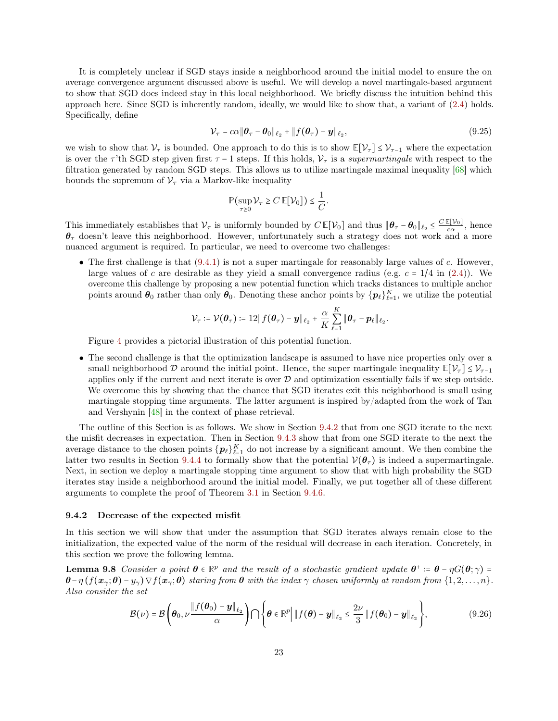It is completely unclear if SGD stays inside a neighborhood around the initial model to ensure the on average convergence argument discussed above is useful. We will develop a novel martingale-based argument to show that SGD does indeed stay in this local neighborhood. We briefly discuss the intuition behind this approach here. Since SGD is inherently random, ideally, we would like to show that, a variant of [\(2.4\)](#page-3-3) holds. Specifically, define

$$
\mathcal{V}_{\tau} = c\alpha \|\boldsymbol{\theta}_{\tau} - \boldsymbol{\theta}_0\|_{\ell_2} + \|f(\boldsymbol{\theta}_{\tau}) - \boldsymbol{y}\|_{\ell_2},\tag{9.25}
$$

we wish to show that  $V_\tau$  is bounded. One approach to do this is to show  $\mathbb{E}[V_\tau] \leq V_{\tau-1}$  where the expectation is over the  $\tau$ 'th SGD step given first  $\tau$  - 1 steps. If this holds,  $\mathcal{V}_{\tau}$  is a supermartingale with respect to the filtration generated by random SGD steps. This allows us to utilize martingale maximal inequality [\[68\]](#page-38-14) which bounds the supremum of  $\mathcal{V}_{\tau}$  via a Markov-like inequality

<span id="page-22-0"></span>
$$
\mathbb{P}\left(\sup_{\tau\geq 0}\mathcal{V}_{\tau}\geq C\,\mathbb{E}[\mathcal{V}_0]\right)\leq \frac{1}{C}.
$$

This immediately establishes that  $V_\tau$  is uniformly bounded by  $C \mathbb{E}[V_0]$  and thus  $\|\boldsymbol{\theta}_\tau - \boldsymbol{\theta}_0\|_{\ell_2} \leq \frac{C \mathbb{E}[V_0]}{c\alpha}$ , hence  $\theta_{\tau}$  doesn't leave this neighborhood. However, unfortunately such a strategy does not work and a more nuanced argument is required. In particular, we need to overcome two challenges:

• The first challenge is that  $(9.4.1)$  is not a super martingale for reasonably large values of c. However, large values of c are desirable as they yield a small convergence radius (e.g.  $c = 1/4$  in [\(2.4\)](#page-3-3)). We overcome this challenge by proposing a new potential function which tracks distances to multiple anchor points around  $\theta_0$  rather than only  $\theta_0$ . Denoting these anchor points by  $\{p_\ell\}_{\ell=1}^K$ , we utilize the potential

$$
\mathcal{V}_{\tau} \coloneqq \mathcal{V}(\boldsymbol{\theta}_{\tau}) \coloneqq 12 \Vert f(\boldsymbol{\theta}_{\tau}) - \boldsymbol{y} \Vert_{\ell_2} + \frac{\alpha}{K} \sum_{\ell=1}^{K} \Vert \boldsymbol{\theta}_{\tau} - \boldsymbol{p}_{\ell} \Vert_{\ell_2}.
$$

Figure [4](#page-23-0) provides a pictorial illustration of this potential function.

• The second challenge is that the optimization landscape is assumed to have nice properties only over a small neighborhood  $\mathcal D$  around the initial point. Hence, the super martingale inequality  $\mathbb{E}[\mathcal V_\tau] \leq \mathcal V_{\tau-1}$ applies only if the current and next iterate is over  $D$  and optimization essentially fails if we step outside. We overcome this by showing that the chance that SGD iterates exit this neighborhood is small using martingale stopping time arguments. The latter argument is inspired by/adapted from the work of Tan and Vershynin [\[48\]](#page-38-3) in the context of phase retrieval.

The outline of this Section is as follows. We show in Section [9.4.2](#page-22-1) that from one SGD iterate to the next the misfit decreases in expectation. Then in Section [9.4.3](#page-26-0) show that from one SGD iterate to the next the average distance to the chosen points  $\{p_\ell\}_{\ell=1}^K$  do not increase by a significant amount. We then combine the latter two results in Section [9.4.4](#page-27-0) to formally show that the potential  $V(\theta_\tau)$  is indeed a supermartingale. Next, in section we deploy a martingale stopping time argument to show that with high probability the SGD iterates stay inside a neighborhood around the initial model. Finally, we put together all of these different arguments to complete the proof of Theorem [3.1](#page-6-1) in Section [9.4.6.](#page-29-0)

#### <span id="page-22-1"></span>9.4.2 Decrease of the expected misfit

In this section we will show that under the assumption that SGD iterates always remain close to the initialization, the expected value of the norm of the residual will decrease in each iteration. Concretely, in this section we prove the following lemma.

**Lemma 9.8** Consider a point  $\theta \in \mathbb{R}^p$  and the result of a stochastic gradient update  $\theta^+ := \theta - \eta G(\theta; \gamma) =$  $\theta-\eta(f(x_{\gamma};\theta)-y_{\gamma})\nabla f(x_{\gamma};\theta)$  staring from  $\theta$  with the index  $\gamma$  chosen uniformly at random from  $\{1,2,\ldots,n\}$ . Also consider the set

<span id="page-22-2"></span>
$$
\mathcal{B}(\nu) = \mathcal{B}\left(\boldsymbol{\theta}_0, \nu \frac{\|f(\boldsymbol{\theta}_0) - \boldsymbol{y}\|_{\ell_2}}{\alpha}\right) \bigcap \left\{\boldsymbol{\theta} \in \mathbb{R}^p \middle| \left\|f(\boldsymbol{\theta}) - \boldsymbol{y}\right\|_{\ell_2} \le \frac{2\nu}{3} \left\|f(\boldsymbol{\theta}_0) - \boldsymbol{y}\right\|_{\ell_2}\right\},\tag{9.26}
$$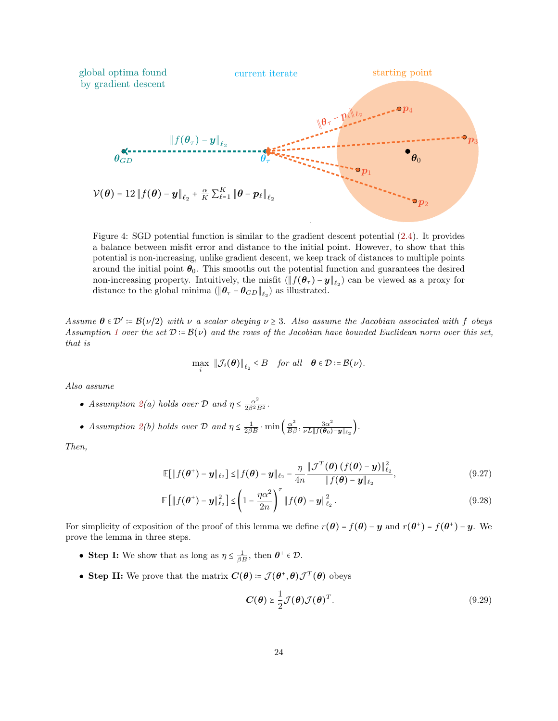<span id="page-23-0"></span>

Figure 4: SGD potential function is similar to the gradient descent potential [\(2.4\)](#page-3-3). It provides a balance between misfit error and distance to the initial point. However, to show that this potential is non-increasing, unlike gradient descent, we keep track of distances to multiple points around the initial point  $\theta_0$ . This smooths out the potential function and guarantees the desired non-increasing property. Intuitively, the misfit  $(\|f(\theta_\tau) - y\|_{\ell_2})$  can be viewed as a proxy for distance to the global minima  $(\|\boldsymbol{\theta}_\tau - \boldsymbol{\theta}_{GD}\|_{\ell_2})$  as illustrated.

Assume  $\theta \in \mathcal{D}' \coloneqq \mathcal{B}(\nu/2)$  with  $\nu$  a scalar obeying  $\nu \geq 3$ . Also assume the Jacobian associated with f obeys Assumption [1](#page-2-2) over the set  $\mathcal{D} := \mathcal{B}(\nu)$  and the rows of the Jacobian have bounded Euclidean norm over this set, that is

$$
\max_i \|\mathcal{J}_i(\boldsymbol{\theta})\|_{\ell_2} \leq B \quad \text{for all} \quad \boldsymbol{\theta} \in \mathcal{D} \coloneqq \mathcal{B}(\nu).
$$

Also assume

- Assumption  $2(a)$  $2(a)$  holds over  $D$  and  $\eta \leq \frac{\alpha^2}{2\beta^2 B^2}$ .
- Assumption [2\(](#page-2-3)b) holds over D and  $\eta \leq \frac{1}{2\beta B} \cdot \min\left(\frac{\alpha^2}{B\beta}, \frac{3\alpha^2}{\nu L \| f(\theta_0)}\right)$  $\frac{3\alpha^2}{\nu L\|f(\boldsymbol{\theta}_0)-\boldsymbol{y}\|_{\ell_2}}\Big).$

Then,

$$
\mathbb{E}[\|f(\boldsymbol{\theta}^+) - \boldsymbol{y}\|_{\ell_2}] \le \|f(\boldsymbol{\theta}) - \boldsymbol{y}\|_{\ell_2} - \frac{\eta}{4n} \frac{\|\mathcal{J}^T(\boldsymbol{\theta})\left(f(\boldsymbol{\theta}) - \boldsymbol{y}\right)\|_{\ell_2}^2}{\|f(\boldsymbol{\theta}) - \boldsymbol{y}\|_{\ell_2}},
$$
\n(9.27)

$$
\mathbb{E}\left[\|f(\boldsymbol{\theta}^+) - \boldsymbol{y}\|_{\ell_2}^2\right] \leq \left(1 - \frac{\eta \alpha^2}{2n}\right)^{\tau} \|f(\boldsymbol{\theta}) - \boldsymbol{y}\|_{\ell_2}^2.
$$
\n(9.28)

For simplicity of exposition of the proof of this lemma we define  $r(\theta) = f(\theta) - y$  and  $r(\theta^+) = f(\theta^+) - y$ . We prove the lemma in three steps.

- Step I: We show that as long as  $\eta \leq \frac{1}{\beta B}$ , then  $\theta^+ \in \mathcal{D}$ .
- Step II: We prove that the matrix  $C(\theta) = \mathcal{J}(\theta^+, \theta) \mathcal{J}^T(\theta)$  obeys

<span id="page-23-3"></span><span id="page-23-2"></span><span id="page-23-1"></span>
$$
C(\theta) \ge \frac{1}{2} \mathcal{J}(\theta) \mathcal{J}(\theta)^{T}.
$$
\n(9.29)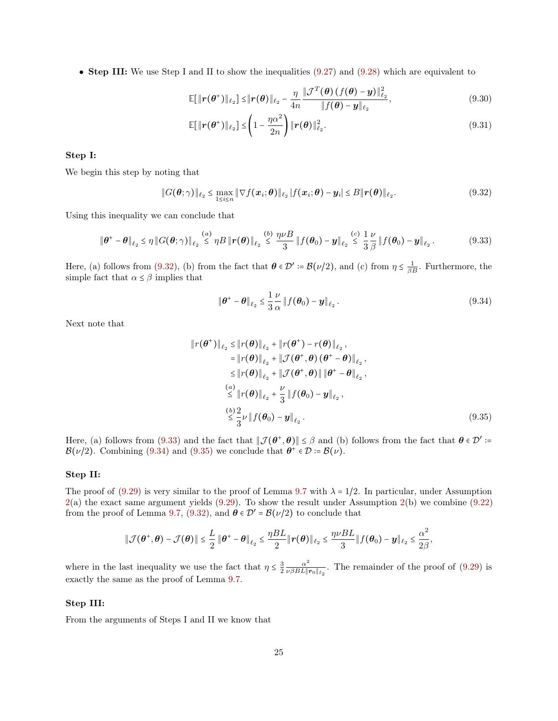• Step III: We use Step I and II to show the inequalities [\(9.27\)](#page-23-1) and [\(9.28\)](#page-23-2) which are equivalent to

<span id="page-24-4"></span>
$$
\mathbb{E}[\|\boldsymbol{r}(\boldsymbol{\theta}^*)\|_{\ell_2}] \leq \|\boldsymbol{r}(\boldsymbol{\theta})\|_{\ell_2} - \frac{\eta}{4n} \frac{\|\mathcal{J}^T(\boldsymbol{\theta})\left(f(\boldsymbol{\theta}) - \boldsymbol{y}\right)\|_{\ell_2}^2}{\|f(\boldsymbol{\theta}) - \boldsymbol{y}\|_{\ell_2}},
$$
\n(9.30)

<span id="page-24-5"></span>
$$
\mathbb{E}[\|\boldsymbol{r}(\boldsymbol{\theta}^*)\|_{\ell_2}]\leq \left(1-\frac{\eta\alpha^2}{2n}\right)\|\boldsymbol{r}(\boldsymbol{\theta})\|_{\ell_2}^2.
$$
\n(9.31)

### Step I:

We begin this step by noting that

$$
||G(\boldsymbol{\theta};\gamma)||_{\ell_2} \leq \max_{1 \leq i \leq n} ||\nabla f(\boldsymbol{x}_i;\boldsymbol{\theta})||_{\ell_2} |f(\boldsymbol{x}_i;\boldsymbol{\theta}) - \boldsymbol{y}_i| \leq B ||\boldsymbol{r}(\boldsymbol{\theta})||_{\ell_2}.
$$
\n(9.32)

Using this inequality we can conclude that

$$
\|\boldsymbol{\theta}^* - \boldsymbol{\theta}\|_{\ell_2} \leq \eta \left\|G(\boldsymbol{\theta}; \gamma)\right\|_{\ell_2} \stackrel{(a)}{\leq} \eta B \left\|\boldsymbol{r}(\boldsymbol{\theta})\right\|_{\ell_2} \stackrel{(b)}{\leq} \frac{\eta \nu B}{3} \left\|f(\boldsymbol{\theta}_0) - \boldsymbol{y}\right\|_{\ell_2} \stackrel{(c)}{\leq} \frac{1}{3} \frac{\nu}{\beta} \left\|f(\boldsymbol{\theta}_0) - \boldsymbol{y}\right\|_{\ell_2}.
$$
 (9.33)

Here, (a) follows from [\(9.32\)](#page-24-0), (b) from the fact that  $\theta \in \mathcal{D}' \coloneqq \mathcal{B}(\nu/2)$ , and (c) from  $\eta \leq \frac{1}{\beta B}$ . Furthermore, the simple fact that  $\alpha \leq \beta$  implies that

<span id="page-24-3"></span><span id="page-24-2"></span><span id="page-24-1"></span><span id="page-24-0"></span>
$$
\|\boldsymbol{\theta}^+ - \boldsymbol{\theta}\|_{\ell_2} \le \frac{1}{3} \frac{\nu}{\alpha} \|f(\boldsymbol{\theta}_0) - \boldsymbol{y}\|_{\ell_2}.
$$
\n(9.34)

Next note that

$$
\|r(\theta^{+})\|_{\ell_{2}} \leq \|r(\theta)\|_{\ell_{2}} + \|r(\theta^{+}) - r(\theta)\|_{\ell_{2}},
$$
\n
$$
= \|r(\theta)\|_{\ell_{2}} + \|\mathcal{J}(\theta^{+}, \theta) (\theta^{+} - \theta)\|_{\ell_{2}},
$$
\n
$$
\leq \|r(\theta)\|_{\ell_{2}} + \|\mathcal{J}(\theta^{+}, \theta)\| \|\theta^{+} - \theta\|_{\ell_{2}},
$$
\n
$$
\overset{(a)}{\leq} \|r(\theta)\|_{\ell_{2}} + \frac{\nu}{3} \|f(\theta_{0}) - y\|_{\ell_{2}},
$$
\n
$$
\overset{(b)}{\leq} \frac{2}{3} \nu \|f(\theta_{0}) - y\|_{\ell_{2}}.
$$
\n(9.35)

Here, (a) follows from [\(9.33\)](#page-24-1) and the fact that  $||\mathcal{J}(\theta^+,\theta)|| \leq \beta$  and (b) follows from the fact that  $\theta \in \mathcal{D}'$ :=  $\mathcal{B}(\nu/2)$ . Combining [\(9.34\)](#page-24-2) and [\(9.35\)](#page-24-3) we conclude that  $\theta^+ \in \mathcal{D} \coloneqq \mathcal{B}(\nu)$ .

#### Step II:

The proof of [\(9.29\)](#page-23-3) is very similar to the proof of Lemma [9.7](#page-17-2) with  $\lambda = 1/2$ . In particular, under Assumption  $2(a)$  $2(a)$  the exact same argument yields [\(9.29\)](#page-23-3). To show the result under Assumption  $2(b)$  we combine [\(9.22\)](#page-20-0) from the proof of Lemma [9.7,](#page-17-2) [\(9.32\)](#page-24-0), and  $\theta \in \mathcal{D}' = \mathcal{B}(\nu/2)$  to conclude that

$$
\|\mathcal{J}(\boldsymbol{\theta}^+,\boldsymbol{\theta})-\mathcal{J}(\boldsymbol{\theta})\| \leq \frac{L}{2}\left\|\boldsymbol{\theta}^+-\boldsymbol{\theta}\right\|_{\ell_2} \leq \frac{\eta BL}{2}\|\boldsymbol{r}(\boldsymbol{\theta})\|_{\ell_2} \leq \frac{\eta\mathcal{VBL}}{3}\|f(\boldsymbol{\theta}_0)-\boldsymbol{y}\|_{\ell_2} \leq \frac{\alpha^2}{2\beta},
$$

where in the last inequality we use the fact that  $\eta \leq \frac{3}{2} \frac{\alpha^2}{\nu \beta BL \| \cdot}$  $\frac{\alpha^2}{\nu\beta BL \|\mathbf{r}_0\|_{\ell_2}}$ . The remainder of the proof of [\(9.29\)](#page-23-3) is exactly the same as the proof of Lemma [9.7.](#page-17-2)

#### Step III:

From the arguments of Steps I and II we know that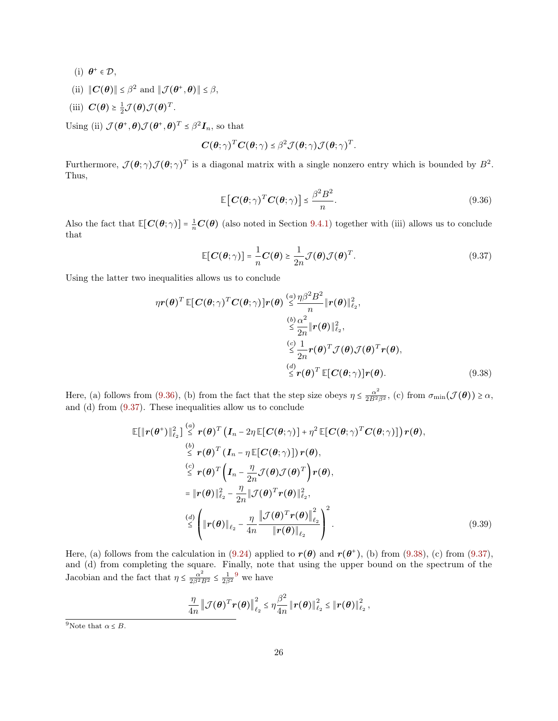- (i)  $\boldsymbol{\theta}^+ \in \mathcal{D}$ ,
- (ii)  $||\mathbf{C}(\boldsymbol{\theta})|| \leq \beta^2$  and  $||\mathcal{J}(\boldsymbol{\theta}^+, \boldsymbol{\theta})|| \leq \beta$ ,
- (iii)  $\mathbf{C}(\boldsymbol{\theta}) \geq \frac{1}{2} \mathcal{J}(\boldsymbol{\theta}) \mathcal{J}(\boldsymbol{\theta})^T$ .

Using (ii)  $\mathcal{J}(\theta^+, \theta) \mathcal{J}(\theta^+, \theta)^T \leq \beta^2 \mathbf{I}_n$ , so that

$$
\boldsymbol{C}(\boldsymbol{\theta};\gamma)^{T}\boldsymbol{C}(\boldsymbol{\theta};\gamma) \leq \beta^{2} \mathcal{J}(\boldsymbol{\theta};\gamma) \mathcal{J}(\boldsymbol{\theta};\gamma)^{T}.
$$

Furthermore,  $\mathcal{J}(\theta; \gamma) \mathcal{J}(\theta; \gamma)^T$  is a diagonal matrix with a single nonzero entry which is bounded by  $B^2$ . Thus,

<span id="page-25-1"></span><span id="page-25-0"></span>
$$
\mathbb{E}\left[\mathbf{C}(\boldsymbol{\theta};\gamma)^{T}\mathbf{C}(\boldsymbol{\theta};\gamma)\right] \leq \frac{\beta^{2}B^{2}}{n}.
$$
\n(9.36)

Also the fact that  $\mathbb{E}[C(\theta; \gamma)] = \frac{1}{n}C(\theta)$  (also noted in Section [9.4.1\)](#page-21-2) together with (iii) allows us to conclude that

<span id="page-25-2"></span>
$$
\mathbb{E}[C(\theta;\gamma)] = \frac{1}{n}C(\theta) \ge \frac{1}{2n}\mathcal{J}(\theta)\mathcal{J}(\theta)^{T}.
$$
\n(9.37)

Using the latter two inequalities allows us to conclude

$$
\eta r(\theta)^T \mathbb{E}[C(\theta; \gamma)^T C(\theta; \gamma)]r(\theta) \stackrel{(a)}{\leq} \frac{\eta \beta^2 B^2}{n} \|r(\theta)\|_{\ell_2}^2,
$$
  

$$
\stackrel{(b)}{\leq} \frac{\alpha^2}{2n} \|r(\theta)\|_{\ell_2}^2,
$$
  

$$
\stackrel{(c)}{\leq} \frac{1}{2n} r(\theta)^T \mathcal{J}(\theta) \mathcal{J}(\theta)^T r(\theta),
$$
  

$$
\stackrel{(d)}{\leq} r(\theta)^T \mathbb{E}[C(\theta; \gamma)]r(\theta).
$$
 (9.38)

Here, (a) follows from [\(9.36\)](#page-25-0), (b) from the fact that the step size obeys  $\eta \leq \frac{\alpha^2}{2B^2\beta^2}$ , (c) from  $\sigma_{\min}(\mathcal{J}(\theta)) \geq \alpha$ , and (d) from [\(9.37\)](#page-25-1). These inequalities allow us to conclude

$$
\mathbb{E}[\|\boldsymbol{r}(\boldsymbol{\theta}^{+})\|_{\ell_{2}}^{2}] \stackrel{(a)}{\leq} \boldsymbol{r}(\boldsymbol{\theta})^{T} (\boldsymbol{I}_{n} - 2\eta \mathbb{E}[\boldsymbol{C}(\boldsymbol{\theta};\gamma)] + \eta^{2} \mathbb{E}[\boldsymbol{C}(\boldsymbol{\theta};\gamma)^{T}\boldsymbol{C}(\boldsymbol{\theta};\gamma)])\boldsymbol{r}(\boldsymbol{\theta}),
$$
\n
$$
\stackrel{(b)}{\leq} \boldsymbol{r}(\boldsymbol{\theta})^{T} (\boldsymbol{I}_{n} - \eta \mathbb{E}[\boldsymbol{C}(\boldsymbol{\theta};\gamma)]) \boldsymbol{r}(\boldsymbol{\theta}),
$$
\n
$$
\stackrel{(c)}{\leq} \boldsymbol{r}(\boldsymbol{\theta})^{T} (\boldsymbol{I}_{n} - \frac{\eta}{2n} \mathcal{J}(\boldsymbol{\theta}) \mathcal{J}(\boldsymbol{\theta})^{T}) \boldsymbol{r}(\boldsymbol{\theta}),
$$
\n
$$
= \|\boldsymbol{r}(\boldsymbol{\theta})\|_{\ell_{2}}^{2} - \frac{\eta}{2n} \|\mathcal{J}(\boldsymbol{\theta})^{T}\boldsymbol{r}(\boldsymbol{\theta})\|_{\ell_{2}}^{2},
$$
\n
$$
\stackrel{(d)}{\leq} \left(\|\boldsymbol{r}(\boldsymbol{\theta})\|_{\ell_{2}} - \frac{\eta}{4n} \frac{\|\mathcal{J}(\boldsymbol{\theta})^{T}\boldsymbol{r}(\boldsymbol{\theta})\|_{\ell_{2}}^{2}}{\|\boldsymbol{r}(\boldsymbol{\theta})\|_{\ell_{2}}}\right)^{2}.
$$
\n(9.39)

Here, (a) follows from the calculation in [\(9.24\)](#page-21-1) applied to  $r(\theta)$  and  $r(\theta^+)$ , (b) from [\(9.38\)](#page-25-2), (c) from [\(9.37\)](#page-25-1), and (d) from completing the square. Finally, note that using the upper bound on the spectrum of the Jacobian and the fact that  $\eta \leq \frac{\alpha^2}{2\beta^2 B^2} \leq \frac{1}{2\beta^2}$  we have

<span id="page-25-3"></span>
$$
\frac{\eta}{4n} \left\| \mathcal{J}(\boldsymbol{\theta})^T \boldsymbol{r}(\boldsymbol{\theta}) \right\|_{\ell_2}^2 \leq \eta \frac{\beta^2}{4n} \left\| \boldsymbol{r}(\boldsymbol{\theta}) \right\|_{\ell_2}^2 \leq \left\| \boldsymbol{r}(\boldsymbol{\theta}) \right\|_{\ell_2}^2,
$$

<sup>&</sup>lt;sup>9</sup>Note that  $\alpha \leq B$ .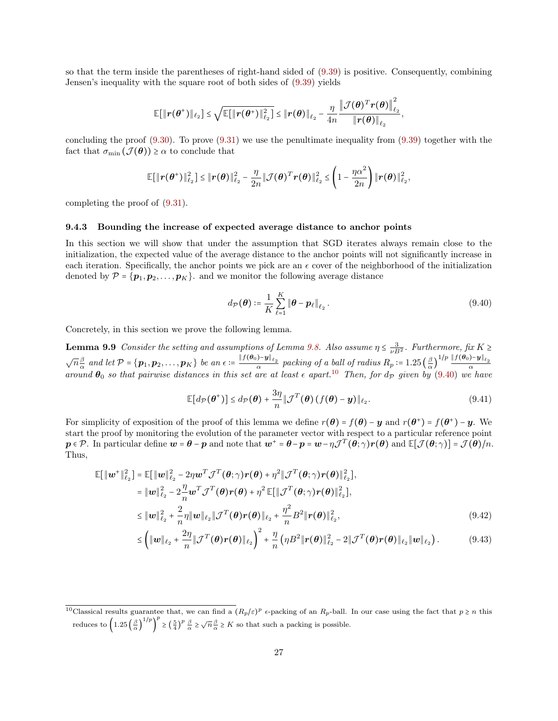so that the term inside the parentheses of right-hand sided of [\(9.39\)](#page-25-3) is positive. Consequently, combining Jensen's inequality with the square root of both sides of [\(9.39\)](#page-25-3) yields

$$
\mathbb{E}[\|\boldsymbol{r}(\boldsymbol{\theta}^*)\|_{\ell_2}] \leq \sqrt{\mathbb{E}[\|\boldsymbol{r}(\boldsymbol{\theta}^*)\|_{\ell_2}^2]} \leq \|\boldsymbol{r}(\boldsymbol{\theta})\|_{\ell_2} - \frac{\eta}{4n} \frac{\|\mathcal{J}(\boldsymbol{\theta})^T\boldsymbol{r}(\boldsymbol{\theta})\|_{\ell_2}^2}{\|\boldsymbol{r}(\boldsymbol{\theta})\|_{\ell_2}},
$$

concluding the proof  $(9.30)$ . To prove  $(9.31)$  we use the penultimate inequality from  $(9.39)$  together with the fact that  $\sigma_{\min}(\mathcal{J}(\boldsymbol{\theta})) \geq \alpha$  to conclude that

$$
\mathbb{E}[\|\boldsymbol{r}(\boldsymbol{\theta}^*)\|_{\ell_2}^2] \leq \|\boldsymbol{r}(\boldsymbol{\theta})\|_{\ell_2}^2 - \frac{\eta}{2n}\|\mathcal{J}(\boldsymbol{\theta})^T\boldsymbol{r}(\boldsymbol{\theta})\|_{\ell_2}^2 \leq \left(1 - \frac{\eta\alpha^2}{2n}\right)\|\boldsymbol{r}(\boldsymbol{\theta})\|_{\ell_2}^2,
$$

<span id="page-26-0"></span>completing the proof of [\(9.31\)](#page-24-5).

### 9.4.3 Bounding the increase of expected average distance to anchor points

In this section we will show that under the assumption that SGD iterates always remain close to the initialization, the expected value of the average distance to the anchor points will not significantly increase in each iteration. Specifically, the anchor points we pick are an  $\epsilon$  cover of the neighborhood of the initialization denoted by  $\mathcal{P} = {\bf{p}_1, p_2, \ldots, p_K}$ . and we monitor the following average distance

<span id="page-26-5"></span><span id="page-26-4"></span><span id="page-26-1"></span>
$$
d_{\mathcal{P}}(\boldsymbol{\theta}) \coloneqq \frac{1}{K} \sum_{\ell=1}^{K} \|\boldsymbol{\theta} - \boldsymbol{p}_{\ell}\|_{\ell_2}.
$$

Concretely, in this section we prove the following lemma.

**Lemma 9.9** Consider the setting and assumptions of Lemma [9.8.](#page-22-2) Also assume  $\eta \leq \frac{3}{\nu B^2}$ . Furthermore, fix  $K \geq$  $\sqrt{n}\frac{\beta}{\alpha}$  $\frac{\beta}{\alpha}$  and let  $\mathcal{P} = {\bf{p_1}, p_2, \ldots, p_K}$  be an  $\epsilon = \frac{\|f(\theta_0) - y\|_{\ell_2}}{\alpha}$  packing of a ball of radius  $R_p = 1.25 \left( \frac{\beta}{\alpha} \right)$  $\sqrt{n}\frac{\beta}{\alpha}$  and let  $\mathcal{P} = {\{p_1, p_2, \ldots, p_K\}}$  be an  $\epsilon := \frac{\|f(\theta_0) - y\|_{\ell_2}}{\alpha}$  packing of a ball of radius  $R_p := 1.25 \left(\frac{\beta}{\alpha}\right)^{1/p} \frac{\|f(\theta_0) - y\|_{\ell_2}}{\alpha}$ <br>around  $\theta_0$  so that pairwise distances in this set are a

<span id="page-26-3"></span><span id="page-26-2"></span>
$$
\mathbb{E}[d_{\mathcal{P}}(\boldsymbol{\theta}^{+})] \leq d_{\mathcal{P}}(\boldsymbol{\theta}) + \frac{3\eta}{n} \|\mathcal{J}^{T}(\boldsymbol{\theta}) \left(f(\boldsymbol{\theta}) - \boldsymbol{y}\right)\|_{\ell_{2}}.
$$
\n(9.41)

For simplicity of exposition of the proof of this lemma we define  $r(\theta) = f(\theta) - y$  and  $r(\theta^+) = f(\theta^+) - y$ . We start the proof by monitoring the evolution of the parameter vector with respect to a particular reference point  $p \in \mathcal{P}$ . In particular define  $\boldsymbol{w} = \boldsymbol{\theta} - \boldsymbol{p}$  and note that  $\boldsymbol{w}^+ = \boldsymbol{\theta} - \boldsymbol{p} = \boldsymbol{w} - \eta \mathcal{J}^T(\boldsymbol{\theta}; \gamma) \boldsymbol{r}(\boldsymbol{\theta})$  and  $\mathbb{E}[\mathcal{J}(\boldsymbol{\theta}; \gamma)] = \mathcal{J}(\boldsymbol{\theta})/n$ . Thus,

$$
\mathbb{E}[\|\boldsymbol{w}^+\|_{\ell_2}^2] = \mathbb{E}[\|\boldsymbol{w}\|_{\ell_2}^2 - 2\eta \boldsymbol{w}^T \mathcal{J}^T(\boldsymbol{\theta}; \gamma) \boldsymbol{r}(\boldsymbol{\theta}) + \eta^2 \|\mathcal{J}^T(\boldsymbol{\theta}; \gamma) \boldsymbol{r}(\boldsymbol{\theta})\|_{\ell_2}^2],
$$
  
\n
$$
= \|\boldsymbol{w}\|_{\ell_2}^2 - 2\frac{\eta}{n} \boldsymbol{w}^T \mathcal{J}^T(\boldsymbol{\theta}) \boldsymbol{r}(\boldsymbol{\theta}) + \eta^2 \mathbb{E}[\|\mathcal{J}^T(\boldsymbol{\theta}; \gamma) \boldsymbol{r}(\boldsymbol{\theta})\|_{\ell_2}^2],
$$
  
\n
$$
\leq \|\boldsymbol{w}\|_{\ell_2}^2 + \frac{2}{n} \eta \|\boldsymbol{w}\|_{\ell_2} \|\mathcal{J}^T(\boldsymbol{\theta}) \boldsymbol{r}(\boldsymbol{\theta})\|_{\ell_2} + \frac{\eta^2}{n} B^2 \|\boldsymbol{r}(\boldsymbol{\theta})\|_{\ell_2}^2,
$$
\n(9.42)

$$
\leq \left( \|\boldsymbol{w}\|_{\ell_2} + \frac{2\eta}{n} \|\mathcal{J}^T(\boldsymbol{\theta})\boldsymbol{r}(\boldsymbol{\theta})\|_{\ell_2} \right)^2 + \frac{\eta}{n} \left( \eta B^2 \|\boldsymbol{r}(\boldsymbol{\theta})\|_{\ell_2}^2 - 2\|\mathcal{J}^T(\boldsymbol{\theta})\boldsymbol{r}(\boldsymbol{\theta})\|_{\ell_2} \|\boldsymbol{w}\|_{\ell_2} \right). \tag{9.43}
$$

<sup>&</sup>lt;sup>10</sup>Classical results guarantee that, we can find a  $(R_p/\varepsilon)^p$  e-packing of an  $R_p$ -ball. In our case using the fact that  $p \ge n$  this reduces to  $\left(1.25\left(\frac{\beta}{\alpha}\right)^{1/p}\right)^p \ge \left(\frac{5}{4}\right)^p \frac{\beta}{\alpha} \ge \sqrt{n}\frac{\beta}{\alpha} \ge K$  so that such a packing is possible.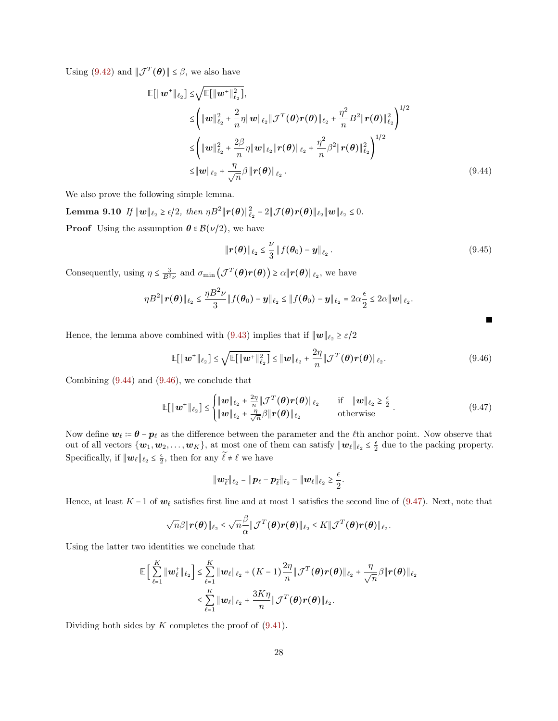Using [\(9.42\)](#page-26-2) and  $\|\mathcal{J}^T(\boldsymbol{\theta})\| \leq \beta$ , we also have

$$
\mathbb{E}[\|\boldsymbol{w}^{+}\|_{\ell_{2}}] \leq \sqrt{\mathbb{E}[\|\boldsymbol{w}^{+}\|_{\ell_{2}}^{2}]},
$$
\n
$$
\leq \left(\|\boldsymbol{w}\|_{\ell_{2}}^{2} + \frac{2}{n}\eta \|\boldsymbol{w}\|_{\ell_{2}} \|\mathcal{J}^{T}(\boldsymbol{\theta})\boldsymbol{r}(\boldsymbol{\theta})\|_{\ell_{2}} + \frac{\eta^{2}}{n}B^{2}\|\boldsymbol{r}(\boldsymbol{\theta})\|_{\ell_{2}}^{2}\right)^{1/2}
$$
\n
$$
\leq \left(\|\boldsymbol{w}\|_{\ell_{2}}^{2} + \frac{2\beta}{n}\eta \|\boldsymbol{w}\|_{\ell_{2}} \|\boldsymbol{r}(\boldsymbol{\theta})\|_{\ell_{2}} + \frac{\eta^{2}}{n}\beta^{2}\|\boldsymbol{r}(\boldsymbol{\theta})\|_{\ell_{2}}^{2}\right)^{1/2}
$$
\n
$$
\leq \|\boldsymbol{w}\|_{\ell_{2}} + \frac{\eta}{\sqrt{n}}\beta \|\boldsymbol{r}(\boldsymbol{\theta})\|_{\ell_{2}}.
$$
\n(9.44)

We also prove the following simple lemma.

Lemma 9.10 If  $\|\boldsymbol{w}\|_{\ell_2} \geq \epsilon/2$ , then  $\eta B^2 \|\boldsymbol{r}(\boldsymbol{\theta})\|_{\ell_2}^2 - 2\|\mathcal{J}(\boldsymbol{\theta})\boldsymbol{r}(\boldsymbol{\theta})\|_{\ell_2} \|\boldsymbol{w}\|_{\ell_2} \leq 0$ . **Proof** Using the assumption  $\theta \in \mathcal{B}(\nu/2)$ , we have

<span id="page-27-4"></span><span id="page-27-2"></span><span id="page-27-1"></span>
$$
\|\bm{r}(\bm{\theta})\|_{\ell_2} \leq \frac{\nu}{3} \|f(\bm{\theta}_0) - \bm{y}\|_{\ell_2}.
$$
\n(9.45)

Consequently, using  $\eta \leq \frac{3}{B^2 \nu}$  and  $\sigma_{\min}(\mathcal{J}^T(\theta) r(\theta)) \geq \alpha ||r(\theta)||_{\ell_2}$ , we have

$$
\eta B^2 \|\boldsymbol{r}(\boldsymbol{\theta})\|_{\ell_2} \leq \frac{\eta B^2 \nu}{3} \|f(\boldsymbol{\theta}_0) - \boldsymbol{y}\|_{\ell_2} \leq \|f(\boldsymbol{\theta}_0) - \boldsymbol{y}\|_{\ell_2} = 2\alpha \frac{\epsilon}{2} \leq 2\alpha \|\boldsymbol{w}\|_{\ell_2}.
$$

Hence, the lemma above combined with [\(9.43\)](#page-26-3) implies that if  $\|\boldsymbol{w}\|_{\ell_2} \geq \varepsilon/2$ 

$$
\mathbb{E}[\|\bm{w}^+\|_{\ell_2}] \leq \sqrt{\mathbb{E}[\|\bm{w}^+\|_{\ell_2}^2]} \leq \|\bm{w}\|_{\ell_2} + \frac{2\eta}{n} \|\mathcal{J}^T(\bm{\theta})\bm{r}(\bm{\theta})\|_{\ell_2}.
$$
\n(9.46)

Combining [\(9.44\)](#page-27-1) and [\(9.46\)](#page-27-2), we conclude that

$$
\mathbb{E}[\|\boldsymbol{w}^+\|_{\ell_2}] \leq \begin{cases} \|\boldsymbol{w}\|_{\ell_2} + \frac{2\eta}{n} \|\mathcal{J}^T(\boldsymbol{\theta})\boldsymbol{r}(\boldsymbol{\theta})\|_{\ell_2} & \text{if } \|\boldsymbol{w}\|_{\ell_2} \geq \frac{\epsilon}{2} \\ \|\boldsymbol{w}\|_{\ell_2} + \frac{\eta}{\sqrt{n}} \beta \|\boldsymbol{r}(\boldsymbol{\theta})\|_{\ell_2} & \text{otherwise} \end{cases} (9.47)
$$

Now define  $w_\ell := \theta - p_\ell$  as the difference between the parameter and the  $\ell$ th anchor point. Now observe that out of all vectors  $\{w_1, w_2, \ldots, w_K\}$ , at most one of them can satisfy  $\|w_\ell\|_{\ell_2} \leq \frac{\epsilon}{2}$  due to the packing property. Specifically, if  $\|\boldsymbol{w}_{\ell}\|_{\ell_2} \leq \frac{\epsilon}{2}$ , then for any  $\widetilde{\ell} \neq \ell$  we have

<span id="page-27-3"></span>
$$
\|\boldsymbol{w}_{\widetilde{\ell}}\|_{\ell_2} = \|\boldsymbol{p}_{\ell} - \boldsymbol{p}_{\widetilde{\ell}}\|_{\ell_2} - \|\boldsymbol{w}_{\ell}\|_{\ell_2} \geq \frac{\epsilon}{2}.
$$

Hence, at least K – 1 of  $w_{\ell}$  satisfies first line and at most 1 satisfies the second line of [\(9.47\)](#page-27-3). Next, note that

$$
\sqrt{n}\beta\|\boldsymbol{r}(\boldsymbol{\theta})\|_{\ell_2} \leq \sqrt{n}\frac{\beta}{\alpha}\|\mathcal{J}^T(\boldsymbol{\theta})\boldsymbol{r}(\boldsymbol{\theta})\|_{\ell_2} \leq K\|\mathcal{J}^T(\boldsymbol{\theta})\boldsymbol{r}(\boldsymbol{\theta})\|_{\ell_2}.
$$

Using the latter two identities we conclude that

$$
\mathbb{E}\Big[\sum_{\ell=1}^K \|\boldsymbol{w}_\ell^+\|_{\ell_2}\Big] \leq \sum_{\ell=1}^K \|\boldsymbol{w}_\ell\|_{\ell_2} + (K-1)\frac{2\eta}{n}\|\mathcal{J}^T(\boldsymbol{\theta})\boldsymbol{r}(\boldsymbol{\theta})\|_{\ell_2} + \frac{\eta}{\sqrt{n}}\beta\|\boldsymbol{r}(\boldsymbol{\theta})\|_{\ell_2}
$$

$$
\leq \sum_{\ell=1}^K \|\boldsymbol{w}_\ell\|_{\ell_2} + \frac{3K\eta}{n}\|\mathcal{J}^T(\boldsymbol{\theta})\boldsymbol{r}(\boldsymbol{\theta})\|_{\ell_2}.
$$

<span id="page-27-0"></span>Dividing both sides by  $K$  completes the proof of  $(9.41)$ .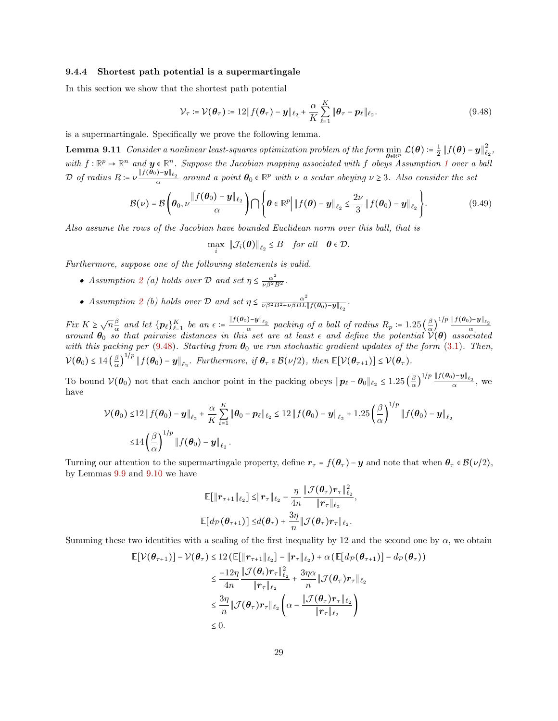#### 9.4.4 Shortest path potential is a supermartingale

In this section we show that the shortest path potential

<span id="page-28-1"></span><span id="page-28-0"></span>
$$
\mathcal{V}_{\tau} \coloneqq \mathcal{V}(\boldsymbol{\theta}_{\tau}) \coloneqq 12 \| f(\boldsymbol{\theta}_{\tau}) - \boldsymbol{y} \|_{\ell_2} + \frac{\alpha}{K} \sum_{\ell=1}^{K} \| \boldsymbol{\theta}_{\tau} - \boldsymbol{p}_{\ell} \|_{\ell_2}.
$$
 (9.48)

is a supermartingale. Specifically we prove the following lemma.

**Lemma 9.11** Consider a nonlinear least-squares optimization problem of the form  $\min$  $\min_{\boldsymbol{\theta}\in\mathbb{R}_{+}^{p}}\:\mathcal{L}(\boldsymbol{\theta})\coloneqq\frac{1}{2}\left\Vert f(\boldsymbol{\theta})-y\right\Vert _{\ell}^{2}$  $_{\ell_2}^{\prime},$ with  $f: \mathbb{R}^p \to \mathbb{R}^n$  and  $y \in \mathbb{R}^n$ . Suppose the Jacobian mapping associated with f obeys Assumption [1](#page-2-2) over a ball  $\mathcal{D}$  of radius  $R := \nu \frac{\|f(\theta_0) - \mathbf{y}\|_{\ell_2}}{\alpha}$  around a point  $\theta_0 \in \mathbb{R}^p$  with  $\nu$  a scalar obeying  $\nu \geq 3$ . Also consider the set

$$
\mathcal{B}(\nu) = \mathcal{B}\left(\boldsymbol{\theta}_0, \nu \frac{\|f(\boldsymbol{\theta}_0) - \boldsymbol{y}\|_{\ell_2}}{\alpha}\right) \bigcap \left\{\boldsymbol{\theta} \in \mathbb{R}^p \middle| \left\|f(\boldsymbol{\theta}) - \boldsymbol{y}\right\|_{\ell_2} \le \frac{2\nu}{3} \left\|f(\boldsymbol{\theta}_0) - \boldsymbol{y}\right\|_{\ell_2}\right\}.
$$
\n(9.49)

Also assume the rows of the Jacobian have bounded Euclidean norm over this ball, that is

$$
\max_i \|\mathcal{J}_i(\boldsymbol{\theta})\|_{\ell_2} \leq B \quad \text{for all} \quad \boldsymbol{\theta} \in \mathcal{D}.
$$

Furthermore, suppose one of the following statements is valid.

- Assumption [2](#page-2-3) (a) holds over D and set  $\eta \leq \frac{\alpha^2}{\nu \beta^2 B^2}$ .
- Assumption [2](#page-2-3) (b) holds over D and set  $\eta \leq \frac{\alpha^2}{\nu \beta^2 B^2 + \nu \beta BL}$  $\frac{\alpha^2}{\nu \beta^2 B^2 + \nu \beta BL \Vert f(\boldsymbol{\theta}_0) - \boldsymbol{y} \Vert_{\ell_2}}$  .

Fix  $K \geq \sqrt{n} \frac{\beta}{\alpha}$  $\frac{\beta}{\alpha}$  and let  $\{p_\ell\}_{\ell=1}^K$  be an  $\epsilon = \frac{\|f(\theta_0) - y\|_{\ell_2}}{\alpha}$  packing of a ball of radius  $R_p = 1.25 \left( \frac{\beta}{\alpha} \right)$ Fix  $K \geq \sqrt{n}\frac{\beta}{\alpha}$  and let  $\{p_\ell\}_{\ell=1}^K$  be an  $\epsilon := \frac{\|f(\theta_0) - y\|_{\ell_2}}{\alpha}$  packing of a ball of radius  $R_p := 1.25 \left(\frac{\beta}{\alpha}\right)^{1/p} \frac{\|f(\theta_0) - y\|_{\ell_2}}{\alpha}$ <br>around  $\theta_0$  so that pairwise distances in this set are at l with this packing per [\(9.48\)](#page-28-1). Starting from  $\theta_0$  we run stochastic gradient updates of the form [\(3.1\)](#page-6-0). Then,  $V(\boldsymbol{\theta}_0) \leq 14 \left(\frac{\beta}{\alpha}\right)$  $\overline{\alpha}$  )  $1/p$   $|| f(\boldsymbol{\theta}_0) - \boldsymbol{y} ||_{\ell_2}$ . Furthermore, if  $\boldsymbol{\theta}_\tau \in \mathcal{B}(\nu/2)$ , then  $\mathbb{E}[\mathcal{V}(\boldsymbol{\theta}_{\tau+1})] \leq \mathcal{V}(\boldsymbol{\theta}_{\tau})$ .

To bound  $\mathcal{V}(\theta_0)$  not that each anchor point in the packing obeys  $\|\boldsymbol{p}_\ell - \boldsymbol{\theta}_0\|_{\ell_2} \leq 1.25 \left(\frac{\beta}{\alpha}\right)$  $\frac{\beta}{\alpha}\Big)^{1/p} \frac{\|f(\theta_0)-y\|_{\ell_2}}{\alpha}, \text{ we}$ have

$$
\mathcal{V}(\theta_0) \le 12 \|f(\theta_0) - y\|_{\ell_2} + \frac{\alpha}{K} \sum_{i=1}^K \|\theta_0 - p_\ell\|_{\ell_2} \le 12 \|f(\theta_0) - y\|_{\ell_2} + 1.25 \left(\frac{\beta}{\alpha}\right)^{1/p} \|f(\theta_0) - y\|_{\ell_2}
$$
  

$$
\le 14 \left(\frac{\beta}{\alpha}\right)^{1/p} \|f(\theta_0) - y\|_{\ell_2}.
$$

Turning our attention to the supermartingale property, define  $r_\tau = f(\theta_\tau) - y$  and note that when  $\theta_\tau \in \mathcal{B}(\nu/2)$ , by Lemmas [9.9](#page-26-5) and [9.10](#page-27-4) we have

$$
\mathbb{E}[\|\boldsymbol{r}_{\tau+1}\|_{\ell_2}] \leq \|\boldsymbol{r}_{\tau}\|_{\ell_2} - \frac{\eta}{4n} \frac{\|\mathcal{J}(\boldsymbol{\theta}_{\tau})\boldsymbol{r}_{\tau}\|_{\ell_2}^2}{\|\boldsymbol{r}_{\tau}\|_{\ell_2}} \n\mathbb{E}[d_{\mathcal{P}}(\boldsymbol{\theta}_{\tau+1})] \leq d(\boldsymbol{\theta}_{\tau}) + \frac{3\eta}{n} \|\mathcal{J}(\boldsymbol{\theta}_{\tau})\boldsymbol{r}_{\tau}\|_{\ell_2}.
$$

,

Summing these two identities with a scaling of the first inequality by 12 and the second one by  $\alpha$ , we obtain

$$
\mathbb{E}[\mathcal{V}(\theta_{\tau+1})] - \mathcal{V}(\theta_{\tau}) \le 12 \left( \mathbb{E}[\|r_{\tau+1}\|_{\ell_2}] - \|r_{\tau}\|_{\ell_2} \right) + \alpha \left( \mathbb{E}[d_{\mathcal{P}}(\theta_{\tau+1})] - d_{\mathcal{P}}(\theta_{\tau}) \right)
$$
\n
$$
\le \frac{-12\eta}{4n} \frac{\|\mathcal{J}(\theta_i)r_{\tau}\|_{\ell_2}^2}{\|r_{\tau}\|_{\ell_2}} + \frac{3\eta\alpha}{n} \|\mathcal{J}(\theta_{\tau})r_{\tau}\|_{\ell_2}
$$
\n
$$
\le \frac{3\eta}{n} \|\mathcal{J}(\theta_{\tau})r_{\tau}\|_{\ell_2} \left( \alpha - \frac{\|\mathcal{J}(\theta_{\tau})r_{\tau}\|_{\ell_2}}{\|r_{\tau}\|_{\ell_2}} \right)
$$
\n
$$
\le 0.
$$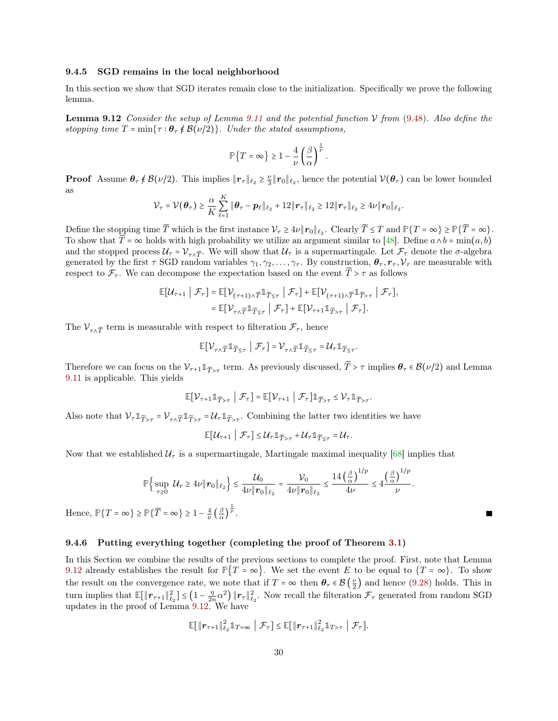#### 9.4.5 SGD remains in the local neighborhood

In this section we show that SGD iterates remain close to the initialization. Specifically we prove the following lemma.

<span id="page-29-1"></span>**Lemma 9.12** Consider the setup of Lemma [9.11](#page-28-0) and the potential function  $V$  from [\(9.48\)](#page-28-1). Also define the stopping time  $T = \min\{\tau : \theta_\tau \notin \mathcal{B}(\nu/2)\}\)$ . Under the stated assumptions,

$$
\mathbb{P}\left\{T = \infty\right\} \ge 1 - \frac{4}{\nu} \left(\frac{\beta}{\alpha}\right)^{\frac{1}{p}}.
$$

**Proof** Assume  $\theta_{\tau} \notin \mathcal{B}(\nu/2)$ . This implies  $\|\boldsymbol{r}_{\tau}\|_{\ell_2} \geq \frac{\nu}{3} \|\boldsymbol{r}_0\|_{\ell_2}$ , hence the potential  $\mathcal{V}(\theta_{\tau})$  can be lower bounded as

$$
\mathcal{V}_{\tau} = \mathcal{V}(\boldsymbol{\theta}_{\tau}) \geq \frac{\alpha}{K} \sum_{\ell=1}^{K} \|\boldsymbol{\theta}_{\tau} - \boldsymbol{p}_{\ell}\|_{\ell_2} + 12 \|\boldsymbol{r}_{\tau}\|_{\ell_2} \geq 12 \|\boldsymbol{r}_{\tau}\|_{\ell_2} \geq 4\nu \|\boldsymbol{r}_0\|_{\ell_2}.
$$

Define the stopping time T which is the first instance  $V_\tau \ge 4\nu \| \mathbf{r}_0 \|_{\ell_2}$ . Clearly  $T \le T$  and  $\mathbb{P}\{T = \infty\} \ge \mathbb{P}\{T = \infty\}$ . To show that  $\tilde{T} = \infty$  holds with high probability we utilize an argument similar to [\[48\]](#page-38-3). Define  $a \wedge b = \min(a, b)$ and the stopped process  $U_\tau = V_{\tau \wedge \widetilde{T}}$ . We will show that  $U_\tau$  is a supermartingale. Let  $\mathcal{F}_\tau$  denote the  $\sigma$ -algebra generated by the first  $\tau$  SGD random variables  $\gamma_1, \gamma_2, \ldots, \gamma_\tau$ . By construction,  $\theta_\tau, r_\tau, \mathcal{V}_\tau$  are measurable with respect to  $\mathcal{F}_{\tau}$ . We can decompose the expectation based on the event  $\widetilde{T} > \tau$  as follows

$$
\mathbb{E}[U_{\tau+1} | \mathcal{F}_{\tau}] = \mathbb{E}[V_{(\tau+1)\wedge \widetilde{T}} \mathbb{1}_{\widetilde{T} \leq \tau} | \mathcal{F}_{\tau}] + \mathbb{E}[V_{(\tau+1)\wedge \widetilde{T}} \mathbb{1}_{\widetilde{T} > \tau} | \mathcal{F}_{\tau}],
$$
  

$$
= \mathbb{E}[V_{\tau \wedge \widetilde{T}} \mathbb{1}_{\widetilde{T} \leq \tau} | \mathcal{F}_{\tau}] + \mathbb{E}[V_{\tau+1} \mathbb{1}_{\widetilde{T} > \tau} | \mathcal{F}_{\tau}].
$$

The  $\mathcal{V}_{\tau \wedge \widetilde{T}}$  term is measurable with respect to filteration  $\mathcal{F}_{\tau}$ , hence

$$
\mathbb{E}[V_{\tau \wedge \widetilde{T}} \mathbb{1}_{\widetilde{T} \leq \tau} | \mathcal{F}_{\tau}] = V_{\tau \wedge \widetilde{T}} \mathbb{1}_{\widetilde{T} \leq \tau} = \mathcal{U}_{\tau} \mathbb{1}_{\widetilde{T} \leq \tau}.
$$

Therefore we can focus on the  $\mathcal{V}_{\tau+1} \mathbb{1}_{\widetilde{T}>\tau}$  term. As previously discussed,  $T > \tau$  implies  $\theta_{\tau} \in \mathcal{B}(\nu/2)$  and Lemma [9.11](#page-28-0) is applicable. This yields

$$
\mathbb{E}[\mathcal{V}_{\tau+1} \mathbb{1}_{\widetilde{T}>\tau} \mid \mathcal{F}_{\tau}] = \mathbb{E}[\mathcal{V}_{\tau+1} \mid \mathcal{F}_{\tau}] \mathbb{1}_{\widetilde{T}>\tau} \leq \mathcal{V}_{\tau} \mathbb{1}_{\widetilde{T}>\tau}.
$$

Also note that  $V_{\tau} \mathbb{1}_{\widetilde{T} > \tau} = V_{\tau \wedge \widetilde{T}} \mathbb{1}_{\widetilde{T} > \tau} = U_{\tau} \mathbb{1}_{\widetilde{T} > \tau}$ . Combining the latter two identities we have

$$
\mathbb{E}[\mathcal{U}_{\tau+1} \mid \mathcal{F}_{\tau}] \leq \mathcal{U}_{\tau} \mathbb{1}_{\widetilde{T} > \tau} + \mathcal{U}_{\tau} \mathbb{1}_{\widetilde{T} \leq \tau} = \mathcal{U}_{\tau}.
$$

Now that we established  $U<sub>\tau</sub>$  is a supermartingale, Martingale maximal inequality [\[68\]](#page-38-14) implies that

$$
\mathbb{P}\Big\{\sup_{\tau\geq 0} \mathcal{U}_{\tau} \geq 4\nu \| \bm{r}_0 \|_{\ell_2}\Big\} \leq \frac{\mathcal{U}_0}{4\nu \| \bm{r}_0 \|_{\ell_2}} = \frac{\mathcal{V}_0}{4\nu \| \bm{r}_0 \|_{\ell_2}} \leq \frac{14 \left(\frac{\beta}{\alpha}\right)^{1/p}}{4\nu} \leq 4 \frac{\left(\frac{\beta}{\alpha}\right)^{1/p}}{\nu}.
$$

Г

Hence,  $\mathbb{P}\{T = \infty\} \ge \mathbb{P}\{\widetilde{T} = \infty\} \ge 1 - \frac{4}{\nu} \left(\frac{\beta}{\alpha}\right)$  $\frac{1}{\alpha}$  $\frac{1}{p}$ .

#### <span id="page-29-0"></span>9.4.6 Putting everything together (completing the proof of Theorem [3.1\)](#page-6-1)

In this Section we combine the results of the previous sections to complete the proof. First, note that Lemma [9.12](#page-29-1) already establishes the result for  $\mathbb{P}\{T = \infty\}$ . We set the event E to be equal to  $\{T = \infty\}$ . To show the result on the convergence rate, we note that if  $T = \infty$  then  $\theta_{\tau} \in \mathcal{B}(\frac{\nu}{2})$  and hence [\(9.28\)](#page-23-2) holds. This in turn implies that  $\mathbb{E}[\|\boldsymbol{r}_{\tau+1}\|_{\ell_2}^2] \leq (1 - \frac{\eta}{2r})$  $\frac{\eta}{2n\alpha^2} \|\mathbf{r}_{\tau}\|_{\ell_2}^2$ . Now recall the filteration  $\mathcal{F}_{\tau}$  generated from random SGD updates in the proof of Lemma [9.12.](#page-29-1) We have

$$
\mathbb{E}[\|\boldsymbol{r}_{\tau+1}\|_{\ell_2}^2 \mathbb{1}_{T=\infty} \mid \mathcal{F}_{\tau}] \leq \mathbb{E}[\|\boldsymbol{r}_{\tau+1}\|_{\ell_2}^2 \mathbb{1}_{T>\tau} \mid \mathcal{F}_{\tau}].
$$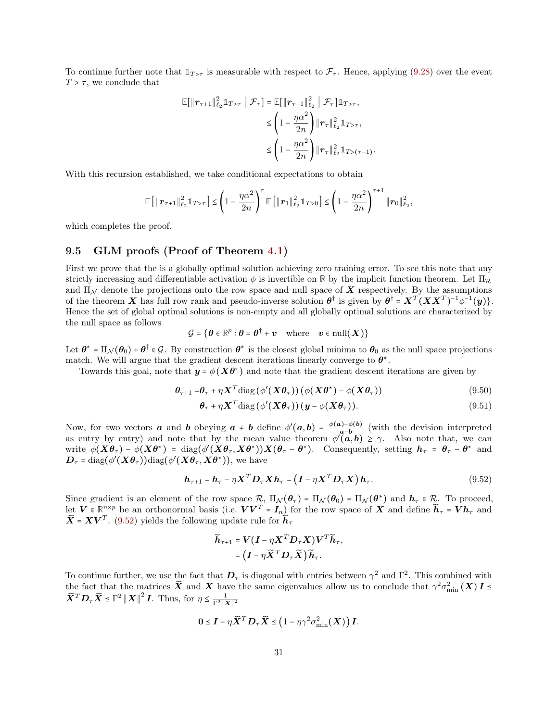To continue further note that  $1_{T>\tau}$  is measurable with respect to  $\mathcal{F}_{\tau}$ . Hence, applying [\(9.28\)](#page-23-2) over the event  $T > \tau$ , we conclude that

$$
\mathbb{E}[\|\boldsymbol{r}_{\tau+1}\|_{\ell_2}^2 \mathbb{1}_{T>\tau} \mid \mathcal{F}_{\tau}] = \mathbb{E}[\|\boldsymbol{r}_{\tau+1}\|_{\ell_2}^2 \mid \mathcal{F}_{\tau}] \mathbb{1}_{T>\tau},
$$
  
\n
$$
\leq \left(1 - \frac{\eta \alpha^2}{2n}\right) \|\boldsymbol{r}_{\tau}\|_{\ell_2}^2 \mathbb{1}_{T>\tau},
$$
  
\n
$$
\leq \left(1 - \frac{\eta \alpha^2}{2n}\right) \|\boldsymbol{r}_{\tau}\|_{\ell_2}^2 \mathbb{1}_{T>\tau-1},
$$

With this recursion established, we take conditional expectations to obtain

$$
\mathbb{E}\left[\|\bm{r}_{\tau+1}\|_{\ell_2}^2 \mathbb{1}_{T>\tau}\right] \leq \left(1 - \frac{\eta \alpha^2}{2n}\right)^{\tau} \mathbb{E}\left[\|\bm{r}_1\|_{\ell_2}^2 \mathbb{1}_{T>0}\right] \leq \left(1 - \frac{\eta \alpha^2}{2n}\right)^{\tau+1} \|\bm{r}_0\|_{\ell_2}^2
$$

which completes the proof.

### 9.5 GLM proofs (Proof of Theorem [4.1\)](#page-7-2)

First we prove that the is a globally optimal solution achieving zero training error. To see this note that any strictly increasing and differentiable activation  $\phi$  is invertible on  $\mathbb R$  by the implicit function theorem. Let  $\Pi_{\mathcal{R}}$ and  $\Pi_{\mathcal{N}}$  denote the projections onto the row space and null space of **X** respectively. By the assumptions of the theorem **X** has full row rank and pseudo-inverse solution  $\theta^{\dagger}$  is given by  $\theta^{\dagger} = X^T (XX^T)^{-1} \phi^{-1}(y)$ . Hence the set of global optimal solutions is non-empty and all globally optimal solutions are characterized by the null space as follows

$$
\mathcal{G} = \{ \boldsymbol{\theta} \in \mathbb{R}^p : \boldsymbol{\theta} = \boldsymbol{\theta}^\dagger + \boldsymbol{v} \quad \text{where} \quad \boldsymbol{v} \in \text{null}(\boldsymbol{X}) \}
$$

Let  $\theta^* = \Pi_{\mathcal{N}}(\theta_0) + \theta^{\dagger} \in \mathcal{G}$ . By construction  $\theta^*$  is the closest global minima to  $\theta_0$  as the null space projections match. We will argue that the gradient descent iterations linearly converge to  $\theta^*$ .

Towards this goal, note that  $y = \phi(X\theta^*)$  and note that the gradient descent iterations are given by

$$
\boldsymbol{\theta}_{\tau+1} = \boldsymbol{\theta}_{\tau} + \eta \boldsymbol{X}^T \text{diag}(\phi'(\boldsymbol{X}\boldsymbol{\theta}_{\tau}))(\phi(\boldsymbol{X}\boldsymbol{\theta}^*) - \phi(\boldsymbol{X}\boldsymbol{\theta}_{\tau}))
$$
\n(9.50)

$$
\boldsymbol{\theta}_{\tau} + \eta \boldsymbol{X}^T \text{diag} \left( \phi'(\boldsymbol{X} \boldsymbol{\theta}_{\tau}) \right) (\boldsymbol{y} - \phi(\boldsymbol{X} \boldsymbol{\theta}_{\tau})). \tag{9.51}
$$

.

,

Now, for two vectors **a** and **b** obeying  $a \neq b$  define  $\phi'(a, b) = \frac{\phi(a) - \phi(b)}{a-b}$  $a-b$  (with the devision interpreted as entry by entry) and note that by the mean value theorem  $\phi'(\mathbf{a}, \mathbf{b}) \geq \gamma$ . Also note that, we can write  $\phi(\mathbf{X}\boldsymbol{\theta}_{\tau}) - \phi(\mathbf{X}\boldsymbol{\theta}^*) = \text{diag}(\phi'(\mathbf{X}\boldsymbol{\theta}_{\tau},\mathbf{X}\boldsymbol{\theta}^*))\mathbf{X}(\boldsymbol{\theta}_{\tau}-\boldsymbol{\theta}^*)$ . Consequently, setting  $\boldsymbol{h}_{\tau} = \boldsymbol{\theta}_{\tau} - \boldsymbol{\theta}^*$  and  $\boldsymbol{D}_{\tau}$  = diag( $\phi'(\boldsymbol{X}\boldsymbol{\theta}_{\tau})$ )diag( $\phi'(\boldsymbol{X}\boldsymbol{\theta}_{\tau},\boldsymbol{X}\boldsymbol{\theta}^{\star})$ ), we have

$$
\boldsymbol{h}_{\tau+1} = \boldsymbol{h}_{\tau} - \eta \boldsymbol{X}^T \boldsymbol{D}_{\tau} \boldsymbol{X} \boldsymbol{h}_{\tau} = (\boldsymbol{I} - \eta \boldsymbol{X}^T \boldsymbol{D}_{\tau} \boldsymbol{X}) \boldsymbol{h}_{\tau}.
$$
\n(9.52)

Since gradient is an element of the row space  $\mathcal{R}$ ,  $\Pi_{\mathcal{N}}(\theta_{\tau}) = \Pi_{\mathcal{N}}(\theta_{0}) = \Pi_{\mathcal{N}}(\theta^{*})$  and  $\mathbf{h}_{\tau} \in \mathcal{R}$ . To proceed, let  $V \in \mathbb{R}^{n \times p}$  be an orthonormal basis (i.e.  $VV^T = I_n$ ) for the row space of X and define  $\widetilde{h}_{\tau} = V h_{\tau}$  and  $\widetilde{\boldsymbol{X}} = \boldsymbol{X}\boldsymbol{V}^T$ . [\(9.52\)](#page-30-0) yields the following update rule for  $\widetilde{\boldsymbol{h}}_{\tau}$ 

<span id="page-30-0"></span>
$$
\widetilde{h}_{\tau+1} = V(I - \eta \boldsymbol{X}^T \boldsymbol{D}_{\tau} \boldsymbol{X}) V^T \widetilde{h}_{\tau},
$$
\n
$$
= (I - \eta \widetilde{\boldsymbol{X}}^T \boldsymbol{D}_{\tau} \widetilde{\boldsymbol{X}}) \widetilde{h}_{\tau}.
$$

To continue further, we use the fact that  $D_{\tau}$  is diagonal with entries between  $\gamma^2$  and  $\Gamma^2$ . This combined with the fact that the matrices  $\tilde{X}$  and X have the same eigenvalues allow us to conclude that  $\gamma^2 \sigma_{\min}^2(X) I \leq$  $\widetilde{\mathbf{X}}^T \mathbf{D}_{\tau} \widetilde{\mathbf{X}} \leq \Gamma^2 ||\mathbf{X}||^2 \mathbf{I}$ . Thus, for  $\eta \leq \frac{1}{\Gamma^2 ||\mathbf{X}||^2}$ 

$$
\mathbf{0} \leq \boldsymbol{I} - \eta \widetilde{\boldsymbol{X}}^T \boldsymbol{D}_{\tau} \widetilde{\boldsymbol{X}} \leq \left(1 - \eta \gamma^2 \sigma_{\min}^2(\boldsymbol{X})\right) \boldsymbol{I}.
$$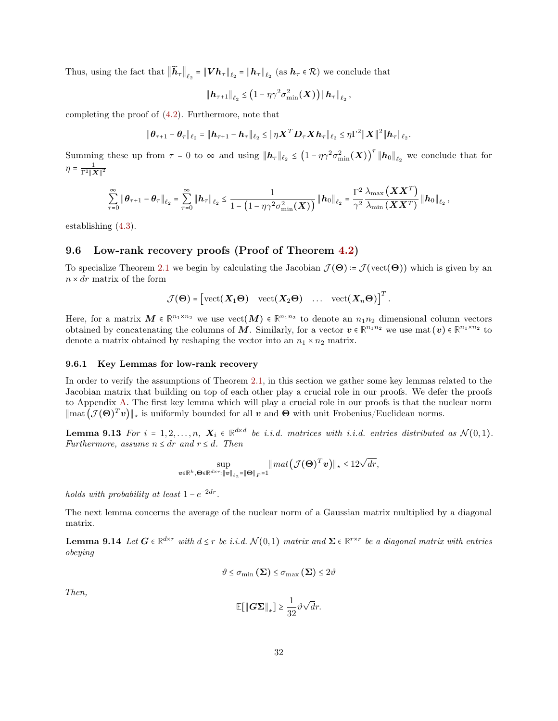Thus, using the fact that  $||\bm{h}_{\tau}||_{\ell_2} = ||\bm{V}\bm{h}_{\tau}||_{\ell_2} = ||\bm{h}_{\tau}||_{\ell_2}$  (as  $\bm{h}_{\tau} \in \mathcal{R}$ ) we conclude that

$$
\|\boldsymbol{h}_{\tau+1}\|_{\ell_2} \leq \left(1 - \eta \gamma^2 \sigma_{\min}^2(\boldsymbol{X})\right) \|\boldsymbol{h}_{\tau}\|_{\ell_2},
$$

completing the proof of [\(4.2\)](#page-7-1). Furthermore, note that

$$
\|\boldsymbol{\theta}_{\tau+1}-\boldsymbol{\theta}_{\tau}\|_{\ell_2}=\|\boldsymbol{h}_{\tau+1}-\boldsymbol{h}_{\tau}\|_{\ell_2}\leq \|\eta \boldsymbol{X}^T\boldsymbol{D}_{\tau}\boldsymbol{X}\boldsymbol{h}_{\tau}\|_{\ell_2}\leq \eta\Gamma^2\|\boldsymbol{X}\|^2\|\boldsymbol{h}_{\tau}\|_{\ell_2}.
$$

Summing these up from  $\tau = 0$  to  $\infty$  and using  $||\boldsymbol{h}_{\tau}||_{\ell_2} \le (1 - \eta \gamma^2 \sigma_{\min}^2(\boldsymbol{X}))^{\tau} ||\boldsymbol{h}_0||_{\ell_2}$  we conclude that for  $\eta = \frac{1}{\Gamma^2 ||\boldsymbol{X}||^2}$ 

$$
\sum_{\tau=0}^\infty \left\| \boldsymbol{\theta}_{\tau+1} - \boldsymbol{\theta}_{\tau} \right\|_{\ell_2} = \sum_{\tau=0}^\infty \left\| \boldsymbol{h}_\tau \right\|_{\ell_2} \leq \frac{1}{1-\left(1-\eta \gamma^2 \sigma_{\min}^2(\boldsymbol{X})\right)} \left\| \boldsymbol{h}_0 \right\|_{\ell_2} = \frac{\Gamma^2}{\gamma^2} \frac{\lambda_{\max} \left( \boldsymbol{X} \boldsymbol{X}^T \right)}{\lambda_{\min} \left( \boldsymbol{X} \boldsymbol{X}^T \right)} \left\| \boldsymbol{h}_0 \right\|_{\ell_2},
$$

establishing [\(4.3\)](#page-8-3).

## 9.6 Low-rank recovery proofs (Proof of Theorem [4.2\)](#page-8-1)

To specialize Theorem [2.1](#page-3-0) we begin by calculating the Jacobian  $\mathcal{J}(\Theta) = \mathcal{J}(\text{vect}(\Theta))$  which is given by an  $n \times dr$  matrix of the form

$$
\mathcal{J}(\mathbf{\Theta}) = \begin{bmatrix} \text{vect}(\boldsymbol{X}_1 \mathbf{\Theta}) & \text{vect}(\boldsymbol{X}_2 \mathbf{\Theta}) & \dots & \text{vect}(\boldsymbol{X}_n \mathbf{\Theta}) \end{bmatrix}^T
$$

<span id="page-31-0"></span>.

Here, for a matrix  $M \in \mathbb{R}^{n_1 \times n_2}$  we use  $\text{vect}(M) \in \mathbb{R}^{n_1 n_2}$  to denote an  $n_1 n_2$  dimensional column vectors obtained by concatenating the columns of M. Similarly, for a vector  $v \in \mathbb{R}^{n_1 n_2}$  we use mat  $(v) \in \mathbb{R}^{n_1 \times n_2}$  to denote a matrix obtained by reshaping the vector into an  $n_1 \times n_2$  matrix.

#### 9.6.1 Key Lemmas for low-rank recovery

In order to verify the assumptions of Theorem [2.1,](#page-3-0) in this section we gather some key lemmas related to the Jacobian matrix that building on top of each other play a crucial role in our proofs. We defer the proofs to Appendix [A.](#page-38-15) The first key lemma which will play a crucial role in our proofs is that the nuclear norm  $\|\text{mat}(\mathcal{J}(\Theta)^T v)\|_{*}$  is uniformly bounded for all  $v$  and  $\Theta$  with unit Frobenius/Euclidean norms.

**Lemma 9.13** For  $i = 1, 2, ..., n$ ,  $X_i \in \mathbb{R}^{d \times d}$  be *i.i.d.* matrices with *i.i.d.* entries distributed as  $\mathcal{N}(0, 1)$ . Furthermore, assume  $n \leq dr$  and  $r \leq d$ . Then

$$
\sup_{\boldsymbol{v}\in\mathbb{R}^k,\boldsymbol{\Theta}\in\mathbb{R}^{d\times r}:\|\boldsymbol{v}\|_{\ell_2}=\|\boldsymbol{\Theta}\|_F=1}\|\boldsymbol{m}at\left(\mathcal{J}(\boldsymbol{\Theta})^T\boldsymbol{v}\right)\|_{\star}\leq 12\sqrt{dr},
$$

holds with probability at least  $1 - e^{-2dr}$ .

<span id="page-31-1"></span>The next lemma concerns the average of the nuclear norm of a Gaussian matrix multiplied by a diagonal matrix.

**Lemma 9.14** Let  $G \in \mathbb{R}^{d \times r}$  with  $d \leq r$  be i.i.d.  $\mathcal{N}(0,1)$  matrix and  $\Sigma \in \mathbb{R}^{r \times r}$  be a diagonal matrix with entries obeying

$$
\vartheta \leq \sigma_{\min}\left(\boldsymbol{\Sigma}\right) \leq \sigma_{\max}\left(\boldsymbol{\Sigma}\right) \leq 2\vartheta
$$

Then,

$$
\mathbb{E}[\|\mathbf{G}\boldsymbol{\Sigma}\|_*] \ge \frac{1}{32} \vartheta \sqrt{d} r.
$$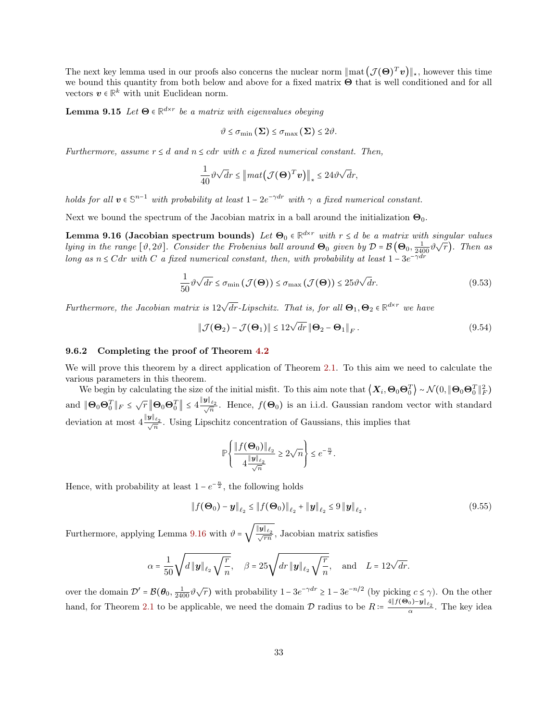The next key lemma used in our proofs also concerns the nuclear norm  $\|\text{mat}(\mathcal{J}(\Theta)^T v)\|_{\star}$ , however this time we bound this quantity from both below and above for a fixed matrix Θ that is well conditioned and for all vectors  $v \in \mathbb{R}^k$  with unit Euclidean norm.

**Lemma 9.15** Let  $\Theta \in \mathbb{R}^{d \times r}$  be a matrix with eigenvalues obeying

<span id="page-32-1"></span><span id="page-32-0"></span>
$$
\vartheta \leq \sigma_{\min}\left(\boldsymbol{\Sigma}\right) \leq \sigma_{\max}\left(\boldsymbol{\Sigma}\right) \leq 2\vartheta.
$$

Furthermore, assume  $r \leq d$  and  $n \leq cdr$  with c a fixed numerical constant. Then,

$$
\frac{1}{40}\vartheta\sqrt{d}r \leq \left\|\text{mat}\left(\mathcal{J}(\boldsymbol{\Theta})^T\boldsymbol{v}\right)\right\|_* \leq 24\vartheta\sqrt{d}r,
$$

holds for all  $v \in \mathbb{S}^{n-1}$  with probability at least  $1 - 2e^{-\gamma dr}$  with  $\gamma$  a fixed numerical constant.

Next we bound the spectrum of the Jacobian matrix in a ball around the initialization  $\Theta_0$ .

**Lemma 9.16 (Jacobian spectrum bounds)** Let  $\Theta_0 \in \mathbb{R}^{d \times r}$  with  $r \leq d$  be a matrix with singular values lying in the range  $[\vartheta, 2\vartheta]$ . Consider the Frobenius ball around  $\Theta_0$  given by  $\mathcal{D} = \mathcal{B}(\Theta_0, \frac{1}{2400}\vartheta\sqrt{r})$ . Then as long as  $n \leq C dr$  with C a fixed numerical constant, then, with probability at least  $1 - 3e^{-\gamma dr}$ 

$$
\frac{1}{50} \vartheta \sqrt{dr} \le \sigma_{\min} \left( \mathcal{J}(\Theta) \right) \le \sigma_{\max} \left( \mathcal{J}(\Theta) \right) \le 25 \vartheta \sqrt{dr}.
$$
\n(9.53)

Furthermore, the Jacobian matrix is  $12\sqrt{dr}$ -Lipschitz. That is, for all  $\Theta_1, \Theta_2 \in \mathbb{R}^{d \times r}$  we have

<span id="page-32-3"></span><span id="page-32-2"></span>
$$
\|\mathcal{J}(\mathbf{\Theta}_2) - \mathcal{J}(\mathbf{\Theta}_1)\| \le 12\sqrt{dr} \|\mathbf{\Theta}_2 - \mathbf{\Theta}_1\|_F.
$$
 (9.54)

#### 9.6.2 Completing the proof of Theorem [4.2](#page-8-1)

We will prove this theorem by a direct application of Theorem [2.1.](#page-3-0) To this aim we need to calculate the various parameters in this theorem.

We begin by calculating the size of the initial misfit. To this aim note that  $\left\langle \boldsymbol{X}_i, \boldsymbol{\Theta}_0 \boldsymbol{\Theta}_0^T \right\rangle \sim \mathcal{N}(0, \|\boldsymbol{\Theta}_0 \boldsymbol{\Theta}_0^T\|_F^2)$ and  $\|\Theta_0\Theta_0^T\|_F \leq \sqrt{r} \|\Theta_0\Theta_0^T\| \leq 4 \frac{\|\mathbf{y}\|_{\ell_2}}{\sqrt{n}}$ . Hence,  $f(\Theta_0)$  is an i.i.d. Gaussian random vector with standard deviation at most  $4 \frac{\|\mathbf{y}\|_{\ell_2}}{\sqrt{n}}$ . Using Lipschitz concentration of Gaussians, this implies that

$$
\mathbb{P}\left\{\frac{\|f(\mathbf{\Theta}_0)\|_{\ell_2}}{4\frac{\|\mathbf{y}\|_{\ell_2}}{\sqrt{n}}}\geq 2\sqrt{n}\right\}\leq e^{-\frac{n}{2}}.
$$

Hence, with probability at least  $1 - e^{-\frac{n}{2}}$ , the following holds

$$
\|f(\mathbf{\Theta}_0) - \mathbf{y}\|_{\ell_2} \le \|f(\mathbf{\Theta}_0)\|_{\ell_2} + \|\mathbf{y}\|_{\ell_2} \le 9 \|\mathbf{y}\|_{\ell_2},
$$
\n(9.55)

Furthermore, applying Lemma [9.16](#page-32-0) with  $\vartheta =$  $\sqrt{\frac{\|\mathbf{y}\|_{\ell_2}}{\sqrt{rn}}}$ , Jacobian matrix satisfies

$$
\alpha = \frac{1}{50} \sqrt{d \|\mathbf{y}\|_{\ell_2} \sqrt{\frac{r}{n}}}, \quad \beta = 25 \sqrt{dr \|\mathbf{y}\|_{\ell_2} \sqrt{\frac{r}{n}}}, \quad \text{and} \quad L = 12\sqrt{dr}.
$$

over the domain  $\mathcal{D}' = \mathcal{B}(\theta_0, \frac{1}{2400} \vartheta \sqrt{r})$  with probability  $1 - 3e^{-\gamma dr} \ge 1 - 3e^{-n/2}$  (by picking  $c \le \gamma$ ). On the other hand, for Theorem [2.1](#page-3-0) to be applicable, we need the domain  $\mathcal D$  radius to be  $R = \frac{4||f(\Theta_0) - y||_{\ell_2}}{\alpha}$ . The key idea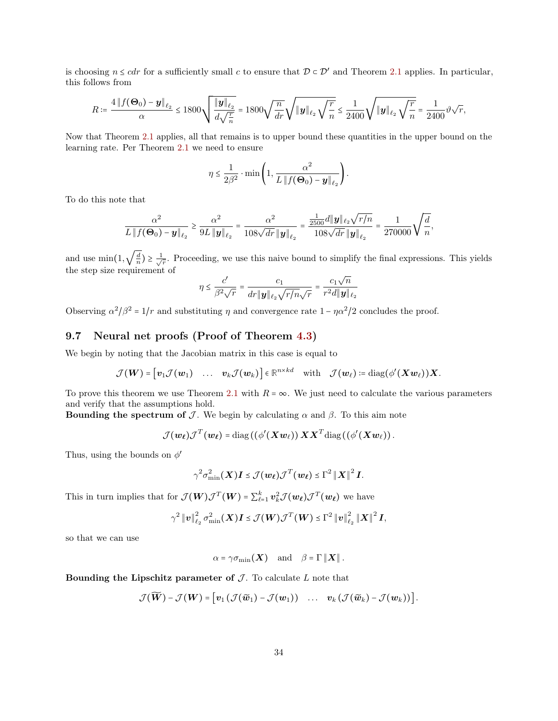is choosing  $n \leq cdr$  for a sufficiently small c to ensure that  $\mathcal{D} \subset \mathcal{D}'$  and Theorem [2.1](#page-3-0) applies. In particular, this follows from

$$
R \coloneqq \frac{4\left\|f(\mathbf{\Theta}_0) - \mathbf{y}\right\|_{\ell_2}}{\alpha} \le 1800 \sqrt{\frac{\|\mathbf{y}\|_{\ell_2}}{d\sqrt{\frac{r}{n}}}} = 1800 \sqrt{\frac{n}{dr}} \sqrt{\|\mathbf{y}\|_{\ell_2} \sqrt{\frac{r}{n}}} \le \frac{1}{2400} \sqrt{\|\mathbf{y}\|_{\ell_2} \sqrt{\frac{r}{n}}} = \frac{1}{2400} \vartheta \sqrt{r},
$$

Now that Theorem [2.1](#page-3-0) applies, all that remains is to upper bound these quantities in the upper bound on the learning rate. Per Theorem [2.1](#page-3-0) we need to ensure

$$
\eta \le \frac{1}{2\beta^2} \cdot \min\left(1, \frac{\alpha^2}{L \|f(\mathbf{\Theta}_0) - \mathbf{y}\|_{\ell_2}}\right).
$$

To do this note that

$$
\frac{\alpha^2}{L\left\|f(\mathbf{\Theta}_0)-\bm{y}\right\|_{\ell_2}} \geq \frac{\alpha^2}{9L\left\|\bm{y}\right\|_{\ell_2}} = \frac{\alpha^2}{108\sqrt{dr}\left\|\bm{y}\right\|_{\ell_2}} = \frac{\frac{1}{2500}d\left\|\bm{y}\right\|_{\ell_2}\sqrt{r/n}}{108\sqrt{dr}\left\|\bm{y}\right\|_{\ell_2}} = \frac{1}{270000}\sqrt{\frac{d}{n}},
$$

and use  $\min(1, \sqrt{\frac{d}{n}}) \ge \frac{1}{\sqrt{n}}$  $\frac{1}{r}$ . Proceeding, we use this naive bound to simplify the final expressions. This yields the step size requirement of

$$
\eta \leq \frac{c'}{\beta^2 \sqrt{r}} = \frac{c_1}{dr\|\boldsymbol{y}\|_{\ell_2} \sqrt{r/n}\sqrt{r}} = \frac{c_1 \sqrt{n}}{r^2d\|\boldsymbol{y}\|_{\ell_2}}
$$

Observing  $\alpha^2/\beta^2 = 1/r$  and substituting  $\eta$  and convergence rate  $1 - \eta \alpha^2/2$  concludes the proof.

# 9.7 Neural net proofs (Proof of Theorem [4.3\)](#page-9-1)

We begin by noting that the Jacobian matrix in this case is equal to

$$
\mathcal{J}(\boldsymbol{W}) = [\boldsymbol{v}_1 \mathcal{J}(\boldsymbol{w}_1) \quad \dots \quad \boldsymbol{v}_k \mathcal{J}(\boldsymbol{w}_k)] \in \mathbb{R}^{n \times kd} \quad \text{with} \quad \mathcal{J}(\boldsymbol{w}_\ell) \coloneqq \text{diag}(\phi'(\boldsymbol{X}\boldsymbol{w}_\ell))\boldsymbol{X}.
$$

To prove this theorem we use Theorem [2.1](#page-3-0) with  $R = \infty$ . We just need to calculate the various parameters and verify that the assumptions hold.

Bounding the spectrum of  $\mathcal J$ . We begin by calculating  $\alpha$  and  $\beta$ . To this aim note

$$
\mathcal{J}(\boldsymbol{w}_{\ell})\mathcal{J}^T(\boldsymbol{w}_{\ell}) = \mathrm{diag}\left(\left(\phi'(\boldsymbol{X}\boldsymbol{w}_{\ell})\right)\boldsymbol{X}\boldsymbol{X}^T\mathrm{diag}\left(\left(\phi'(\boldsymbol{X}\boldsymbol{w}_{\ell})\right)\right.\right.
$$

Thus, using the bounds on  $\phi'$ 

$$
\gamma^2 \sigma_{\min}^2(\boldsymbol{X}) \boldsymbol{I} \leq \mathcal{J}(\boldsymbol{w}_{\ell}) \mathcal{J}^T(\boldsymbol{w}_{\ell}) \leq \Gamma^2 ||\boldsymbol{X}||^2 \boldsymbol{I}.
$$

This in turn implies that for  $\mathcal{J}(W)\mathcal{J}^T(W) = \sum_{\ell=1}^k v_k^2 \mathcal{J}(w_\ell)\mathcal{J}^T(w_\ell)$  we have

$$
\gamma^2 \|\mathbf{v}\|_{\ell_2}^2 \sigma_{\min}^2(\mathbf{X}) \mathbf{I} \le \mathcal{J}(\mathbf{W}) \mathcal{J}^T(\mathbf{W}) \le \Gamma^2 \|\mathbf{v}\|_{\ell_2}^2 \|\mathbf{X}\|^2 \mathbf{I},
$$

so that we can use

$$
\alpha = \gamma \sigma_{\min}(\boldsymbol{X}) \quad \text{and} \quad \beta = \Gamma \|\boldsymbol{X}\|.
$$

Bounding the Lipschitz parameter of  $J$ . To calculate  $L$  note that

$$
\mathcal{J}(\widetilde{\boldsymbol{W}}) - \mathcal{J}(\boldsymbol{W}) = \big[ \boldsymbol{v}_1 \left( \mathcal{J}(\widetilde{\boldsymbol{w}}_1) - \mathcal{J}(\boldsymbol{w}_1) \right) \quad \dots \quad \boldsymbol{v}_k \left( \mathcal{J}(\widetilde{\boldsymbol{w}}_k) - \mathcal{J}(\boldsymbol{w}_k) \right) \big].
$$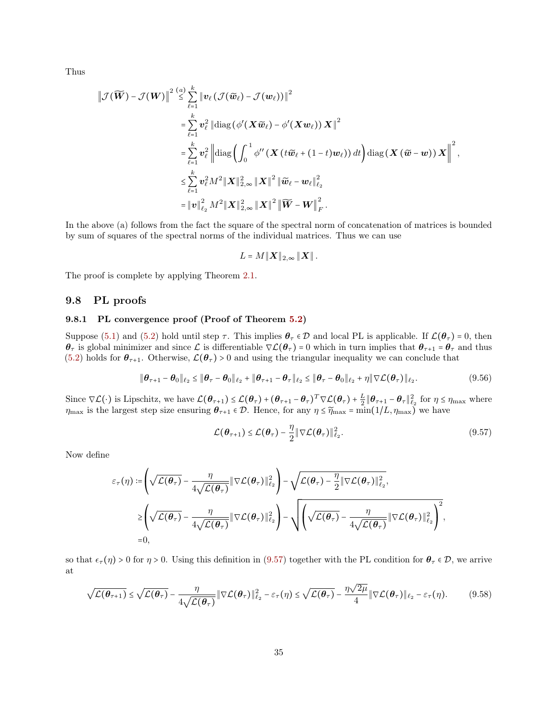Thus

$$
\begin{split}\n\left\|\mathcal{J}(\widetilde{\boldsymbol{W}})-\mathcal{J}(\boldsymbol{W})\right\|^{2} &\overset{(a)}{\leq} \sum_{\ell=1}^{k} \left\|\boldsymbol{v}_{\ell}\left(\mathcal{J}(\widetilde{\boldsymbol{w}}_{\ell})-\mathcal{J}(\boldsymbol{w}_{\ell})\right)\right\|^{2} \\
&= \sum_{\ell=1}^{k} \boldsymbol{v}_{\ell}^{2} \left\|\operatorname{diag}\left(\phi'(\boldsymbol{X}\widetilde{\boldsymbol{w}}_{\ell})-\phi'(\boldsymbol{X}\boldsymbol{w}_{\ell})\right)\boldsymbol{X}\right\|^{2} \\
&= \sum_{\ell=1}^{k} \boldsymbol{v}_{\ell}^{2} \left\|\operatorname{diag}\left(\int_{0}^{1} \phi''\left(\boldsymbol{X}\left(t\widetilde{\boldsymbol{w}}_{\ell}+(1-t)\boldsymbol{w}_{\ell}\right)\right)dt\right) \operatorname{diag}\left(\boldsymbol{X}\left(\widetilde{\boldsymbol{w}}-\boldsymbol{w}\right)\right)\boldsymbol{X}\right\|^{2}, \\
&\leq \sum_{\ell=1}^{k} \boldsymbol{v}_{\ell}^{2} M^{2} \|\boldsymbol{X}\|_{2,\infty}^{2} \|\boldsymbol{X}\|^{2} \left\|\widetilde{\boldsymbol{w}}_{\ell}-\boldsymbol{w}_{\ell}\right\|_{\ell_{2}}^{2} \\
&= \left\|\boldsymbol{v}\right\|_{\ell_{2}}^{2} M^{2} \|\boldsymbol{X}\|_{2,\infty}^{2} \|\boldsymbol{X}\|^{2} \left\|\widetilde{\boldsymbol{W}}-\boldsymbol{W}\right\|_{F}^{2}.\n\end{split}
$$

In the above (a) follows from the fact the square of the spectral norm of concatenation of matrices is bounded by sum of squares of the spectral norms of the individual matrices. Thus we can use

<span id="page-34-1"></span>
$$
L = M||\boldsymbol{X}||_{2,\infty}||\boldsymbol{X}||.
$$

The proof is complete by applying Theorem [2.1.](#page-3-0)

### 9.8 PL proofs

### 9.8.1 PL convergence proof (Proof of Theorem [5.2\)](#page-10-2)

Suppose [\(5.1\)](#page-10-3) and [\(5.2\)](#page-10-4) hold until step  $\tau$ . This implies  $\theta_{\tau} \in \mathcal{D}$  and local PL is applicable. If  $\mathcal{L}(\theta_{\tau}) = 0$ , then  $\theta_{\tau}$  is global minimizer and since  $\mathcal{L}$  is differentiable  $\nabla \mathcal{L}(\theta_{\tau}) = 0$  which in turn implies that  $\theta_{\tau+1} = \theta_{\tau}$  and thus [\(5.2\)](#page-10-4) holds for  $\theta_{\tau+1}$ . Otherwise,  $\mathcal{L}(\theta_{\tau}) > 0$  and using the triangular inequality we can conclude that

$$
\|\boldsymbol{\theta}_{\tau+1} - \boldsymbol{\theta}_0\|_{\ell_2} \le \|\boldsymbol{\theta}_{\tau} - \boldsymbol{\theta}_0\|_{\ell_2} + \|\boldsymbol{\theta}_{\tau+1} - \boldsymbol{\theta}_{\tau}\|_{\ell_2} \le \|\boldsymbol{\theta}_{\tau} - \boldsymbol{\theta}_0\|_{\ell_2} + \eta \|\nabla \mathcal{L}(\boldsymbol{\theta}_{\tau})\|_{\ell_2}.
$$
 (9.56)

Since  $\nabla \mathcal{L}(\cdot)$  is Lipschitz, we have  $\mathcal{L}(\theta_{\tau+1}) \leq \mathcal{L}(\theta_{\tau}) + (\theta_{\tau+1} - \theta_{\tau})^T \nabla \mathcal{L}(\theta_{\tau}) + \frac{L}{2} \|\theta_{\tau+1} - \theta_{\tau}\|_{\ell_2}^2$  for  $\eta \leq \eta_{\max}$  where  $\eta_{\text{max}}$  is the largest step size ensuring  $\theta_{\tau+1} \in \mathcal{D}$ . Hence, for any  $\eta \leq \widetilde{\eta}_{\text{max}} = \min(1/L, \eta_{\text{max}})$  we have

<span id="page-34-2"></span><span id="page-34-0"></span>
$$
\mathcal{L}(\boldsymbol{\theta}_{\tau+1}) \leq \mathcal{L}(\boldsymbol{\theta}_{\tau}) - \frac{\eta}{2} \|\nabla \mathcal{L}(\boldsymbol{\theta}_{\tau})\|_{\ell_2}^2.
$$
\n(9.57)

Now define

$$
\varepsilon_{\tau}(\eta) := \left( \sqrt{\mathcal{L}(\theta_{\tau})} - \frac{\eta}{4\sqrt{\mathcal{L}(\theta_{\tau})}} \|\nabla \mathcal{L}(\theta_{\tau})\|_{\ell_2}^2 \right) - \sqrt{\mathcal{L}(\theta_{\tau}) - \frac{\eta}{2} \|\nabla \mathcal{L}(\theta_{\tau})\|_{\ell_2}^2},
$$
\n
$$
\geq \left( \sqrt{\mathcal{L}(\theta_{\tau})} - \frac{\eta}{4\sqrt{\mathcal{L}(\theta_{\tau})}} \|\nabla \mathcal{L}(\theta_{\tau})\|_{\ell_2}^2 \right) - \sqrt{\left( \sqrt{\mathcal{L}(\theta_{\tau})} - \frac{\eta}{4\sqrt{\mathcal{L}(\theta_{\tau})}} \|\nabla \mathcal{L}(\theta_{\tau})\|_{\ell_2}^2 \right)^2},
$$
\n=0,

so that  $\epsilon_{\tau}(\eta) > 0$  for  $\eta > 0$ . Using this definition in [\(9.57\)](#page-34-0) together with the PL condition for  $\theta_{\tau} \in \mathcal{D}$ , we arrive at

$$
\sqrt{\mathcal{L}(\boldsymbol{\theta}_{\tau+1})} \leq \sqrt{\mathcal{L}(\boldsymbol{\theta}_{\tau})} - \frac{\eta}{4\sqrt{\mathcal{L}(\boldsymbol{\theta}_{\tau})}} \|\nabla \mathcal{L}(\boldsymbol{\theta}_{\tau})\|_{\ell_2}^2 - \varepsilon_{\tau}(\eta) \leq \sqrt{\mathcal{L}(\boldsymbol{\theta}_{\tau})} - \frac{\eta\sqrt{2\mu}}{4} \|\nabla \mathcal{L}(\boldsymbol{\theta}_{\tau})\|_{\ell_2} - \varepsilon_{\tau}(\eta). \tag{9.58}
$$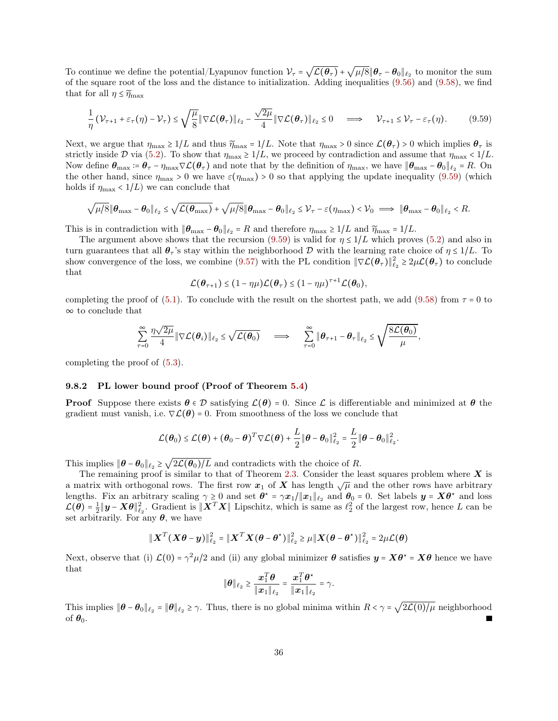To continue we define the potential/Lyapunov function  $V_{\tau} = \sqrt{\mathcal{L}(\theta_{\tau})} + \sqrt{\mu/8} || \theta_{\tau} - \theta_0 ||_{\ell_2}$  to monitor the sum of the square root of the loss and the distance to initialization. Adding inequalities [\(9.56\)](#page-34-1) and [\(9.58\)](#page-34-2), we find that for all  $\eta \leq \widetilde{\eta}_{\max}$ 

$$
\frac{1}{\eta} \left( \mathcal{V}_{\tau+1} + \varepsilon_{\tau}(\eta) - \mathcal{V}_{\tau} \right) \leq \sqrt{\frac{\mu}{8}} \|\nabla \mathcal{L}(\boldsymbol{\theta}_{\tau})\|_{\ell_2} - \frac{\sqrt{2\mu}}{4} \|\nabla \mathcal{L}(\boldsymbol{\theta}_{\tau})\|_{\ell_2} \leq 0 \implies \mathcal{V}_{\tau+1} \leq \mathcal{V}_{\tau} - \varepsilon_{\tau}(\eta). \tag{9.59}
$$

Next, we argue that  $\eta_{\text{max}} \ge 1/L$  and thus  $\widetilde{\eta}_{\text{max}} = 1/L$ . Note that  $\eta_{\text{max}} > 0$  since  $\mathcal{L}(\theta_{\tau}) > 0$  which implies  $\theta_{\tau}$  is strictly inside D via [\(5.2\)](#page-10-4). To show that  $\eta_{\text{max}} \geq 1/L$ , we proceed by contradiction and assume that  $\eta_{\text{max}} < 1/L$ . Now define  $\theta_{\text{max}} \coloneqq \theta_{\tau} - \eta_{\text{max}} \nabla \mathcal{L}(\theta_{\tau})$  and note that by the definition of  $\eta_{\text{max}}$ , we have  $\|\theta_{\text{max}} - \theta_0\|_{\ell_2} = R$ . On the other hand, since  $\eta_{\text{max}} > 0$  we have  $\varepsilon(\eta_{\text{max}}) > 0$  so that applying the update inequality [\(9.59\)](#page-35-0) (which holds if  $\eta_{\text{max}} < 1/L$  we can conclude that

$$
\sqrt{\mu/8} \|\boldsymbol{\theta}_{\max} - \boldsymbol{\theta}_0\|_{\ell_2} \leq \sqrt{\mathcal{L}(\boldsymbol{\theta}_{\max})} + \sqrt{\mu/8} \|\boldsymbol{\theta}_{\max} - \boldsymbol{\theta}_0\|_{\ell_2} \leq \mathcal{V}_{\tau} - \varepsilon(\eta_{\max}) < \mathcal{V}_0 \implies \|\boldsymbol{\theta}_{\max} - \boldsymbol{\theta}_0\|_{\ell_2} < R.
$$

This is in contradiction with  $|\theta_{\text{max}} - \theta_0||_{\ell_2} = R$  and therefore  $\eta_{\text{max}} \ge 1/L$  and  $\widetilde{\eta}_{\text{max}} = 1/L$ .

The argument above shows that the recursion [\(9.59\)](#page-35-0) is valid for  $\eta \leq 1/L$  which proves [\(5.2\)](#page-10-4) and also in turn guarantees that all  $\theta_{\tau}$ 's stay within the neighborhood D with the learning rate choice of  $\eta \leq 1/L$ . To show convergence of the loss, we combine [\(9.57\)](#page-34-0) with the PL condition  $\|\nabla \mathcal{L}(\theta_\tau)\|_{\ell_2}^2 \geq 2\mu \mathcal{L}(\theta_\tau)$  to conclude that

<span id="page-35-0"></span>
$$
\mathcal{L}(\boldsymbol{\theta}_{\tau+1}) \leq (1 - \eta\mu)\mathcal{L}(\boldsymbol{\theta}_{\tau}) \leq (1 - \eta\mu)^{\tau+1}\mathcal{L}(\boldsymbol{\theta}_0),
$$

completing the proof of [\(5.1\)](#page-10-3). To conclude with the result on the shortest path, we add [\(9.58\)](#page-34-2) from  $\tau = 0$  to ∞ to conclude that

$$
\sum_{\tau=0}^{\infty} \frac{\eta \sqrt{2\mu}}{4} \|\nabla \mathcal{L}(\boldsymbol{\theta}_i)\|_{\ell_2} \leq \sqrt{\mathcal{L}(\boldsymbol{\theta}_0)} \quad \implies \quad \sum_{\tau=0}^{\infty} \|\boldsymbol{\theta}_{\tau+1} - \boldsymbol{\theta}_{\tau}\|_{\ell_2} \leq \sqrt{\frac{8\mathcal{L}(\boldsymbol{\theta}_0)}{\mu}},
$$

completing the proof of [\(5.3\)](#page-10-5).

#### 9.8.2 PL lower bound proof (Proof of Theorem [5.4\)](#page-11-0)

**Proof** Suppose there exists  $\theta \in \mathcal{D}$  satisfying  $\mathcal{L}(\theta) = 0$ . Since  $\mathcal{L}$  is differentiable and minimized at  $\theta$  the gradient must vanish, i.e.  $\nabla \mathcal{L}(\theta) = 0$ . From smoothness of the loss we conclude that

$$
\mathcal{L}(\boldsymbol{\theta}_0) \leq \mathcal{L}(\boldsymbol{\theta}) + (\boldsymbol{\theta}_0 - \boldsymbol{\theta})^T \nabla \mathcal{L}(\boldsymbol{\theta}) + \frac{L}{2} ||\boldsymbol{\theta} - \boldsymbol{\theta}_0||_{\ell_2}^2 = \frac{L}{2} ||\boldsymbol{\theta} - \boldsymbol{\theta}_0||_{\ell_2}^2.
$$

This implies  $\|\boldsymbol{\theta} - \boldsymbol{\theta}_0\|_{\ell_2} \ge \sqrt{2\mathcal{L}(\boldsymbol{\theta}_0)/L}$  and contradicts with the choice of R.

The remaining proof is similar to that of Theorem [2.3.](#page-5-0) Consider the least squares problem where  $\boldsymbol{X}$  is a matrix with orthogonal rows. The first row  $x_1$  of X has length  $\sqrt{\mu}$  and the other rows have arbitrary lengths. Fix an arbitrary scaling  $\gamma \ge 0$  and set  $\theta^* = \gamma x_1 / \|x_1\|_{\ell_2}$  and  $\theta_0 = 0$ . Set labels  $y = X\theta^*$  and loss  $\mathcal{L}(\theta) = \frac{1}{2} ||\mathbf{y} - \mathbf{X}\theta||_{\ell_2}^2$ . Gradient is  $||\mathbf{X}^T \mathbf{X}||$  Lipschitz, which is same as  $\ell_2^2$  of the largest row, hence L can be set arbitrarily. For any  $\theta$ , we have

$$
\|\boldsymbol{X}^T(\boldsymbol{X\theta}-\boldsymbol{y})\|_{\ell_2}^2 = \|\boldsymbol{X}^T\boldsymbol{X}\boldsymbol{(}\boldsymbol{\theta}-\boldsymbol{\theta}^{\star})\|_{\ell_2}^2 \geq \mu\|\boldsymbol{X}\boldsymbol{(}\boldsymbol{\theta}-\boldsymbol{\theta}^{\star})\|_{\ell_2}^2 = 2\mu\mathcal{L}(\boldsymbol{\theta})
$$

Next, observe that (i)  $\mathcal{L}(0) = \gamma^2 \mu/2$  and (ii) any global minimizer  $\theta$  satisfies  $y = X\theta^* = X\theta$  hence we have that

$$
\|\boldsymbol{\theta}\|_{\ell_2} \geq \frac{\boldsymbol{x}_1^T \boldsymbol{\theta}}{\|\boldsymbol{x}_1\|_{\ell_2}} = \frac{\boldsymbol{x}_1^T \boldsymbol{\theta}^{\star}}{\|\boldsymbol{x}_1\|_{\ell_2}} = \gamma.
$$

This implies  $\|\boldsymbol{\theta} - \boldsymbol{\theta}_0\|_{\ell_2} = \|\boldsymbol{\theta}\|_{\ell_2} \ge \gamma$ . Thus, there is no global minima within  $R < \gamma = \sqrt{2\mathcal{L}(0)/\mu}$  neighborhood of  $\theta_0$ .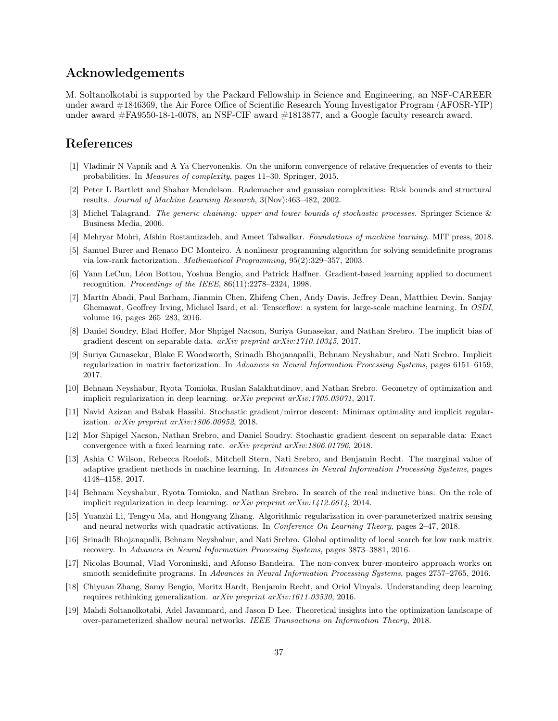# Acknowledgements

M. Soltanolkotabi is supported by the Packard Fellowship in Science and Engineering, an NSF-CAREER under award #1846369, the Air Force Office of Scientific Research Young Investigator Program (AFOSR-YIP) under award #FA9550-18-1-0078, an NSF-CIF award #1813877, and a Google faculty research award.

# References

- <span id="page-36-0"></span>[1] Vladimir N Vapnik and A Ya Chervonenkis. On the uniform convergence of relative frequencies of events to their probabilities. In Measures of complexity, pages 11–30. Springer, 2015.
- <span id="page-36-1"></span>[2] Peter L Bartlett and Shahar Mendelson. Rademacher and gaussian complexities: Risk bounds and structural results. Journal of Machine Learning Research, 3(Nov):463–482, 2002.
- [3] Michel Talagrand. The generic chaining: upper and lower bounds of stochastic processes. Springer Science & Business Media, 2006.
- <span id="page-36-2"></span>[4] Mehryar Mohri, Afshin Rostamizadeh, and Ameet Talwalkar. Foundations of machine learning. MIT press, 2018.
- <span id="page-36-3"></span>[5] Samuel Burer and Renato DC Monteiro. A nonlinear programming algorithm for solving semidefinite programs via low-rank factorization. Mathematical Programming, 95(2):329–357, 2003.
- <span id="page-36-4"></span>[6] Yann LeCun, Léon Bottou, Yoshua Bengio, and Patrick Haffner. Gradient-based learning applied to document recognition. Proceedings of the IEEE,  $86(11):2278-2324$ , 1998.
- <span id="page-36-5"></span>[7] Martín Abadi, Paul Barham, Jianmin Chen, Zhifeng Chen, Andy Davis, Jeffrey Dean, Matthieu Devin, Sanjay Ghemawat, Geoffrey Irving, Michael Isard, et al. Tensorflow: a system for large-scale machine learning. In OSDI, volume 16, pages 265–283, 2016.
- <span id="page-36-6"></span>[8] Daniel Soudry, Elad Hoffer, Mor Shpigel Nacson, Suriya Gunasekar, and Nathan Srebro. The implicit bias of gradient descent on separable data. arXiv preprint arXiv:1710.10345, 2017.
- [9] Suriya Gunasekar, Blake E Woodworth, Srinadh Bhojanapalli, Behnam Neyshabur, and Nati Srebro. Implicit regularization in matrix factorization. In Advances in Neural Information Processing Systems, pages 6151–6159, 2017.
- [10] Behnam Neyshabur, Ryota Tomioka, Ruslan Salakhutdinov, and Nathan Srebro. Geometry of optimization and implicit regularization in deep learning.  $arXiv$  preprint  $arXiv:1705.03071$ , 2017.
- [11] Navid Azizan and Babak Hassibi. Stochastic gradient/mirror descent: Minimax optimality and implicit regularization. arXiv preprint arXiv:1806.00952, 2018.
- [12] Mor Shpigel Nacson, Nathan Srebro, and Daniel Soudry. Stochastic gradient descent on separable data: Exact convergence with a fixed learning rate. arXiv preprint arXiv:1806.01796, 2018.
- [13] Ashia C Wilson, Rebecca Roelofs, Mitchell Stern, Nati Srebro, and Benjamin Recht. The marginal value of adaptive gradient methods in machine learning. In Advances in Neural Information Processing Systems, pages 4148–4158, 2017.
- <span id="page-36-7"></span>[14] Behnam Neyshabur, Ryota Tomioka, and Nathan Srebro. In search of the real inductive bias: On the role of implicit regularization in deep learning. arXiv preprint arXiv:1412.6614, 2014.
- <span id="page-36-8"></span>[15] Yuanzhi Li, Tengyu Ma, and Hongyang Zhang. Algorithmic regularization in over-parameterized matrix sensing and neural networks with quadratic activations. In Conference On Learning Theory, pages 2-47, 2018.
- <span id="page-36-12"></span>[16] Srinadh Bhojanapalli, Behnam Neyshabur, and Nati Srebro. Global optimality of local search for low rank matrix recovery. In Advances in Neural Information Processing Systems, pages 3873–3881, 2016.
- <span id="page-36-9"></span>[17] Nicolas Boumal, Vlad Voroninski, and Afonso Bandeira. The non-convex burer-monteiro approach works on smooth semidefinite programs. In Advances in Neural Information Processing Systems, pages 2757–2765, 2016.
- <span id="page-36-10"></span>[18] Chiyuan Zhang, Samy Bengio, Moritz Hardt, Benjamin Recht, and Oriol Vinyals. Understanding deep learning requires rethinking generalization.  $arXiv$  preprint  $arXiv:1611.03530$ , 2016.
- <span id="page-36-11"></span>[19] Mahdi Soltanolkotabi, Adel Javanmard, and Jason D Lee. Theoretical insights into the optimization landscape of over-parameterized shallow neural networks. IEEE Transactions on Information Theory, 2018.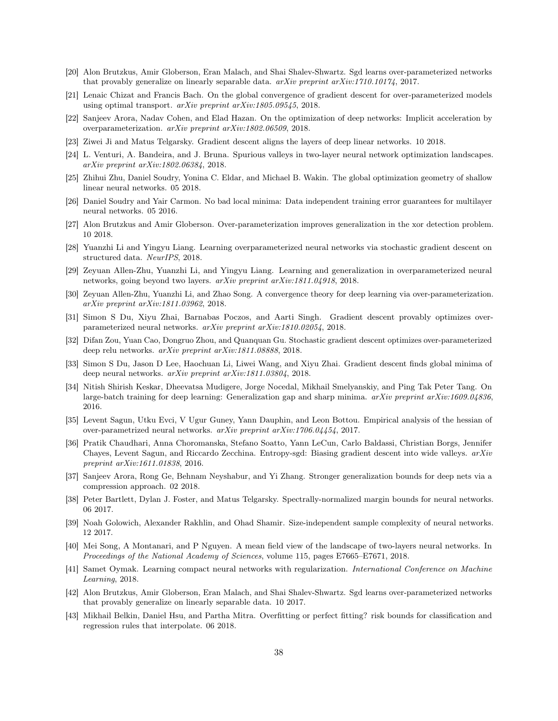- [20] Alon Brutzkus, Amir Globerson, Eran Malach, and Shai Shalev-Shwartz. Sgd learns over-parameterized networks that provably generalize on linearly separable data.  $arXiv$  preprint  $arXiv:1710.10174$ , 2017.
- [21] Lenaic Chizat and Francis Bach. On the global convergence of gradient descent for over-parameterized models using optimal transport.  $arXiv$  preprint  $arXiv:1805.09545$ , 2018.
- [22] Sanjeev Arora, Nadav Cohen, and Elad Hazan. On the optimization of deep networks: Implicit acceleration by overparameterization. arXiv preprint arXiv:1802.06509, 2018.
- [23] Ziwei Ji and Matus Telgarsky. Gradient descent aligns the layers of deep linear networks. 10 2018.
- [24] L. Venturi, A. Bandeira, and J. Bruna. Spurious valleys in two-layer neural network optimization landscapes. arXiv preprint arXiv:1802.06384, 2018.
- [25] Zhihui Zhu, Daniel Soudry, Yonina C. Eldar, and Michael B. Wakin. The global optimization geometry of shallow linear neural networks. 05 2018.
- [26] Daniel Soudry and Yair Carmon. No bad local minima: Data independent training error guarantees for multilayer neural networks. 05 2016.
- <span id="page-37-0"></span>[27] Alon Brutzkus and Amir Globerson. Over-parameterization improves generalization in the xor detection problem. 10 2018.
- <span id="page-37-1"></span>[28] Yuanzhi Li and Yingyu Liang. Learning overparameterized neural networks via stochastic gradient descent on structured data. NeurIPS, 2018.
- [29] Zeyuan Allen-Zhu, Yuanzhi Li, and Yingyu Liang. Learning and generalization in overparameterized neural networks, going beyond two layers. arXiv preprint arXiv:1811.04918, 2018.
- <span id="page-37-7"></span>[30] Zeyuan Allen-Zhu, Yuanzhi Li, and Zhao Song. A convergence theory for deep learning via over-parameterization. arXiv preprint arXiv:1811.03962, 2018.
- <span id="page-37-3"></span>[31] Simon S Du, Xiyu Zhai, Barnabas Poczos, and Aarti Singh. Gradient descent provably optimizes overparameterized neural networks. arXiv preprint arXiv:1810.02054, 2018.
- [32] Difan Zou, Yuan Cao, Dongruo Zhou, and Quanquan Gu. Stochastic gradient descent optimizes over-parameterized deep relu networks. arXiv preprint arXiv:1811.08888, 2018.
- <span id="page-37-2"></span>[33] Simon S Du, Jason D Lee, Haochuan Li, Liwei Wang, and Xiyu Zhai. Gradient descent finds global minima of deep neural networks. arXiv preprint arXiv:1811.03804, 2018.
- <span id="page-37-4"></span>[34] Nitish Shirish Keskar, Dheevatsa Mudigere, Jorge Nocedal, Mikhail Smelyanskiy, and Ping Tak Peter Tang. On large-batch training for deep learning: Generalization gap and sharp minima.  $a\tau Xiv$  preprint  $a\tau Xiv:1609.04836$ , 2016.
- [35] Levent Sagun, Utku Evci, V Ugur Guney, Yann Dauphin, and Leon Bottou. Empirical analysis of the hessian of over-parametrized neural networks. arXiv preprint arXiv:1706.04454, 2017.
- <span id="page-37-5"></span>[36] Pratik Chaudhari, Anna Choromanska, Stefano Soatto, Yann LeCun, Carlo Baldassi, Christian Borgs, Jennifer Chayes, Levent Sagun, and Riccardo Zecchina. Entropy-sgd: Biasing gradient descent into wide valleys. arXiv preprint arXiv:1611.01838, 2016.
- <span id="page-37-6"></span>[37] Sanjeev Arora, Rong Ge, Behnam Neyshabur, and Yi Zhang. Stronger generalization bounds for deep nets via a compression approach. 02 2018.
- [38] Peter Bartlett, Dylan J. Foster, and Matus Telgarsky. Spectrally-normalized margin bounds for neural networks. 06 2017.
- [39] Noah Golowich, Alexander Rakhlin, and Ohad Shamir. Size-independent sample complexity of neural networks. 12 2017.
- [40] Mei Song, A Montanari, and P Nguyen. A mean field view of the landscape of two-layers neural networks. In Proceedings of the National Academy of Sciences, volume 115, pages E7665–E7671, 2018.
- [41] Samet Oymak. Learning compact neural networks with regularization. International Conference on Machine Learning, 2018.
- [42] Alon Brutzkus, Amir Globerson, Eran Malach, and Shai Shalev-Shwartz. Sgd learns over-parameterized networks that provably generalize on linearly separable data. 10 2017.
- [43] Mikhail Belkin, Daniel Hsu, and Partha Mitra. Overfitting or perfect fitting? risk bounds for classification and regression rules that interpolate. 06 2018.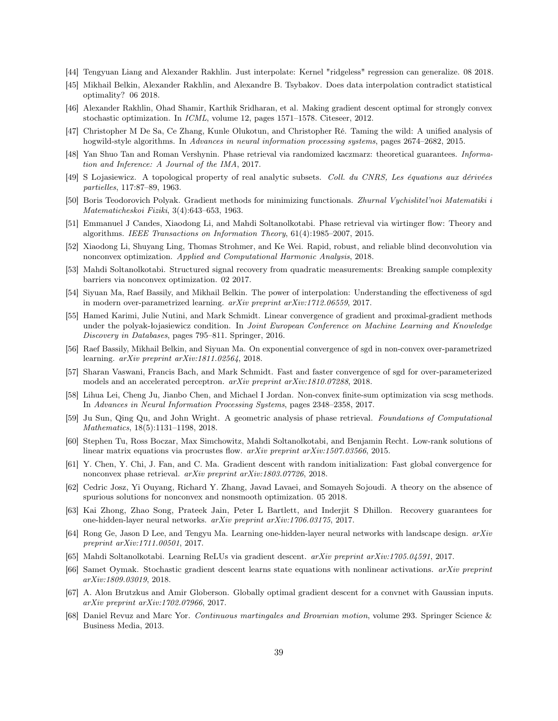- [44] Tengyuan Liang and Alexander Rakhlin. Just interpolate: Kernel "ridgeless" regression can generalize. 08 2018.
- <span id="page-38-0"></span>[45] Mikhail Belkin, Alexander Rakhlin, and Alexandre B. Tsybakov. Does data interpolation contradict statistical optimality? 06 2018.
- <span id="page-38-1"></span>[46] Alexander Rakhlin, Ohad Shamir, Karthik Sridharan, et al. Making gradient descent optimal for strongly convex stochastic optimization. In ICML, volume 12, pages 1571–1578. Citeseer, 2012.
- <span id="page-38-2"></span>[47] Christopher M De Sa, Ce Zhang, Kunle Olukotun, and Christopher Ré. Taming the wild: A unified analysis of hogwild-style algorithms. In Advances in neural information processing systems, pages 2674–2682, 2015.
- <span id="page-38-3"></span>[48] Yan Shuo Tan and Roman Vershynin. Phase retrieval via randomized kaczmarz: theoretical guarantees. Information and Inference: A Journal of the IMA, 2017.
- <span id="page-38-4"></span>[49] S Lojasiewicz. A topological property of real analytic subsets. Coll. du CNRS, Les équations aux dérivées partielles, 117:87–89, 1963.
- <span id="page-38-5"></span>[50] Boris Teodorovich Polyak. Gradient methods for minimizing functionals. Zhurnal Vychislitel'noi Matematiki i Matematicheskoi Fiziki, 3(4):643–653, 1963.
- <span id="page-38-6"></span>[51] Emmanuel J Candes, Xiaodong Li, and Mahdi Soltanolkotabi. Phase retrieval via wirtinger flow: Theory and algorithms. IEEE Transactions on Information Theory, 61(4):1985–2007, 2015.
- [52] Xiaodong Li, Shuyang Ling, Thomas Strohmer, and Ke Wei. Rapid, robust, and reliable blind deconvolution via nonconvex optimization. Applied and Computational Harmonic Analysis, 2018.
- <span id="page-38-7"></span>[53] Mahdi Soltanolkotabi. Structured signal recovery from quadratic measurements: Breaking sample complexity barriers via nonconvex optimization. 02 2017.
- <span id="page-38-8"></span>[54] Siyuan Ma, Raef Bassily, and Mikhail Belkin. The power of interpolation: Understanding the effectiveness of sgd in modern over-parametrized learning.  $arXiv$  preprint  $arXiv:1712.06559$ , 2017.
- [55] Hamed Karimi, Julie Nutini, and Mark Schmidt. Linear convergence of gradient and proximal-gradient methods under the polyak-łojasiewicz condition. In Joint European Conference on Machine Learning and Knowledge Discovery in Databases, pages 795–811. Springer, 2016.
- [56] Raef Bassily, Mikhail Belkin, and Siyuan Ma. On exponential convergence of sgd in non-convex over-parametrized learning. arXiv preprint arXiv:1811.02564, 2018.
- [57] Sharan Vaswani, Francis Bach, and Mark Schmidt. Fast and faster convergence of sgd for over-parameterized models and an accelerated perceptron. arXiv preprint arXiv:1810.07288, 2018.
- <span id="page-38-9"></span>[58] Lihua Lei, Cheng Ju, Jianbo Chen, and Michael I Jordan. Non-convex finite-sum optimization via scsg methods. In Advances in Neural Information Processing Systems, pages 2348–2358, 2017.
- <span id="page-38-10"></span>[59] Ju Sun, Qing Qu, and John Wright. A geometric analysis of phase retrieval. Foundations of Computational Mathematics, 18(5):1131–1198, 2018.
- [60] Stephen Tu, Ross Boczar, Max Simchowitz, Mahdi Soltanolkotabi, and Benjamin Recht. Low-rank solutions of linear matrix equations via procrustes flow. *arXiv preprint arXiv:1507.03566*, 2015.
- [61] Y. Chen, Y. Chi, J. Fan, and C. Ma. Gradient descent with random initialization: Fast global convergence for nonconvex phase retrieval. arXiv preprint arXiv:1803.07726, 2018.
- <span id="page-38-11"></span>[62] Cedric Josz, Yi Ouyang, Richard Y. Zhang, Javad Lavaei, and Somayeh Sojoudi. A theory on the absence of spurious solutions for nonconvex and nonsmooth optimization. 05 2018.
- <span id="page-38-12"></span>[63] Kai Zhong, Zhao Song, Prateek Jain, Peter L Bartlett, and Inderjit S Dhillon. Recovery guarantees for one-hidden-layer neural networks. arXiv preprint arXiv:1706.03175, 2017.
- [64] Rong Ge, Jason D Lee, and Tengyu Ma. Learning one-hidden-layer neural networks with landscape design. arXiv preprint arXiv:1711.00501, 2017.
- [65] Mahdi Soltanolkotabi. Learning ReLUs via gradient descent. arXiv preprint arXiv:1705.04591, 2017.
- [66] Samet Oymak. Stochastic gradient descent learns state equations with nonlinear activations. arXiv preprint arXiv:1809.03019, 2018.
- <span id="page-38-13"></span>[67] A. Alon Brutzkus and Amir Globerson. Globally optimal gradient descent for a convnet with Gaussian inputs. arXiv preprint arXiv:1702.07966, 2017.
- <span id="page-38-15"></span><span id="page-38-14"></span>[68] Daniel Revuz and Marc Yor. Continuous martingales and Brownian motion, volume 293. Springer Science & Business Media, 2013.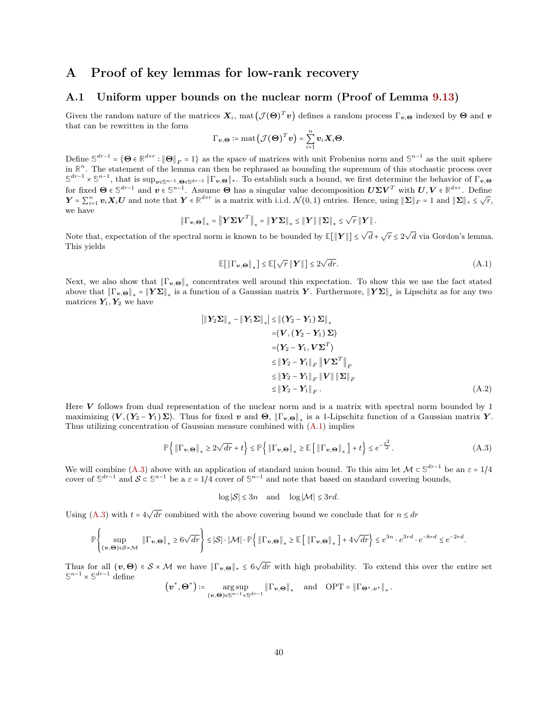# A Proof of key lemmas for low-rank recovery

# A.1 Uniform upper bounds on the nuclear norm (Proof of Lemma [9.13\)](#page-31-0)

Given the random nature of the matrices  $X_i$ , mat  $(\mathcal{J}(\Theta)^T v)$  defines a random process  $\Gamma_{v,\Theta}$  indexed by  $\Theta$  and  $v$ that can be rewritten in the form

$$
\Gamma_{\boldsymbol{v},\boldsymbol{\Theta}} \coloneqq \operatorname{mat}(\mathcal{J}(\boldsymbol{\Theta})^T\boldsymbol{v}) = \sum_{i=1}^n v_i \boldsymbol{X}_i \boldsymbol{\Theta}.
$$

Define  $\mathbb{S}^{dr-1} = \{ \Theta \in \mathbb{R}^{d \times r} : ||\Theta||_F = 1 \}$  as the space of matrices with unit Frobenius norm and  $\mathbb{S}^{n-1}$  as the unit sphere in  $\mathbb{R}^n$ . The statement of the lemma can then be rephrased as bounding the supremum of this stochastic process over  $\mathbb{S}^{dr-1} \times \mathbb{S}^{n-1}$ , that is sup<sub>v∈</sub>s<sub>n−1,</sub>Θ<sub>∈</sub>s<sub>dr−1</sub> ||Γ<sub>v,Θ</sub>||<sub>\*</sub>. To establish such a bound, we first determine the behavior of Γ<sub>v,Θ</sub> for fixed  $\Theta \in \mathbb{S}^{dr-1}$  and  $v \in \mathbb{S}^{n-1}$ . Assume  $\Theta$  has a singular value decomposition  $U\Sigma V^T$  with  $U, V \in \mathbb{R}^{d \times r}$ . Define  $\mathbf{Y} = \sum_{i=1}^{n} \mathbf{v}_i \mathbf{X}_i U$  and note that  $\mathbf{Y} \in \mathbb{R}^{d \times r}$  is a matrix with i.i.d.  $\mathcal{N}(0,1)$  entries. Hence, using  $\|\mathbf{\Sigma}\|_F = 1$  and  $\|\mathbf{\Sigma}\|_* \leq \sqrt{r}$ , we have √

$$
\left\|\Gamma_{\mathbf{v},\Theta}\right\|_{*}=\left\|\boldsymbol{Y}\boldsymbol{\Sigma}\boldsymbol{V}^{T}\right\|_{*}=\left\|\boldsymbol{Y}\boldsymbol{\Sigma}\right\|_{*}\leq\left\|\boldsymbol{Y}\right\|\left\|\boldsymbol{\Sigma}\right\|_{*}\leq\sqrt{r}\left\|\boldsymbol{Y}\right\|.
$$

Note that, expectation of the spectral norm is known to be bounded by  $\mathbb{E}[\|\boldsymbol{Y}\|] \leq \sqrt{d} + \sqrt{r} \leq 2\sqrt{d}$  via Gordon's lemma. This yields

<span id="page-39-0"></span>
$$
\mathbb{E}[\left\|\Gamma_{\mathbf{v},\Theta}\right\|_{*}] \leq \mathbb{E}[\sqrt{r} \left\|\mathbf{Y}\right\|] \leq 2\sqrt{dr}.\tag{A.1}
$$

Next, we also show that  $\|\Gamma_{v,\Theta}\|_*$  concentrates well around this expectation. To show this we use the fact stated above that  $\|\Gamma_{v,\Theta}\|_* = \|Y\Sigma\|_*$  is a function of a Gaussian matrix  $Y$ . Furthermore,  $\|Y\Sigma\|_*$  is Lipschitz as for any two matrices  $Y_1, Y_2$  we have

$$
\|Y_2\Sigma\|_* - \|Y_1\Sigma\|_* \le \| (Y_2 - Y_1) \Sigma \|_*
$$
  
\n
$$
= \langle V, (Y_2 - Y_1) \Sigma \rangle
$$
  
\n
$$
= \langle Y_2 - Y_1, V\Sigma^T \rangle
$$
  
\n
$$
\le \|Y_2 - Y_1\|_F \|V\Sigma^T\|_F
$$
  
\n
$$
\le \|Y_2 - Y_1\|_F \|V\| \|\Sigma\|_F
$$
  
\n
$$
\le \|Y_2 - Y_1\|_F . \tag{A.2}
$$

<span id="page-39-2"></span><span id="page-39-1"></span>.

Here V follows from dual representation of the nuclear norm and is a matrix with spectral norm bounded by  $1$ maximizing  $\langle V, (Y_2 - Y_1) \Sigma \rangle$ . Thus for fixed  $v$  and  $\Theta$ ,  $\|\Gamma_{v,\Theta}\|_*$  is a 1-Lipschitz function of a Gaussian matrix  $Y$ . Thus utilizing concentration of Gaussian measure combined with [\(A.1\)](#page-39-0) implies

$$
\mathbb{P}\left\{\|\Gamma_{\mathbf{v},\mathbf{\Theta}}\|_{*} \ge 2\sqrt{dr} + t\right\} \le \mathbb{P}\left\{\|\Gamma_{\mathbf{v},\mathbf{\Theta}}\|_{*} \ge \mathbb{E}\left[\|\Gamma_{\mathbf{v},\mathbf{\Theta}}\|_{*}\right] + t\right\} \le e^{-\frac{t^{2}}{2}}.
$$
\n(A.3)

We will combine [\(A.3\)](#page-39-1) above with an application of standard union bound. To this aim let  $\mathcal{M} \subset \mathbb{S}^{dr-1}$  be an  $\varepsilon = 1/4$ cover of  $\mathbb{S}^{d r-1}$  and  $\mathcal{S} \subset \mathbb{S}^{n-1}$  be a  $\varepsilon = 1/4$  cover of  $\mathbb{S}^{n-1}$  and note that based on standard covering bounds,

 $\log |\mathcal{S}| \leq 3n$  and  $\log |\mathcal{M}| \leq 3rd$ .

Using [\(A.3\)](#page-39-1) with  $t = 4\sqrt{dr}$  combined with the above covering bound we conclude that for  $n \leq dr$ 

$$
\mathbb{P}\left\{\sup_{(\mathbf{v},\Theta)\in\mathcal{S}\times\mathcal{M}}\left\|\Gamma_{\mathbf{v},\Theta}\right\|_{*}\geq6\sqrt{dr}\right\}\leq\left|\mathcal{S}\right|\cdot\left|\mathcal{M}\right|\cdot\mathbb{P}\left\{\left\|\Gamma_{\mathbf{v},\Theta}\right\|_{*}\geq\mathbb{E}\left[\left\|\Gamma_{\mathbf{v},\Theta}\right\|_{*}\right]+4\sqrt{dr}\right\}\leq e^{3n}\cdot e^{3rd}\cdot e^{-8rd}\leq e^{-2rd}.
$$

Thus for all  $(v, \Theta) \in S \times M$  we have  $\|\Gamma_{v,\Theta}\|_{\star} \leq 6\sqrt{dr}$  with high probability. To extend this over the entire set  $\mathbb{S}^{n-1} \times \mathbb{S}^{dr-1}$  define

$$
\left(\boldsymbol{v}^\star,\boldsymbol{\Theta}^\star\right)\coloneqq\underset{(\boldsymbol{v},\boldsymbol{\Theta})\in\mathbb{S}^{n-1}\times\mathbb{S}^{dr-1}}{\arg\sup}\left\|\Gamma_{\boldsymbol{v},\boldsymbol{\Theta}}\right\|_{*}\quad\text{and}\quad\text{OPT}=\left\|\Gamma_{\boldsymbol{\Theta}^\star,\boldsymbol{v}^\star}\right\|_{*}
$$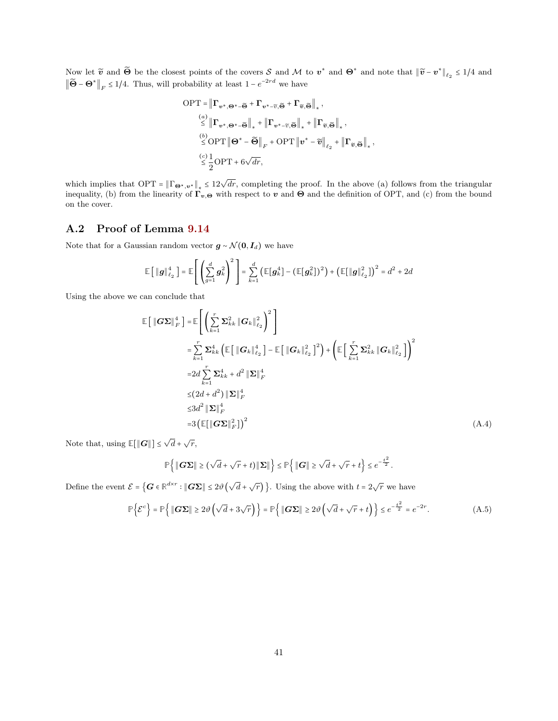Now let  $\widetilde{\mathbf{v}}$  and  $\widetilde{\mathbf{\Theta}}$  be the closest points of the covers S and M to  $\mathbf{v}^*$  and  $\mathbf{\Theta}^*$  and note that  $\|\widetilde{\mathbf{v}} - \mathbf{v}^*\|_{\ell_2} \leq 1/4$  and  $\|\widetilde{\Theta} - \Theta^*\|_F \leq 1/4$ . Thus, will probability at least  $1 - e^{-2rd}$  we have

$$
\begin{aligned}\n\text{OPT} &= \left\| \mathbf{\Gamma}_{\mathbf{v}^*,\mathbf{\Theta}^*-\widetilde{\mathbf{\Theta}}} + \mathbf{\Gamma}_{\mathbf{v}^*-\widetilde{v},\widetilde{\mathbf{\Theta}}} + \mathbf{\Gamma}_{\widetilde{v},\widetilde{\mathbf{\Theta}}} \right\|_{*}, \\
&\stackrel{(a)}{\leq} \left\| \mathbf{\Gamma}_{\mathbf{v}^*,\mathbf{\Theta}^*-\widetilde{\mathbf{\Theta}}} \right\|_{*} + \left\| \mathbf{\Gamma}_{\mathbf{v}^*-\widetilde{v},\widetilde{\mathbf{\Theta}}} \right\|_{*} + \left\| \mathbf{\Gamma}_{\widetilde{v},\widetilde{\mathbf{\Theta}}} \right\|_{*}, \\
&\stackrel{(b)}{\leq} \text{OPT} \left\| \mathbf{\Theta}^* - \widetilde{\mathbf{\Theta}} \right\|_{F} + \text{OPT} \left\| \mathbf{v}^* - \widetilde{\mathbf{v}} \right\|_{\ell_{2}} + \left\| \mathbf{\Gamma}_{\widetilde{v},\widetilde{\mathbf{\Theta}}} \right\|_{*}, \\
&\stackrel{(c)}{\leq} \frac{1}{2} \text{OPT} + 6\sqrt{dr},\n\end{aligned}
$$

which implies that OPT =  $\|\Gamma_{\mathbf{\Theta}^*,\mathbf{v}^*}\|_* \leq 12\sqrt{dr}$ , completing the proof. In the above (a) follows from the triangular inequality, (b) from the linearity of  $\Gamma_{v,\Theta}$  with respect to v and  $\Theta$  and the definition of OPT, and (c) from the bound on the cover.

### A.2 Proof of Lemma [9.14](#page-31-1)

Note that for a Gaussian random vector  $g \sim \mathcal{N}(0, I_d)$  we have

$$
\mathbb{E}\left[\left\|\boldsymbol{g}\right\|_{\ell_2}^4\right] = \mathbb{E}\left[\left(\sum_{g=1}^d \boldsymbol{g}_k^2\right)^2\right] = \sum_{k=1}^d \left(\mathbb{E}[\boldsymbol{g}_k^4] - \left(\mathbb{E}[\boldsymbol{g}_k^2]\right)^2\right) + \left(\mathbb{E}[\left\|\boldsymbol{g}\right\|_{\ell_2}^2]\right)^2 = d^2 + 2d
$$

Using the above we can conclude that

$$
\mathbb{E}\left[\left\|\boldsymbol{G}\boldsymbol{\Sigma}\right\|_{F}^{4}\right] = \mathbb{E}\left[\left(\sum_{k=1}^{r} \boldsymbol{\Sigma}_{kk}^{2} \left\|\boldsymbol{G}_{k}\right\|_{\ell_{2}}^{2}\right)^{2}\right]
$$
\n
$$
= \sum_{k=1}^{r} \boldsymbol{\Sigma}_{kk}^{4} \left(\mathbb{E}\left[\left\|\boldsymbol{G}_{k}\right\|_{\ell_{2}}^{4}\right] - \mathbb{E}\left[\left\|\boldsymbol{G}_{k}\right\|_{\ell_{2}}^{2}\right]^{2}\right) + \left(\mathbb{E}\left[\sum_{k=1}^{r} \boldsymbol{\Sigma}_{kk}^{2} \left\|\boldsymbol{G}_{k}\right\|_{\ell_{2}}^{2}\right]\right)^{2}
$$
\n
$$
= 2d \sum_{k=1}^{r} \boldsymbol{\Sigma}_{kk}^{4} + d^{2} \left\|\boldsymbol{\Sigma}\right\|_{F}^{4}
$$
\n
$$
\leq (2d + d^{2}) \left\|\boldsymbol{\Sigma}\right\|_{F}^{4}
$$
\n
$$
\leq 3d^{2} \left\|\boldsymbol{\Sigma}\right\|_{F}^{4}
$$
\n
$$
= 3 \left(\mathbb{E}\left[\left\|\boldsymbol{G}\boldsymbol{\Sigma}\right\|_{F}^{2}\right]\right)^{2}
$$
\n(A.4)

Note that, using  $\mathbb{E}[\|\mathbf{G}\|] \leq \sqrt{d} + \sqrt{r}$ ,

<span id="page-40-1"></span><span id="page-40-0"></span>
$$
\mathbb{P}\left\{\|\mathbf{G}\boldsymbol{\Sigma}\| \geq (\sqrt{d} + \sqrt{r} + t)\|\boldsymbol{\Sigma}\|\right\} \leq \mathbb{P}\left\{\|\mathbf{G}\| \geq \sqrt{d} + \sqrt{r} + t\right\} \leq e^{-\frac{t^2}{2}}.
$$

Define the event  $\mathcal{E} = \{ \mathbf{G} \in \mathbb{R}^{d \times r} : \| \mathbf{G} \Sigma \| \leq 2 \vartheta \left( \sqrt{d} + \sqrt{r} \right) \}.$  Using the above with  $t = 2\sqrt{r}$  we have

$$
\mathbb{P}\left\{\mathcal{E}^c\right\} = \mathbb{P}\left\{\|\mathbf{G}\mathbf{\Sigma}\| \ge 2\vartheta\left(\sqrt{d} + 3\sqrt{r}\right)\right\} = \mathbb{P}\left\{\|\mathbf{G}\mathbf{\Sigma}\| \ge 2\vartheta\left(\sqrt{d} + \sqrt{r} + t\right)\right\} \le e^{-\frac{t^2}{2}} = e^{-2r}.\tag{A.5}
$$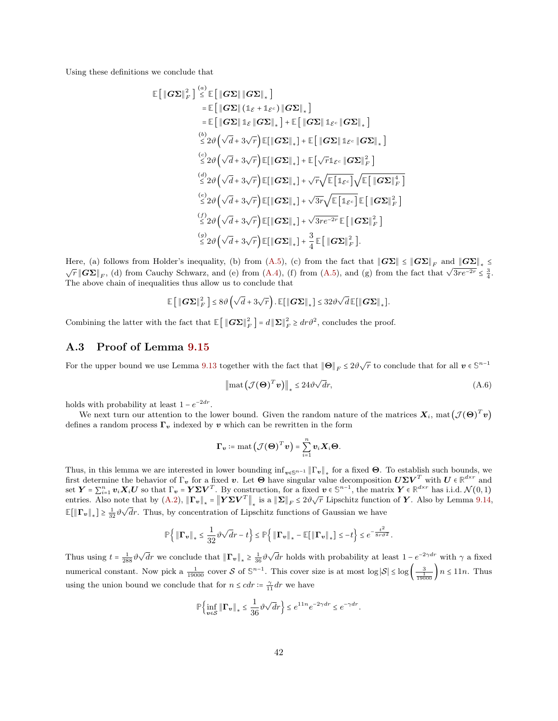Using these definitions we conclude that

$$
\mathbb{E}\left[\|\mathbf{G}\Sigma\|_{F}^{2}\right] \stackrel{(a)}{\leq} \mathbb{E}\left[\|\mathbf{G}\Sigma\|\|\mathbf{G}\Sigma\|_{*}\right] \n= \mathbb{E}\left[\|\mathbf{G}\Sigma\|\|_{\mathcal{L}}\|_{\mathcal{L}}\right] + \mathbb{E}\left[\|\mathbf{G}\Sigma\|_{\mathcal{L}}\|_{\mathcal{L}}\|_{\mathcal{L}}\right] \n= \mathbb{E}\left[\|\mathbf{G}\Sigma\|\|_{\mathcal{L}}\|\mathbf{G}\Sigma\|_{*}\right] + \mathbb{E}\left[\|\mathbf{G}\Sigma\|\|_{\mathcal{L}}\|\mathbf{G}\Sigma\|_{*}\right] \n\overset{(b)}{\leq} 2\vartheta\left(\sqrt{d} + 3\sqrt{r}\right)\mathbb{E}[\|\mathbf{G}\Sigma\|_{*}] + \mathbb{E}\left[\|\mathbf{G}\Sigma\|\|_{\mathcal{L}^{c}}\|\mathbf{G}\Sigma\|_{*}\right] \n\overset{(c)}{\leq} 2\vartheta\left(\sqrt{d} + 3\sqrt{r}\right)\mathbb{E}[\|\mathbf{G}\Sigma\|_{*}] + \mathbb{E}\left[\sqrt{r}\|_{\mathcal{L}^{c}}\|\mathbf{G}\Sigma\|_{F}^{2}\right] \n\overset{(d)}{\leq} 2\vartheta\left(\sqrt{d} + 3\sqrt{r}\right)\mathbb{E}[\|\mathbf{G}\Sigma\|_{*}] + \sqrt{r}\sqrt{\mathbb{E}\left[\|_{\mathcal{L}^{c}}\right]}\sqrt{\mathbb{E}\left[\|\mathbf{G}\Sigma\|_{F}^{4}\right]} \n\overset{(e)}{\leq} 2\vartheta\left(\sqrt{d} + 3\sqrt{r}\right)\mathbb{E}[\|\mathbf{G}\Sigma\|_{*}] + \sqrt{3r}\sqrt{\mathbb{E}\left[\|_{\mathcal{L}^{c}}\right]}\mathbb{E}\left[\|\mathbf{G}\Sigma\|_{F}^{2}\right] \n\overset{(f)}{\leq} 2\vartheta\left(\sqrt{d} + 3\sqrt{r}\right)\mathbb{E}[\|\mathbf{G}\Sigma\|_{*}] + \sqrt{3re^{-2r}}\mathbb{E}\left[\|\mathbf{G}\Sigma\|_{F}^{2}\right] \n\overset{(g)}{\leq} 2\var
$$

Here, (a) follows from Holder's inequality, (b) from [\(A.5\)](#page-40-0), (c) from the fact that  $||G\Sigma|| \le ||G\Sigma||_F$  and  $||G\Sigma||_* \le$  $\sqrt{r} ||G\Sigma||_F$ , (d) from Cauchy Schwarz, and (e) from [\(A.4\)](#page-40-1), (f) from [\(A.5\)](#page-40-0), and (g) from the fact that  $\sqrt{3re^{-2r}} \leq \frac{3}{4}$ . The above chain of inequalities thus allow us to conclude that

$$
\mathbb{E}\left[\left\|\boldsymbol{G}\boldsymbol{\Sigma}\right\|_{F}^{2}\right]\leq8\vartheta\left(\sqrt{d}+3\sqrt{r}\right).\mathbb{E}\big[\left\|\boldsymbol{G}\boldsymbol{\Sigma}\right\|_{*}\big]\leq32\vartheta\sqrt{d}\,\mathbb{E}\big[\left\|\boldsymbol{G}\boldsymbol{\Sigma}\right\|_{*}\big].
$$

Combining the latter with the fact that  $\mathbb{E} \left[ \left\| G \Sigma \right\|_F^2 \right] = d \left\| \Sigma \right\|_F^2 \geq dr \vartheta^2$ , concludes the proof.

#### A.3 Proof of Lemma [9.15](#page-32-1)

For the upper bound we use Lemma [9.13](#page-31-0) together with the fact that  $\|\Theta\|_F \leq 2\vartheta\sqrt{r}$  to conclude that for all  $v \in \mathbb{S}^{n-1}$ 

<span id="page-41-0"></span>
$$
\left\|\operatorname{mat}\left(\mathcal{J}(\boldsymbol{\Theta})^T\boldsymbol{v}\right)\right\|_* \le 24\vartheta\sqrt{d}r,\tag{A.6}
$$

holds with probability at least  $1 - e^{-2dr}$ .

We next turn our attention to the lower bound. Given the random nature of the matrices  $X_i$ , mat  $(\mathcal{J}(\Theta)^T v)$ defines a random process  $\Gamma_v$  indexed by v which can be rewritten in the form

$$
\boldsymbol{\Gamma}_{\boldsymbol{v}} \coloneqq \operatorname{mat} \left(\mathcal{J}(\boldsymbol{\Theta})^T \boldsymbol{v}\right) = \sum_{i=1}^n \boldsymbol{v}_i \boldsymbol{X}_i \boldsymbol{\Theta}.
$$

Thus, in this lemma we are interested in lower bounding  $\inf_{\mathbf{v}\in\mathbb{S}^{n-1}}\|\Gamma_{\mathbf{v}}\|_*$  for a fixed  $\Theta$ . To establish such bounds, we first determine the behavior of  $\Gamma_v$  for a fixed v. Let  $\Theta$  have singular value decomposition  $U\Sigma V^T$  with  $U \in \mathbb{R}^{d \times r}$  and  $\mathbf{S} \in \mathbf{Y} = \sum_{i=1}^n \mathbf{v}_i \mathbf{X}_i \mathbf{U}$  so that  $\Gamma_{\mathbf{v}} = \mathbf{Y} \mathbf{\Sigma} \mathbf{V}^T$ . By construction, for a fixed  $\mathbf{v} \in \mathbb{S}^{n-1}$ , the matrix  $\mathbf{Y} \in \mathbb{R}^{d \times r}$  has i.i.d.  $\mathcal{N}(0, 1)$ entries. Also note that by  $(A.2)$ ,  $\|\mathbf{\Gamma}_{v}\|_{*} = \|\mathbf{Y}\Sigma\mathbf{V}^{T}\|_{*}$  is a  $\|\Sigma\|_{F} \leq 2\vartheta\sqrt{r}$  Lipschitz function of Y. Also by Lemma [9.14,](#page-31-1)  $\mathbb{E}[\|\mathbf{\Gamma}_{v}\|_{*}] \geq \frac{1}{32} \vartheta \sqrt{dr}$ . Thus, by concentration of Lipschitz functions of Gaussian we have

$$
\mathbb{P}\Big\{ \left\| \mathbf{\Gamma}_{\bm{v}} \right\|_* \leq \frac{1}{32} \vartheta \sqrt{d} r - t \Big\} \leq \mathbb{P}\Big\{ \left\| \mathbf{\Gamma}_{\bm{v}} \right\|_* - \mathbb{E}\big[ \left\| \mathbf{\Gamma}_{\bm{v}} \right\|_* \big] \leq - t \Big\} \leq e^{-\frac{t^2}{8r \vartheta^2}}.
$$

Thus using  $t = \frac{1}{288} \vartheta \sqrt{d}r$  we conclude that  $\|\Gamma_v\|_* \ge \frac{1}{36} \vartheta \sqrt{d}r$  holds with probability at least  $1 - e^{-2\gamma dr}$  with  $\gamma$  a fixed numerical constant. Now pick a  $\frac{1}{19000}$  cover S of  $\mathbb{S}^{n-1}$ . This cover size is at most  $\log |\mathcal{S}| \le \log \left( \frac{3}{\frac{1}{19000}} \right) n \le 11n$ . Thus using the union bound we conclude that for  $n \leq c dr := \frac{\gamma}{11} dr$  we have

$$
\mathbb{P}\Bigl\{\inf_{\boldsymbol v\in\mathcal S}\|\boldsymbol \Gamma_{\boldsymbol v}\|_*\leq \frac{1}{36}\vartheta\sqrt{d}r\Bigr\}\leq e^{11n}e^{-2\gamma dr}\leq e^{-\gamma dr}.
$$